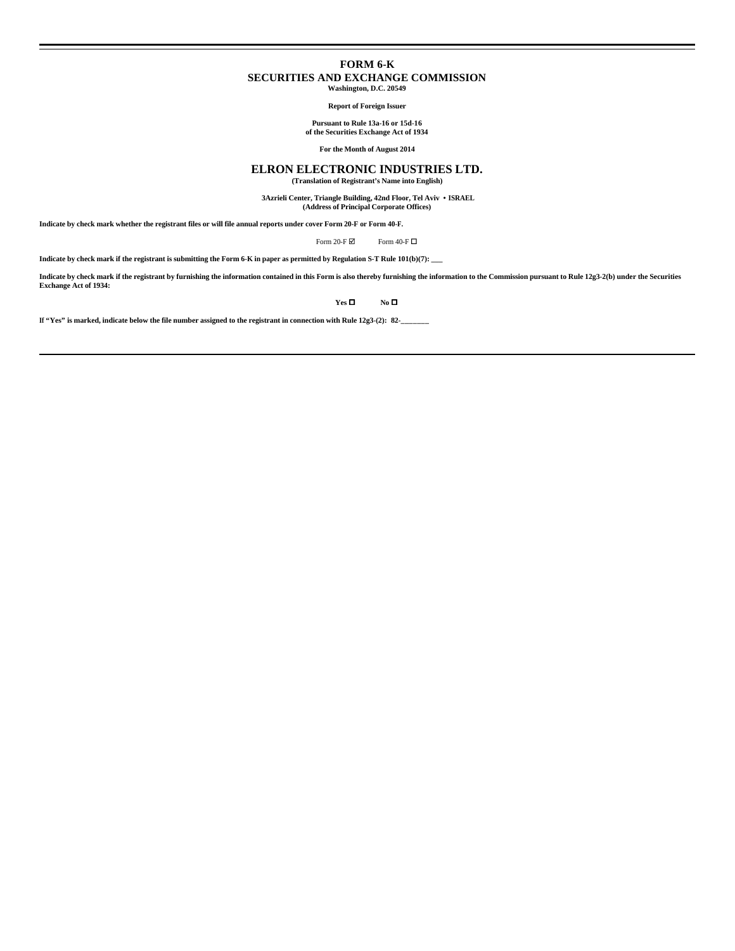# **FORM 6-K SECURITIES AND EXCHANGE COMMISSION**

**Washington, D.C. 20549**

**Report of Foreign Issuer**

**Pursuant to Rule 13a-16 or 15d-16 of the Securities Exchange Act of 1934**

**For the Month of August 2014**

# **ELRON ELECTRONIC INDUSTRIES LTD.**

**(Translation of Registrant's Name into English)**

 **3Azrieli Center, Triangle Building, 42nd Floor, Tel Aviv • ISRAEL (Address of Principal Corporate Offices)**

**Indicate by check mark whether the registrant files or will file annual reports under cover Form 20-F or Form 40-F.**

Form 20-F $\boxtimes$  Form 40-F $\Box$ 

**Indicate by check mark if the registrant is submitting the Form 6-K in paper as permitted by Regulation S-T Rule 101(b)(7): \_\_\_**

**Indicate by check mark if the registrant by furnishing the information contained in this Form is also thereby furnishing the information to the Commission pursuant to Rule 12g3-2(b) under the Securities Exchange Act of 1934:**

 $Yes \Box$  **No**  $\Box$ 

**If "Yes" is marked, indicate below the file number assigned to the registrant in connection with Rule 12g3-(2): 82-\_\_\_\_\_\_\_**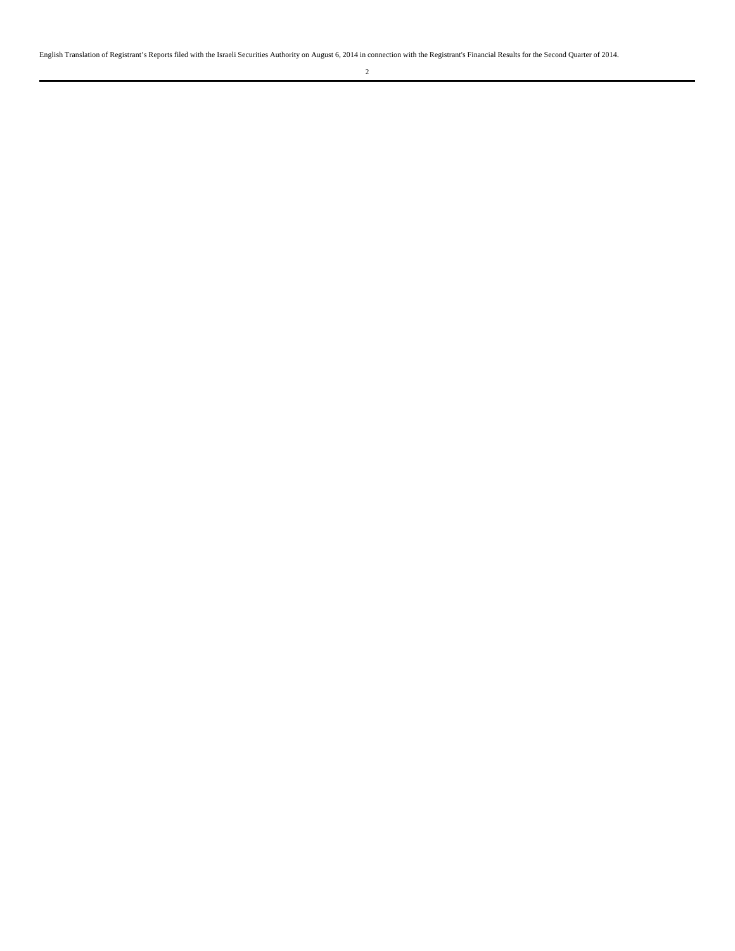English Translation of Registrant's Reports filed with the Israeli Securities Authority on August 6, 2014 in connection with the Registrant's Financial Results for the Second Quarter of 2014.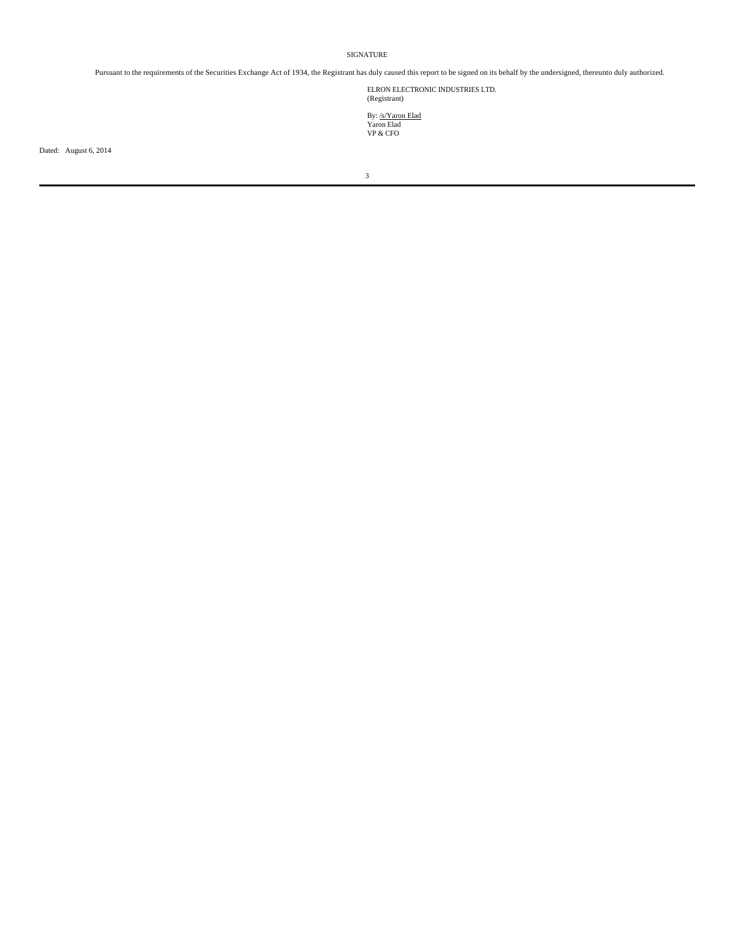SIGNATURE

Pursuant to the requirements of the Securities Exchange Act of 1934, the Registrant has duly caused this report to be signed on its behalf by the undersigned, thereunto duly authorized.

ELRON ELECTRONIC INDUSTRIES LTD. (Registrant)

By: <u>/s/Yaron Elad</u><br>Yaron Elad<br>VP & CFO

Dated: August 6, 2014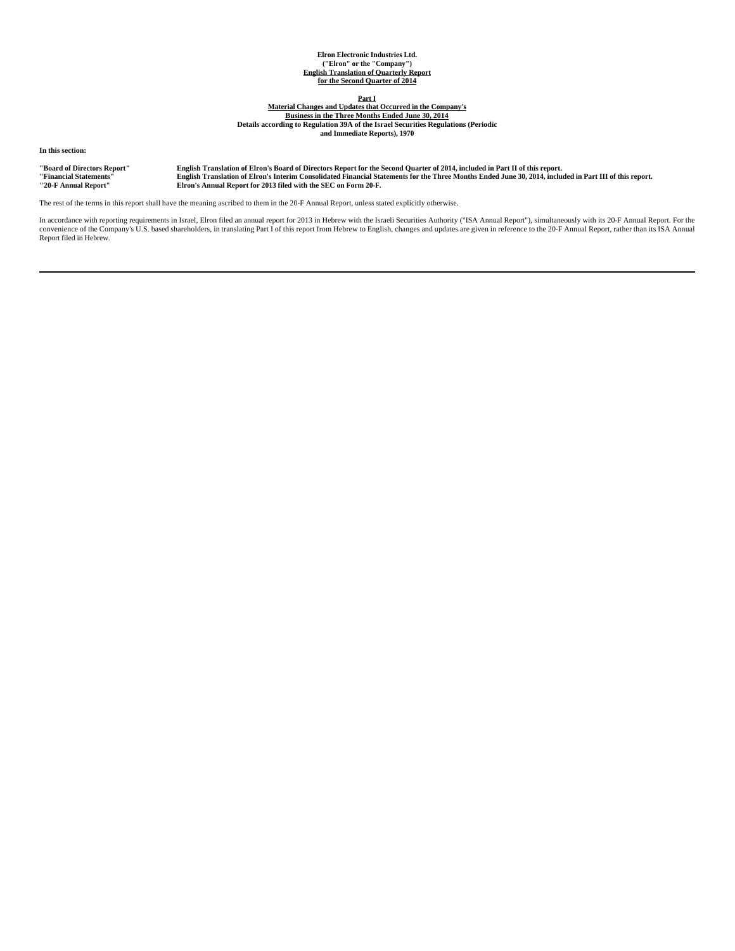# **Elron Electronic Industries Ltd. ("Elron" or the "Company") English Translation of Quarterly Report for the Second Quarter of 2014**

**Part I**

**Material Changes and Updates that Occurred in the Company's Business in the Three Months Ended June 30, 2014 Details according to Regulation 39A of the Israel Securities Regulations (Periodic and Immediate Reports), 1970**

**In this section:**

**"Board of Directors Report" English Translation of Elron's Board of Directors Report for the Second Quarter of 2014, included in Part II of this report.** "Financial Statements" English Translation of Elron's Interim Consolidated Financial Statements for the Three Months Ended June 30, 2014, included in Part III of this report.<br>"20-F Annual Report" Elron's Ann

The rest of the terms in this report shall have the meaning ascribed to them in the 20-F Annual Report, unless stated explicitly otherwise.

In accordance with reporting requirements in Israel, Elron filed an annual report for 2013 in Hebrew with the Israeli Securities Authority ("ISA Annual Report"), simultaneously with its 20-F Annual Report. For the<br>convenie Report filed in Hebrew.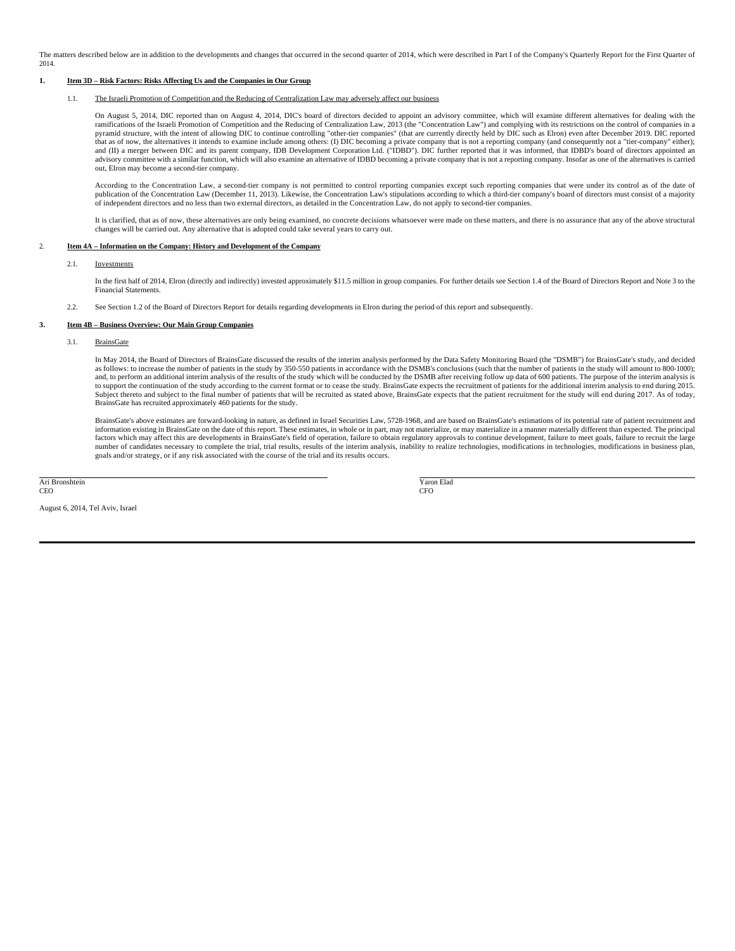The matters described below are in addition to the developments and changes that occurred in the second quarter of 2014, which were described in Part I of the Company's Quarterly Report for the First Quarter of 2014.

## **1. Item 3D – Risk Factors: Risks Affecting Us and the Companies in Our Group**

## 1.1. The Israeli Promotion of Competition and the Reducing of Centralization Law may adversely affect our business

On August 5, 2014, DIC reported than on August 4, 2014, DIC's board of directors decided to appoint an advisory committee, which will examine different alternatives for dealing with the ramifications of the Israeli Promotion of Competition and the Reducing of Centralization Law, 2013 (the "Concentration Law") and complying with its restrictions on the control of companies in a pyramid structure, with the intent of allowing DIC to continue controlling "other-tier companies" (that are currently directly held by DIC such as Elron) even after December 2019. DIC reported that as of now, the alternatives it intends to examine include among others: (I) DIC becoming a private company that is not a reporting company (and consequently not a "tier-company" either); and (II) a merger between DIC and its parent company, IDB Development Corporation Ltd. ("IDBD"). DIC further reported that it was informed, that IDBD's board of directors appointed an<br>advisory committee with a similar func out, Elron may become a second-tier company.

According to the Concentration Law, a second-tier company is not permitted to control reporting companies except such reporting companies that were under its control as of the date of<br>publication of the Concentration Law ( of independent directors and no less than two external directors, as detailed in the Concentration Law, do not apply to second-tier companies.

It is clarified, that as of now, these alternatives are only being examined, no concrete decisions whatsoever were made on these matters, and there is no assurance that any of the above structural changes will be carried out. Any alternative that is adopted could take several years to carry out.

#### 2. **Item 4A – Information on the Company: History and Development of the Company**

#### 2.1. Investments

In the first half of 2014, Elron (directly and indirectly) invested approximately \$11.5 million in group companies. For further details see Section 1.4 of the Board of Directors Report and Note 3 to the Financial Statements.

2.2. See Section 1.2 of the Board of Directors Report for details regarding developments in Elron during the period of this report and subsequently.

#### **3. Item 4B – Business Overview: Our Main Group Companies**

3.1. BrainsGate

In May 2014, the Board of Directors of BrainsGate discussed the results of the interim analysis performed by the Data Safety Monitoring Board (the "DSMB") for BrainsGate's study, and decided as follows: to increase the number of patients in the study by 350-550 patients in accordance with the DSMB's conclusions (such that the number of patients in the study will amount to 800-1000); and, to perform an additional interim analysis of the results of the study which will be conducted by the DSMB after receiving follow up data of 600 patients. The purpose of the interim analysis is to support the continuation of the study according to the current format or to cease the study. BrainsGate expects the recruitment of patients for the additional interim analysis to end during 2015. Subject thereto and subject to the final number of patients that will be recruited as stated above, BrainsGate expects that the patient recruitment for the study will end during 2017. As of today, BrainsGate has recruited approximately 460 patients for the study.

BrainsGate's above estimates are forward-looking in nature, as defined in Israel Securities Law, 5728-1968, and are based on BrainsGate's estimations of its potential rate of patient recruitment and information existing in BrainsGate on the date of this report. These estimates, in whole or in part, may not materialize, or may materialize in a manner materially different than expected. The principal<br>factors which may a number of candidates necessary to complete the trial, trial results, results of the interim analysis, inability to realize technologies, modifications in technologies, modifications in business plan, goals and/or strategy, or if any risk associated with the course of the trial and its results occurs.

Ari Bronshtein CEO

August 6, 2014, Tel Aviv, Israel

 Yaron Elad CFO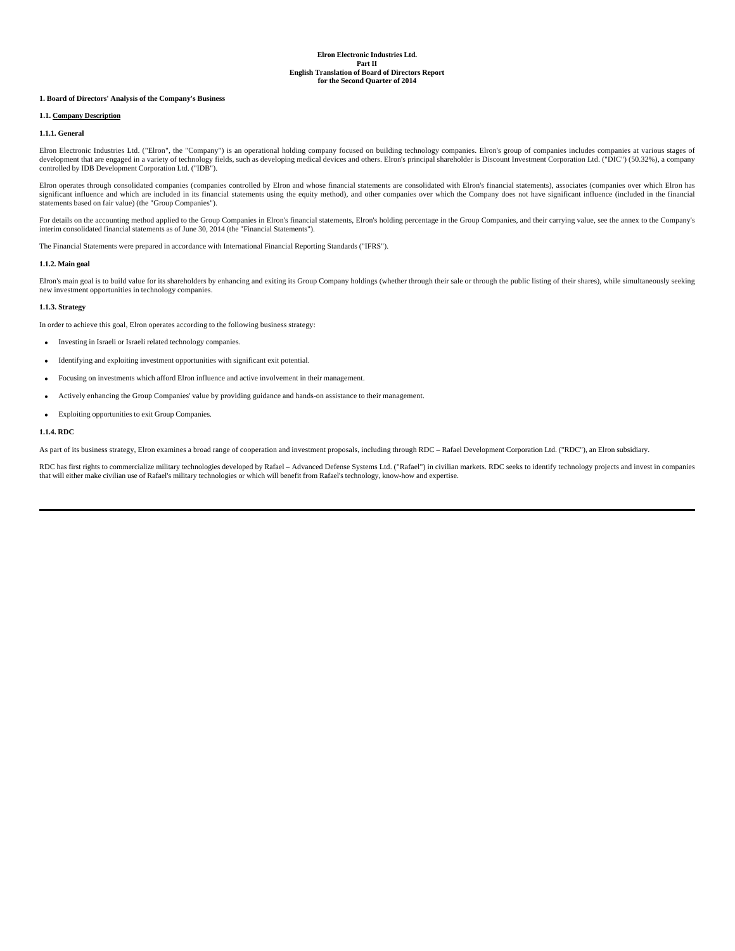## **1. Board of Directors' Analysis of the Company's Business**

## **1.1. Company Description**

## **1.1.1. General**

Elron Electronic Industries Ltd. ("Elron", the "Company") is an operational holding company focused on building technology companies. Elron's group of companies includes companies at various stages of development that are engaged in a variety of technology fields, such as developing medical devices and others. Elron's principal shareholder is Discount Investment Corporation Ltd. ("DIC") (50.32%), a company<br>controlled by

Elron operates through consolidated companies (companies controlled by Elron and whose financial statements are consolidated with Elron's financial statements), associates (companies over which Elron has<br>significant influe statements based on fair value) (the "Group Companies").

For details on the accounting method applied to the Group Companies in Elron's financial statements, Elron's holding percentage in the Group Companies, and their carrying value, see the annex to the Company's interim consolidated financial statements as of June 30, 2014 (the "Financial Statements").

The Financial Statements were prepared in accordance with International Financial Reporting Standards ("IFRS").

## **1.1.2. Main goal**

Elron's main goal is to build value for its shareholders by enhancing and exiting its Group Company holdings (whether through their sale or through the public listing of their shares), while simultaneously seeking new investment opportunities in technology companies.

#### **1.1.3. Strategy**

In order to achieve this goal, Elron operates according to the following business strategy:

- Investing in Israeli or Israeli related technology companies.
- Identifying and exploiting investment opportunities with significant exit potential.
- Focusing on investments which afford Elron influence and active involvement in their management.
- Actively enhancing the Group Companies' value by providing guidance and hands-on assistance to their management.
- Exploiting opportunities to exit Group Companies.

## **1.1.4. RDC**

As part of its business strategy, Elron examines a broad range of cooperation and investment proposals, including through RDC – Rafael Development Corporation Ltd. ("RDC"), an Elron subsidiary.

RDC has first rights to commercialize military technologies developed by Rafael – Advanced Defense Systems Ltd. ("Rafael") in civilian markets. RDC seeks to identify technology projects and invest in companies that will either make civilian use of Rafael's military technologies or which will benefit from Rafael's technology, know-how and expertise.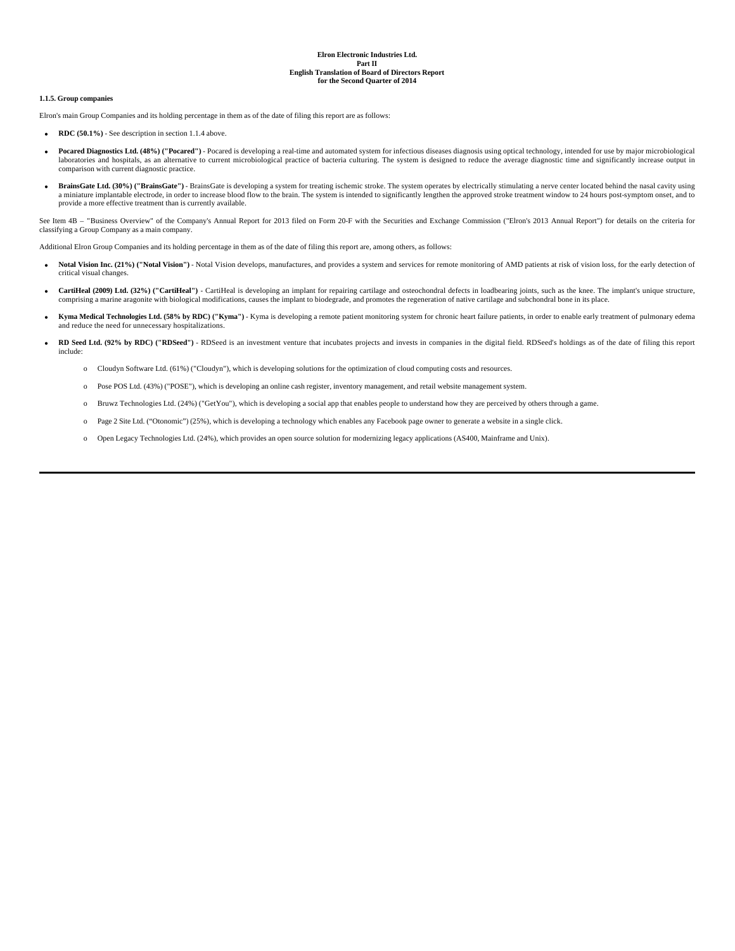## **1.1.5. Group companies**

Elron's main Group Companies and its holding percentage in them as of the date of filing this report are as follows:

- **RDC (50.1%)** See description in section 1.1.4 above.
- **Pocared Diagnostics Ltd. (48%) ("Pocared")** Pocared is developing a real-time and automated system for infectious diseases diagnosis using optical technology, intended for use by major microbiological laboratories and hospitals, as an alternative to current microbiological practice of bacteria culturing. The system is designed to reduce the average diagnostic time and significantly increase output in comparison with current diagnostic practice.
- **BrainsGate Ltd. (30%) ("BrainsGate")** BrainsGate is developing a system for treating ischemic stroke. The system operates by electrically stimulating a nerve center located behind the nasal cavity using a miniature implantable electrode, in order to increase blood flow to the brain. The system is intended to significantly lengthen the approved stroke treatment window to 24 hours post-symptom onset, and to provide a more effective treatment than is currently available.

See Item 4B - "Business Overview" of the Company's Annual Report for 2013 filed on Form 20-F with the Securities and Exchange Commission ("Elron's 2013 Annual Report") for details on the criteria for classifying a Group Company as a main company.

Additional Elron Group Companies and its holding percentage in them as of the date of filing this report are, among others, as follows:

- Notal Vision Inc. (21%) ("Notal Vision") Notal Vision develops, manufactures, and provides a system and services for remote monitoring of AMD patients at risk of vision loss, for the early detection of critical visual changes.
- **CartiHeal (2009) Ltd. (32%) ("CartiHeal")** CartiHeal is developing an implant for repairing cartilage and osteochondral defects in loadbearing joints, such as the knee. The implant's unique structure, comprising a marine aragonite with biological modifications, causes the implant to biodegrade, and promotes the regeneration of native cartilage and subchondral bone in its place.
- **Kyma Medical Technologies Ltd. (58% by RDC) ("Kyma")** Kyma is developing a remote patient monitoring system for chronic heart failure patients, in order to enable early treatment of pulmonary edema and reduce the need for unnecessary hospitalizations.
- **RD Seed Ltd. (92% by RDC) ("RDSeed")** RDSeed is an investment venture that incubates projects and invests in companies in the digital field. RDSeed's holdings as of the date of filing this report include:
	- o Cloudyn Software Ltd. (61%) ("Cloudyn"), which is developing solutions for the optimization of cloud computing costs and resources.
	- o Pose POS Ltd. (43%) ("POSE"), which is developing an online cash register, inventory management, and retail website management system.
	- o Bruwz Technologies Ltd. (24%) ("GetYou"), which is developing a social app that enables people to understand how they are perceived by others through a game.
	- o Page 2 Site Ltd. ("Otonomic") (25%), which is developing a technology which enables any Facebook page owner to generate a website in a single click.
	- o Open Legacy Technologies Ltd. (24%), which provides an open source solution for modernizing legacy applications (AS400, Mainframe and Unix).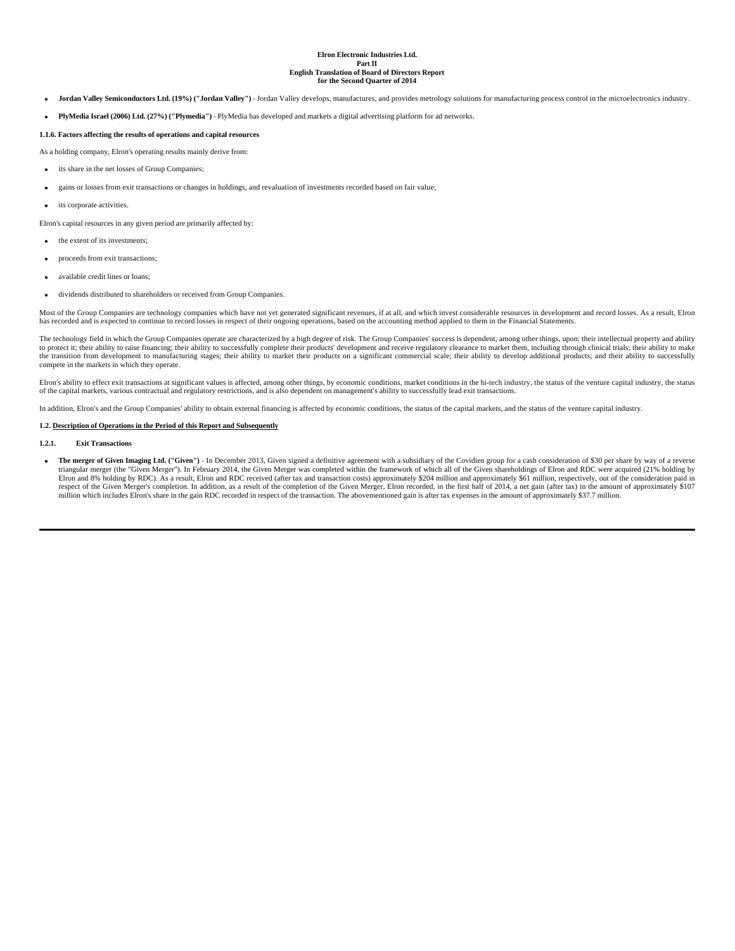- **Jordan Valley Semiconductors Ltd. (19%) ("Jordan Valley")** Jordan Valley develops, manufactures, and provides metrology solutions for manufacturing process control in the microelectronics industry.
- **PlyMedia Israel (2006) Ltd. (27%) ("Plymedia")**  PlyMedia has developed and markets a digital advertising platform for ad networks.

## **1.1.6. Factors affecting the results of operations and capital resources**

As a holding company, Elron's operating results mainly derive from:

- its share in the net losses of Group Companies;
- gains or losses from exit transactions or changes in holdings, and revaluation of investments recorded based on fair value;
- its corporate activities.

Elron's capital resources in any given period are primarily affected by:

- the extent of its investments;
- proceeds from exit transactions;
- available credit lines or loans;
- dividends distributed to shareholders or received from Group Companies.

Most of the Group Companies are technology companies which have not yet generated significant revenues, if at all, and which invest considerable resources in development and record losses. As a result, Elron has recorded and is expected to continue to record losses in respect of their ongoing operations, based on the accounting method applied to them in the Financial Statements.

The technology field in which the Group Companies operate are characterized by a high degree of risk. The Group Companies' success is dependent, among other things, upon: their intellectual property and ability to protect it; their ability to raise financing; their ability to successfully complete their products' development and receive regulatory clearance to market them, including through clinical trials; their ability to make compete in the markets in which they operate.

Elron's ability to effect exit transactions at significant values is affected, among other things, by economic conditions, market conditions in the hi-tech industry, the status of the venture capital industry, the status of the capital markets, various contractual and regulatory restrictions, and is also dependent on management's ability to successfully lead exit transactions.

In addition, Elron's and the Group Companies' ability to obtain external financing is affected by economic conditions, the status of the capital markets, and the status of the venture capital industry.

#### **1.2. Description of Operations in the Period of this Report and Subsequently**

#### **1.2.1. Exit Transactions**

**The merger of Given Imaging Ltd. ("Given")** - In December 2013, Given signed a definitive agreement with a subsidiary of the Covidien group for a cash consideration of \$30 per share by way of a reverse triangular merger (the "Given Merger"). In February 2014, the Given Merger was completed within the framework of which all of the Given shareholdings of Elron and RDC were acquired (21% holding by Elron and 8% holding by RDC). As a result, Elron and RDC received (after tax and transaction costs) approximately \$204 million and approximately \$61 million, respectively, out of the consideration paid in respect of the Given Merger's completion. In addition, as a result of the completion of the Given Merger, Elron recorded, in the first half of 2014, a net gain (after tax) in the amount of approximately \$107 million which includes Elron's share in the gain RDC recorded in respect of the transaction. The abovementioned gain is after tax expenses in the amount of approximately \$37.7 million.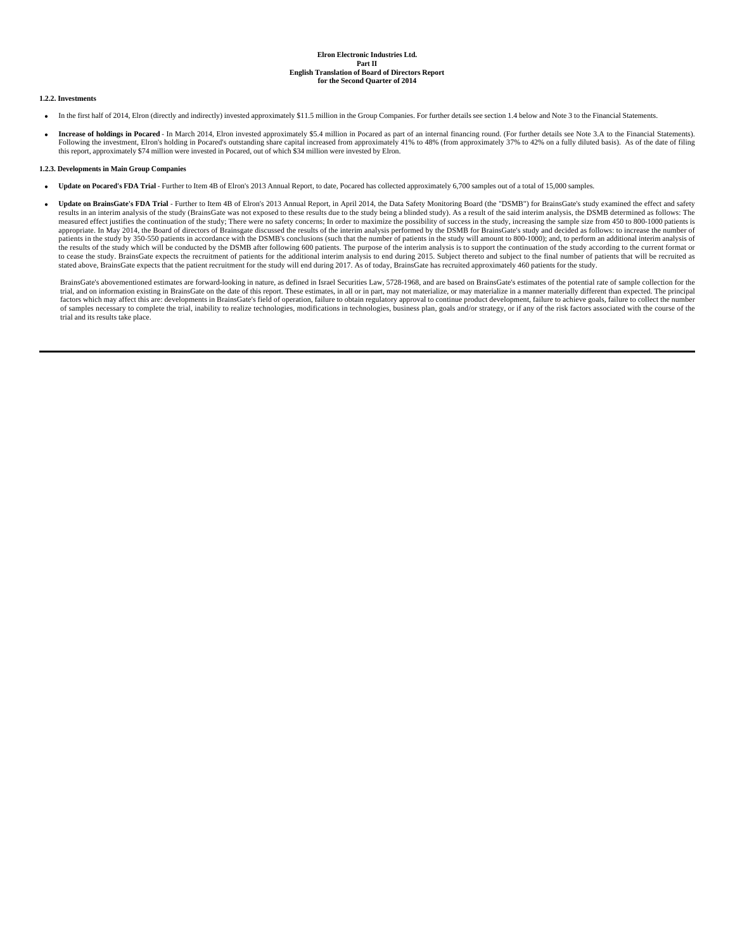## **1.2.2. Investments**

- In the first half of 2014, Elron (directly and indirectly) invested approximately \$11.5 million in the Group Companies. For further details see section 1.4 below and Note 3 to the Financial Statements.
- **Increase of holdings in Pocared** In March 2014, Elron invested approximately \$5.4 million in Pocared as part of an internal financing round. (For further details see Note 3.A to the Financial Statements). Following the investment, Elron's holding in Pocared's outstanding share capital increased from approximately 41% to 48% (from approximately 37% to 42% on a fully diluted basis). As of the date of filing this report, approximately \$74 million were invested in Pocared, out of which \$34 million were invested by Elron.

## **1.2.3. Developments in Main Group Companies**

- **Update on Pocared's FDA Trial** Further to Item 4B of Elron's 2013 Annual Report, to date, Pocared has collected approximately 6,700 samples out of a total of 15,000 samples.
- **Update on BrainsGate's FDA Trial** Further to Item 4B of Elron's 2013 Annual Report, in April 2014, the Data Safety Monitoring Board (the "DSMB") for BrainsGate's study examined the effect and safety results in an interim analysis of the study (BrainsGate was not exposed to these results due to the study being a blinded study). As a result of the said interim analysis, the DSMB determined as follows: The measured effect justifies the continuation of the study; There were no safety concerns; In order to maximize the possibility of success in the study, increasing the sample size from 450 to 800-1000 patients is appropriate. In May 2014, the Board of directors of Brainsgate discussed the results of the interim analysis performed by the DSMB for BrainsGate's study and decided as follows: to increase the number of patients in the study by 350-550 patients in accordance with the DSMB's conclusions (such that the number of patients in the study will amount to 800-1000); and, to perform an additional interim analysis of the results of the study which will be conducted by the DSMB after following 600 patients. The purpose of the interim analysis is to support the continuation of the study according to the current format or to cease the study. BrainsGate expects the recruitment of patients for the additional interim analysis to end during 2015. Subject thereto and subject to the final number of patients that will be recruited as stated above, BrainsGate expects that the patient recruitment for the study will end during 2017. As of today, BrainsGate has recruited approximately 460 patients for the study.

BrainsGate's abovementioned estimates are forward-looking in nature, as defined in Israel Securities Law, 5728-1968, and are based on BrainsGate's estimates of the potential rate of sample collection for the trial, and on information existing in BrainsGate on the date of this report. These estimates, in all or in part, may not materialize, or may materialize in a manner materially different than expected. The principal factors which may affect this are: developments in BrainsGate's field of operation, failure to obtain regulatory approval to continue product development, failure to achieve goals, failure to collect the number<br>of samples trial and its results take place.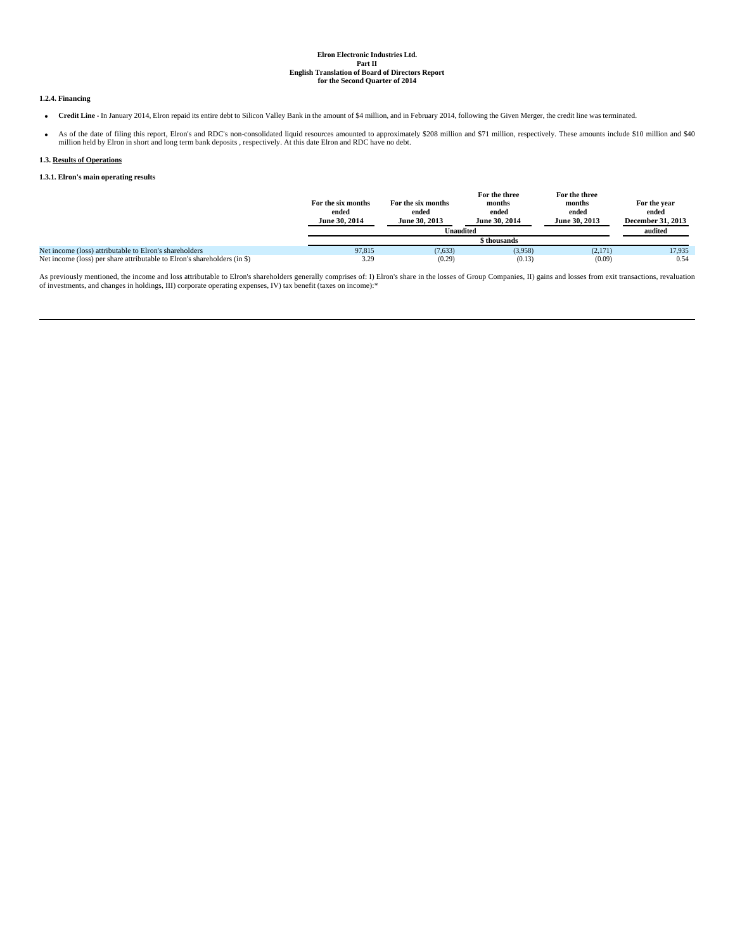## **1.2.4. Financing**

- **Credit Line**  In January 2014, Elron repaid its entire debt to Silicon Valley Bank in the amount of \$4 million, and in February 2014, following the Given Merger, the credit line was terminated.
- As of the date of filing this report, Elron's and RDC's non-consolidated liquid resources amounted to approximately \$208 million and \$71 million, respectively. These amounts include \$10 million and \$40 million held by Elron in short and long term bank deposits , respectively. At this date Elron and RDC have no debt.

## **1.3. Results of Operations**

## **1.3.1. Elron's main operating results**

|                                                                          | For the six months<br>ended<br>June 30, 2014 | For the six months<br>ended<br>June 30, 2013 | For the three<br>months<br>ended<br>June 30, 2014 | For the three<br>months<br>ended<br>June 30, 2013 | For the year<br>ended<br><b>December 31, 2013</b> |
|--------------------------------------------------------------------------|----------------------------------------------|----------------------------------------------|---------------------------------------------------|---------------------------------------------------|---------------------------------------------------|
|                                                                          |                                              |                                              | <b>Unaudited</b>                                  |                                                   | audited                                           |
|                                                                          |                                              |                                              | \$ thousands                                      |                                                   |                                                   |
| Net income (loss) attributable to Elron's shareholders                   | 97.815                                       | (7,633)                                      | (3,958)                                           | (2,171)                                           | 17.935                                            |
| Net income (loss) per share attributable to Elron's shareholders (in \$) | 3.29                                         | (0.29)                                       | (0.13)                                            | (0.09)                                            | 0.54                                              |

As previously mentioned, the income and loss attributable to Elron's shareholders generally comprises of: I) Elron's share in the losses of Group Companies, II) gains and losses from exit transactions, revaluation<br>of inves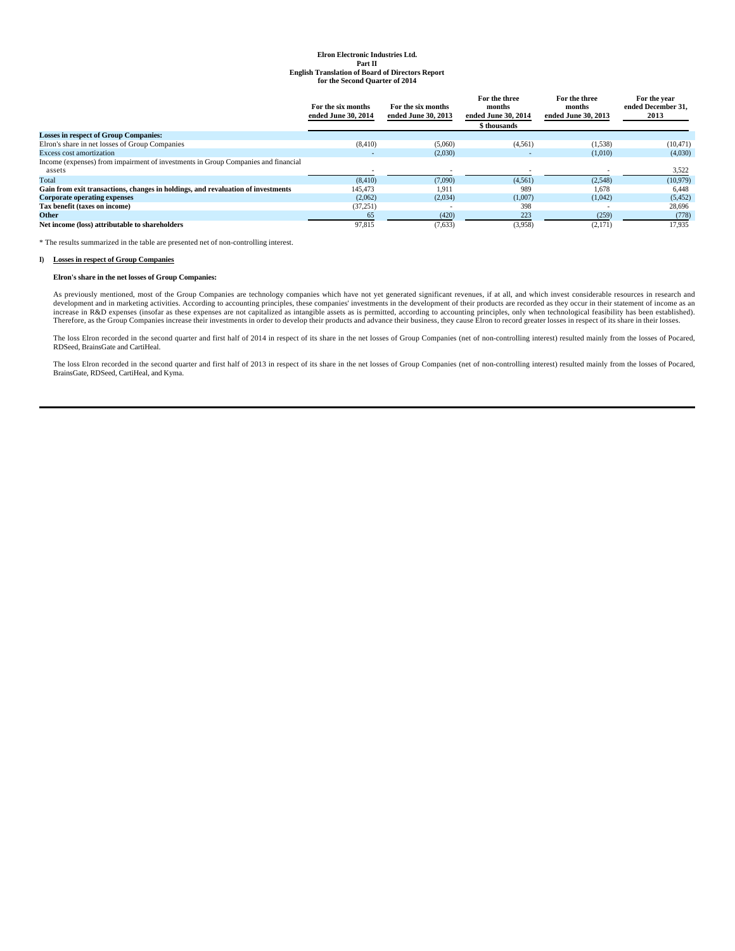|                                                                                   | For the six months<br>ended June 30, 2014 | For the six months<br>ended June 30, 2013 | For the three<br>months<br>ended June 30, 2014<br>\$ thousands | For the three<br>months<br>ended June 30, 2013 | For the year<br>ended December 31.<br>2013 |
|-----------------------------------------------------------------------------------|-------------------------------------------|-------------------------------------------|----------------------------------------------------------------|------------------------------------------------|--------------------------------------------|
| <b>Losses in respect of Group Companies:</b>                                      |                                           |                                           |                                                                |                                                |                                            |
| Elron's share in net losses of Group Companies                                    | (8, 410)                                  | (5,060)                                   | (4,561)                                                        | (1,538)                                        | (10, 471)                                  |
| <b>Excess cost amortization</b>                                                   |                                           | (2,030)                                   |                                                                | (1,010)                                        | (4,030)                                    |
| Income (expenses) from impairment of investments in Group Companies and financial |                                           |                                           |                                                                |                                                |                                            |
| assets                                                                            |                                           |                                           |                                                                |                                                | 3,522                                      |
| Total                                                                             | (8.410)                                   | (7,090)                                   | (4,561)                                                        | (2,548)                                        | (10, 979)                                  |
| Gain from exit transactions, changes in holdings, and revaluation of investments  | 145,473                                   | 1.911                                     | 989                                                            | 1,678                                          | 6,448                                      |
| <b>Corporate operating expenses</b>                                               | (2,062)                                   | (2,034)                                   | (1,007)                                                        | (1,042)                                        | (5, 452)                                   |
| Tax benefit (taxes on income)                                                     | (37,251)                                  |                                           | 398                                                            |                                                | 28,696                                     |
| Other                                                                             | 65                                        | (420)                                     | 223                                                            | (259)                                          | (778)                                      |
| Net income (loss) attributable to shareholders                                    | 97.815                                    | (7,633)                                   | (3,958)                                                        | (2,171)                                        | 17.935                                     |

\* The results summarized in the table are presented net of non-controlling interest.

## **I) Losses in respect of Group Companies**

## **Elron's share in the net losses of Group Companies:**

As previously mentioned, most of the Group Companies are technology companies which have not yet generated significant revenues, if at all, and which invest considerable resources in research and development and in marketing activities. According to accounting principles, these companies' investments in the development of their products are recorded as they occur in their statement of income as an income as an inco

The loss Elron recorded in the second quarter and first half of 2014 in respect of its share in the net losses of Group Companies (net of non-controlling interest) resulted mainly from the losses of Pocared,<br>RDSeed, Brains

The loss Elron recorded in the second quarter and first half of 2013 in respect of its share in the net losses of Group Companies (net of non-controlling interest) resulted mainly from the losses of Pocared, BrainsGate, RDSeed, CartiHeal, and Kyma.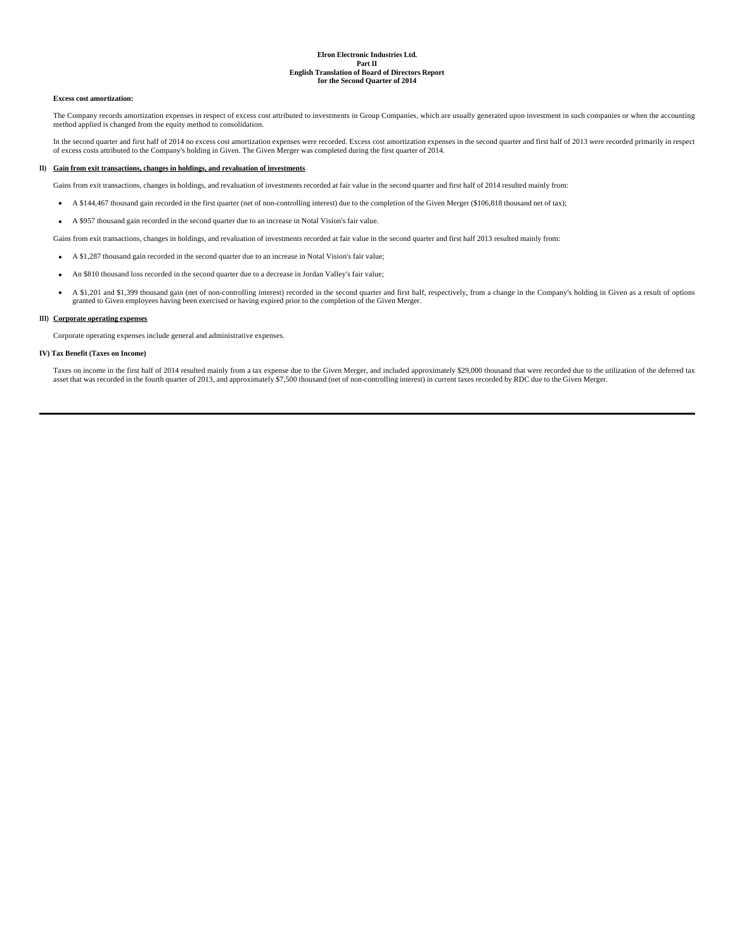## **Excess cost amortization:**

The Company records amortization expenses in respect of excess cost attributed to investments in Group Companies, which are usually generated upon investment in such companies or when the accounting method applied is changed from the equity method to consolidation.

In the second quarter and first half of 2014 no excess cost amortization expenses were recorded. Excess cost amortization expenses in the second quarter and first half of 2013 were recorded primarily in respect of excess costs attributed to the Company's holding in Given. The Given Merger was completed during the first quarter of 2014.

## **II) Gain from exit transactions, changes in holdings, and revaluation of investments**

Gains from exit transactions, changes in holdings, and revaluation of investments recorded at fair value in the second quarter and first half of 2014 resulted mainly from:

- A \$144,467 thousand gain recorded in the first quarter (net of non-controlling interest) due to the completion of the Given Merger (\$106,818 thousand net of tax);
- A \$957 thousand gain recorded in the second quarter due to an increase in Notal Vision's fair value.

Gains from exit transactions, changes in holdings, and revaluation of investments recorded at fair value in the second quarter and first half 2013 resulted mainly from:

- A \$1,287 thousand gain recorded in the second quarter due to an increase in Notal Vision's fair value;
- An \$810 thousand loss recorded in the second quarter due to a decrease in Jordan Valley's fair value;
- A \$1,201 and \$1,399 thousand gain (net of non-controlling interest) recorded in the second quarter and first half, respectively, from a change in the Company's holding in Given as a result of options granted to Given employees having been exercised or having expired prior to the completion of the Given Merger.

## **III) Corporate operating expenses**

Corporate operating expenses include general and administrative expenses.

#### **IV) Tax Benefit (Taxes on Income)**

Taxes on income in the first half of 2014 resulted mainly from a tax expense due to the Given Merger, and included approximately \$29,000 thousand that were recorded due to the utilization of the deferred tax asset that was recorded in the fourth quarter of 2013, and approximately \$7,500 thousand (net of non-controlling interest) in current taxes recorded by RDC due to the Given Merger.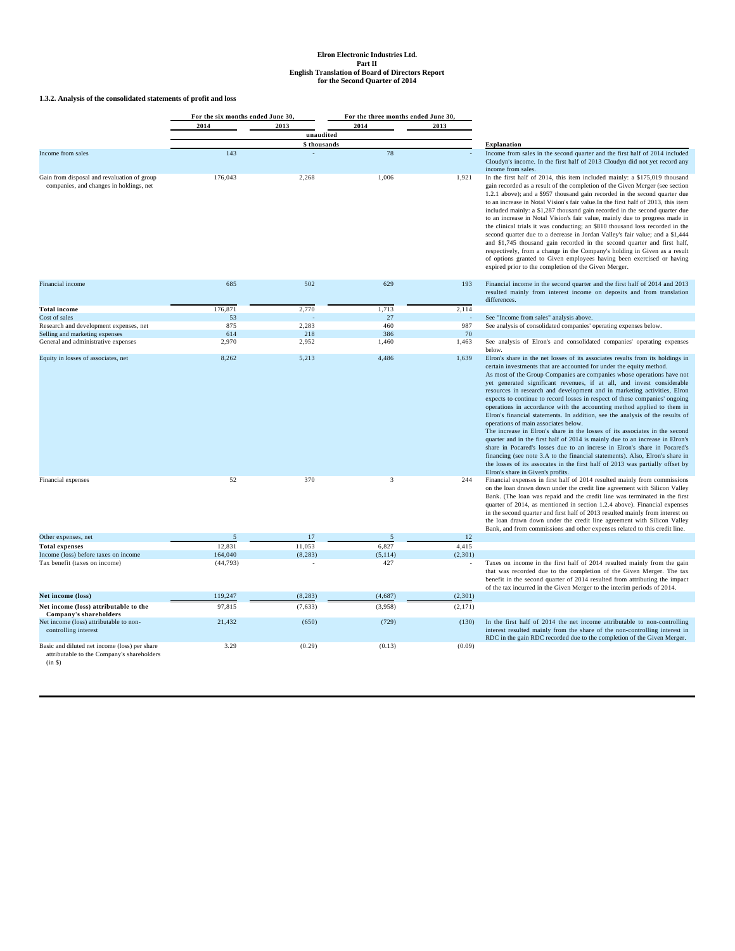**1.3.2. Analysis of the consolidated statements of profit and loss**

|                                                                                                        | For the six months ended June 30. |              | For the three months ended June 30, |          |                                                                                                                                                                                                                                                                                                                                                                                                                                                                                                                                                                                                                                                                                                                                                                                                                                                                                                                                                                                                                                                                                                                            |
|--------------------------------------------------------------------------------------------------------|-----------------------------------|--------------|-------------------------------------|----------|----------------------------------------------------------------------------------------------------------------------------------------------------------------------------------------------------------------------------------------------------------------------------------------------------------------------------------------------------------------------------------------------------------------------------------------------------------------------------------------------------------------------------------------------------------------------------------------------------------------------------------------------------------------------------------------------------------------------------------------------------------------------------------------------------------------------------------------------------------------------------------------------------------------------------------------------------------------------------------------------------------------------------------------------------------------------------------------------------------------------------|
|                                                                                                        | 2014                              | 2013         | 2014                                | 2013     |                                                                                                                                                                                                                                                                                                                                                                                                                                                                                                                                                                                                                                                                                                                                                                                                                                                                                                                                                                                                                                                                                                                            |
|                                                                                                        |                                   | unaudited    |                                     |          |                                                                                                                                                                                                                                                                                                                                                                                                                                                                                                                                                                                                                                                                                                                                                                                                                                                                                                                                                                                                                                                                                                                            |
|                                                                                                        |                                   | \$ thousands |                                     |          | <b>Explanation</b>                                                                                                                                                                                                                                                                                                                                                                                                                                                                                                                                                                                                                                                                                                                                                                                                                                                                                                                                                                                                                                                                                                         |
| Income from sales                                                                                      | 143                               |              | 78                                  |          | Income from sales in the second quarter and the first half of 2014 included<br>Cloudyn's income. In the first half of 2013 Cloudyn did not yet record any<br>income from sales.                                                                                                                                                                                                                                                                                                                                                                                                                                                                                                                                                                                                                                                                                                                                                                                                                                                                                                                                            |
| Gain from disposal and revaluation of group<br>companies, and changes in holdings, net                 | 176,043                           | 2,268        | 1,006                               | 1,921    | In the first half of 2014, this item included mainly: a \$175,019 thousand<br>gain recorded as a result of the completion of the Given Merger (see section<br>1.2.1 above); and a \$957 thousand gain recorded in the second quarter due<br>to an increase in Notal Vision's fair value. In the first half of 2013, this item<br>included mainly: a \$1,287 thousand gain recorded in the second quarter due<br>to an increase in Notal Vision's fair value, mainly due to progress made in<br>the clinical trials it was conducting; an \$810 thousand loss recorded in the<br>second quarter due to a decrease in Jordan Valley's fair value; and a \$1,444<br>and \$1,745 thousand gain recorded in the second quarter and first half,<br>respectively, from a change in the Company's holding in Given as a result<br>of options granted to Given employees having been exercised or having<br>expired prior to the completion of the Given Merger.                                                                                                                                                                    |
| Financial income                                                                                       | 685                               | 502          | 629                                 | 193      | Financial income in the second quarter and the first half of 2014 and 2013<br>resulted mainly from interest income on deposits and from translation<br>differences.                                                                                                                                                                                                                                                                                                                                                                                                                                                                                                                                                                                                                                                                                                                                                                                                                                                                                                                                                        |
| <b>Total income</b>                                                                                    | 176,871                           | 2,770        | 1,713                               | 2,114    |                                                                                                                                                                                                                                                                                                                                                                                                                                                                                                                                                                                                                                                                                                                                                                                                                                                                                                                                                                                                                                                                                                                            |
| Cost of sales                                                                                          | 53                                |              | 27                                  |          | See "Income from sales" analysis above.                                                                                                                                                                                                                                                                                                                                                                                                                                                                                                                                                                                                                                                                                                                                                                                                                                                                                                                                                                                                                                                                                    |
| Research and development expenses, net                                                                 | 875                               | 2.283        | 460                                 | 987      | See analysis of consolidated companies' operating expenses below.                                                                                                                                                                                                                                                                                                                                                                                                                                                                                                                                                                                                                                                                                                                                                                                                                                                                                                                                                                                                                                                          |
| Selling and marketing expenses                                                                         | 614                               | 218          | 386                                 | 70       |                                                                                                                                                                                                                                                                                                                                                                                                                                                                                                                                                                                                                                                                                                                                                                                                                                                                                                                                                                                                                                                                                                                            |
| General and administrative expenses                                                                    | 2,970                             | 2,952        | 1.460                               | 1,463    | See analysis of Elron's and consolidated companies' operating expenses<br>below.                                                                                                                                                                                                                                                                                                                                                                                                                                                                                                                                                                                                                                                                                                                                                                                                                                                                                                                                                                                                                                           |
| Equity in losses of associates, net                                                                    | 8,262                             | 5,213        | 4,486                               | 1,639    | Elron's share in the net losses of its associates results from its holdings in<br>certain investments that are accounted for under the equity method.<br>As most of the Group Companies are companies whose operations have not<br>yet generated significant revenues, if at all, and invest considerable<br>resources in research and development and in marketing activities, Elron<br>expects to continue to record losses in respect of these companies' ongoing<br>operations in accordance with the accounting method applied to them in<br>Elron's financial statements. In addition, see the analysis of the results of<br>operations of main associates below.<br>The increase in Elron's share in the losses of its associates in the second<br>quarter and in the first half of 2014 is mainly due to an increase in Elron's<br>share in Pocared's losses due to an increse in Elron's share in Pocared's<br>financing (see note 3.A to the financial statements). Also, Elron's share in<br>the losses of its assocates in the first half of 2013 was partially offset by<br>Elron's share in Given's profits. |
| Financial expenses                                                                                     | 52                                | 370          | 3                                   | 244      | Financial expenses in first half of 2014 resulted mainly from commissions<br>on the loan drawn down under the credit line agreement with Silicon Valley<br>Bank. (The loan was repaid and the credit line was terminated in the first<br>quarter of 2014, as mentioned in section 1.2.4 above). Financial expenses<br>in the second quarter and first half of 2013 resulted mainly from interest on<br>the loan drawn down under the credit line agreement with Silicon Valley<br>Bank, and from commissions and other expenses related to this credit line.                                                                                                                                                                                                                                                                                                                                                                                                                                                                                                                                                               |
| Other expenses, net                                                                                    | 5                                 | 17           | 5                                   | 12       |                                                                                                                                                                                                                                                                                                                                                                                                                                                                                                                                                                                                                                                                                                                                                                                                                                                                                                                                                                                                                                                                                                                            |
| <b>Total expenses</b>                                                                                  | 12,831                            | 11,053       | 6,827                               | 4,415    |                                                                                                                                                                                                                                                                                                                                                                                                                                                                                                                                                                                                                                                                                                                                                                                                                                                                                                                                                                                                                                                                                                                            |
| Income (loss) before taxes on income                                                                   | 164,040                           | (8, 283)     | (5, 114)                            | (2, 301) |                                                                                                                                                                                                                                                                                                                                                                                                                                                                                                                                                                                                                                                                                                                                                                                                                                                                                                                                                                                                                                                                                                                            |
| Tax benefit (taxes on income)                                                                          | (44, 793)                         |              | 427                                 |          | Taxes on income in the first half of 2014 resulted mainly from the gain<br>that was recorded due to the completion of the Given Merger. The tax<br>benefit in the second quarter of 2014 resulted from attributing the impact<br>of the tax incurred in the Given Merger to the interim periods of 2014.                                                                                                                                                                                                                                                                                                                                                                                                                                                                                                                                                                                                                                                                                                                                                                                                                   |
| Net income (loss)                                                                                      | 119,247                           | (8, 283)     | (4,687)                             | (2,301)  |                                                                                                                                                                                                                                                                                                                                                                                                                                                                                                                                                                                                                                                                                                                                                                                                                                                                                                                                                                                                                                                                                                                            |
| Net income (loss) attributable to the<br>Company's shareholders                                        | 97.815                            | (7, 633)     | (3.958)                             | (2, 171) |                                                                                                                                                                                                                                                                                                                                                                                                                                                                                                                                                                                                                                                                                                                                                                                                                                                                                                                                                                                                                                                                                                                            |
| Net income (loss) attributable to non-<br>controlling interest                                         | 21,432                            | (650)        | (729)                               | (130)    | In the first half of 2014 the net income attributable to non-controlling<br>interest resulted mainly from the share of the non-controlling interest in<br>RDC in the gain RDC recorded due to the completion of the Given Merger.                                                                                                                                                                                                                                                                                                                                                                                                                                                                                                                                                                                                                                                                                                                                                                                                                                                                                          |
| Basic and diluted net income (loss) per share<br>attributable to the Company's shareholders<br>(in \$) | 3.29                              | (0.29)       | (0.13)                              | (0.09)   |                                                                                                                                                                                                                                                                                                                                                                                                                                                                                                                                                                                                                                                                                                                                                                                                                                                                                                                                                                                                                                                                                                                            |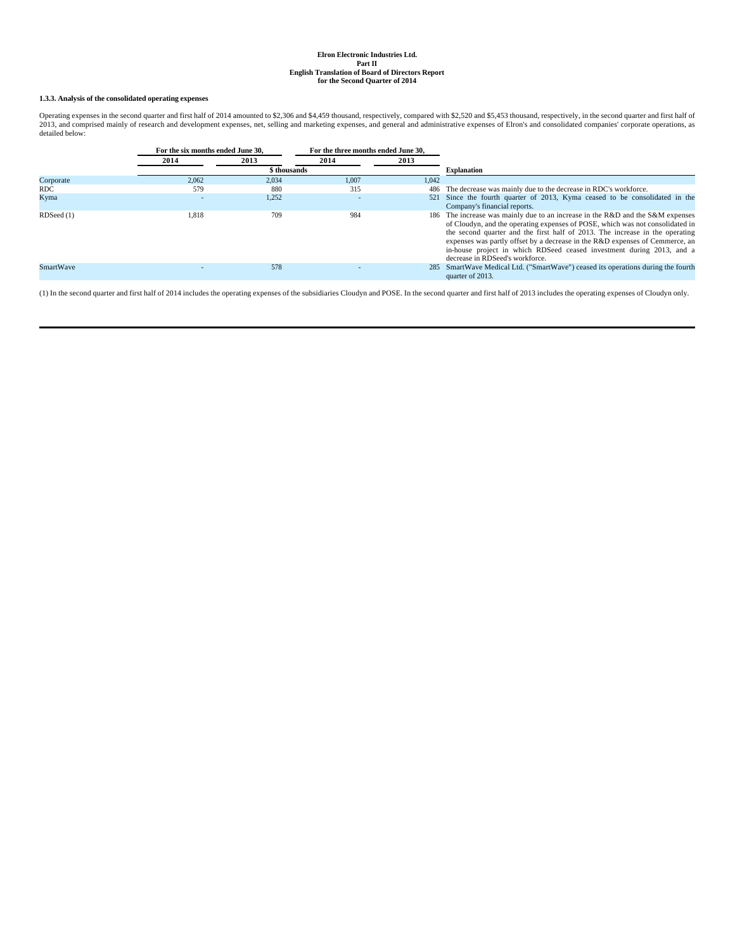## **1.3.3. Analysis of the consolidated operating expenses**

Operating expenses in the second quarter and first half of 2014 amounted to \$2,306 and \$4,459 thousand, respectively, compared with \$2,520 and \$5,453 thousand, respectively, in the second quarter and first half of<br>2013, an detailed below:

|                  | For the six months ended June 30, |              | For the three months ended June 30, |       |                                                                                                                                                                                                                                                                                                                                                                                                                                             |
|------------------|-----------------------------------|--------------|-------------------------------------|-------|---------------------------------------------------------------------------------------------------------------------------------------------------------------------------------------------------------------------------------------------------------------------------------------------------------------------------------------------------------------------------------------------------------------------------------------------|
|                  | 2014                              | 2013         | 2014                                | 2013  |                                                                                                                                                                                                                                                                                                                                                                                                                                             |
|                  |                                   | \$ thousands |                                     |       | <b>Explanation</b>                                                                                                                                                                                                                                                                                                                                                                                                                          |
| Corporate        | 2.062                             | 2,034        | 1.007                               | 1.042 |                                                                                                                                                                                                                                                                                                                                                                                                                                             |
| RDC.             | 579                               | 880          | 315                                 |       | 486 The decrease was mainly due to the decrease in RDC's workforce.                                                                                                                                                                                                                                                                                                                                                                         |
| Kyma             | $\overline{\phantom{a}}$          | 1,252        | $\overline{\phantom{a}}$            |       | 521 Since the fourth quarter of 2013, Kyma ceased to be consolidated in the<br>Company's financial reports.                                                                                                                                                                                                                                                                                                                                 |
| RDSeed (1)       | 1.818                             | 709          | 984                                 |       | 186 The increase was mainly due to an increase in the R&D and the S&M expenses<br>of Cloudyn, and the operating expenses of POSE, which was not consolidated in<br>the second quarter and the first half of 2013. The increase in the operating<br>expenses was partly offset by a decrease in the R&D expenses of Cemmerce, an<br>in-house project in which RDSeed ceased investment during 2013, and a<br>decrease in RDSeed's workforce. |
| <b>SmartWave</b> | $\overline{\phantom{a}}$          | 578          |                                     |       | 285 SmartWave Medical Ltd. ("SmartWave") ceased its operations during the fourth<br>quarter of 2013.                                                                                                                                                                                                                                                                                                                                        |

(1) In the second quarter and first half of 2014 includes the operating expenses of the subsidiaries Cloudyn and POSE. In the second quarter and first half of 2013 includes the operating expenses of Cloudyn only.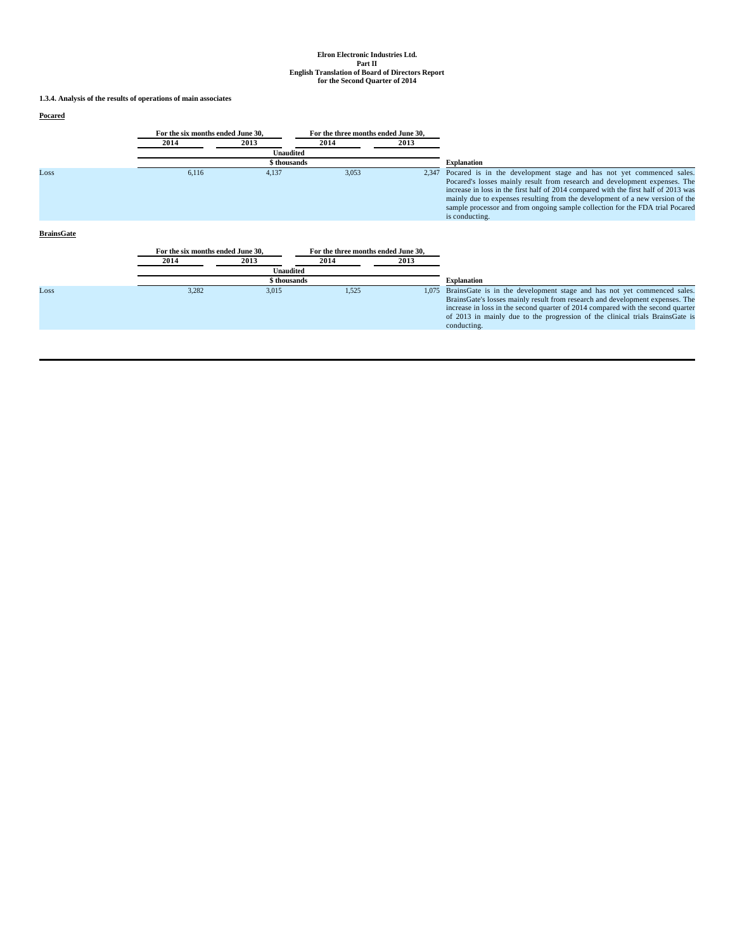**1.3.4. Analysis of the results of operations of main associates**

## **Pocared**

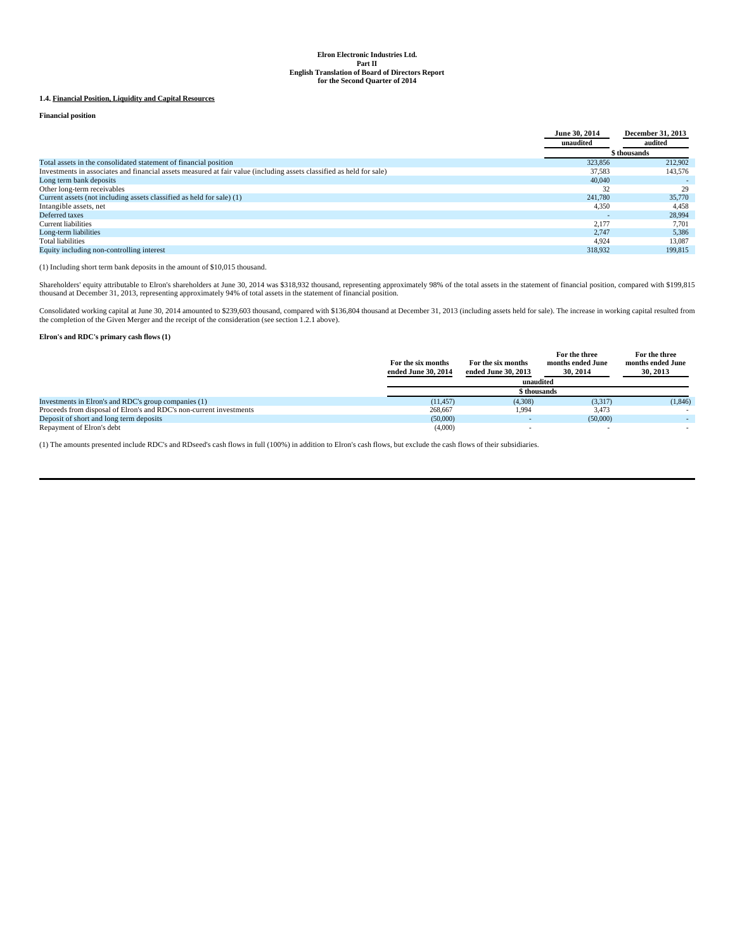## **1.4. Financial Position, Liquidity and Capital Resources**

**Financial position**

|                                                                                                                      | June 30, 2014 | <b>December 31, 2013</b> |
|----------------------------------------------------------------------------------------------------------------------|---------------|--------------------------|
|                                                                                                                      | unaudited     | audited                  |
|                                                                                                                      |               | \$ thousands             |
| Total assets in the consolidated statement of financial position                                                     | 323,856       | 212,902                  |
| Investments in associates and financial assets measured at fair value (including assets classified as held for sale) | 37.583        | 143,576                  |
| Long term bank deposits                                                                                              | 40,040        |                          |
| Other long-term receivables                                                                                          | 32            | 29                       |
| Current assets (not including assets classified as held for sale) (1)                                                | 241,780       | 35,770                   |
| Intangible assets, net                                                                                               | 4,350         | 4,458                    |
| Deferred taxes                                                                                                       |               | 28,994                   |
| <b>Current liabilities</b>                                                                                           | 2.177         | 7.701                    |
| Long-term liabilities                                                                                                | 2.747         | 5,386                    |
| Total liabilities                                                                                                    | 4.924         | 13.087                   |
| Equity including non-controlling interest                                                                            | 318,932       | 199,815                  |

(1) Including short term bank deposits in the amount of \$10,015 thousand.

Shareholders' equity attributable to Elron's shareholders at June 30, 2014 was \$318,932 thousand, representing approximately 98% of the total assets in the statement of financial position, compared with \$199,815<br>thousand a

Consolidated working capital at June 30, 2014 amounted to \$239,603 thousand, compared with \$136,804 thousand at December 31, 2013 (including assets held for sale). The increase in working capital resulted from the completion of the Given Merger and the receipt of the consideration (see section 1.2.1 above).

**Elron's and RDC's primary cash flows (1)**

|                                                                     | For the six months<br>ended June 30, 2014 | For the six months<br>ended June 30, 2013<br>unaudited | For the three<br>months ended June<br>30, 2014 | For the three<br>months ended June<br>30, 2013 |
|---------------------------------------------------------------------|-------------------------------------------|--------------------------------------------------------|------------------------------------------------|------------------------------------------------|
|                                                                     |                                           | \$ thousands                                           |                                                |                                                |
| Investments in Elron's and RDC's group companies (1)                | (11.457)                                  | (4,308)                                                | (3,317)                                        | (1, 846)                                       |
| Proceeds from disposal of Elron's and RDC's non-current investments | 268,667                                   | 1.994                                                  | 3,473                                          | $\sim$                                         |
| Deposit of short and long term deposits                             | (50,000)                                  |                                                        | (50,000)                                       | $\sim$                                         |
| Repayment of Elron's debt                                           | (4,000)                                   |                                                        |                                                |                                                |

(1) The amounts presented include RDC's and RDseed's cash flows in full (100%) in addition to Elron's cash flows, but exclude the cash flows of their subsidiaries.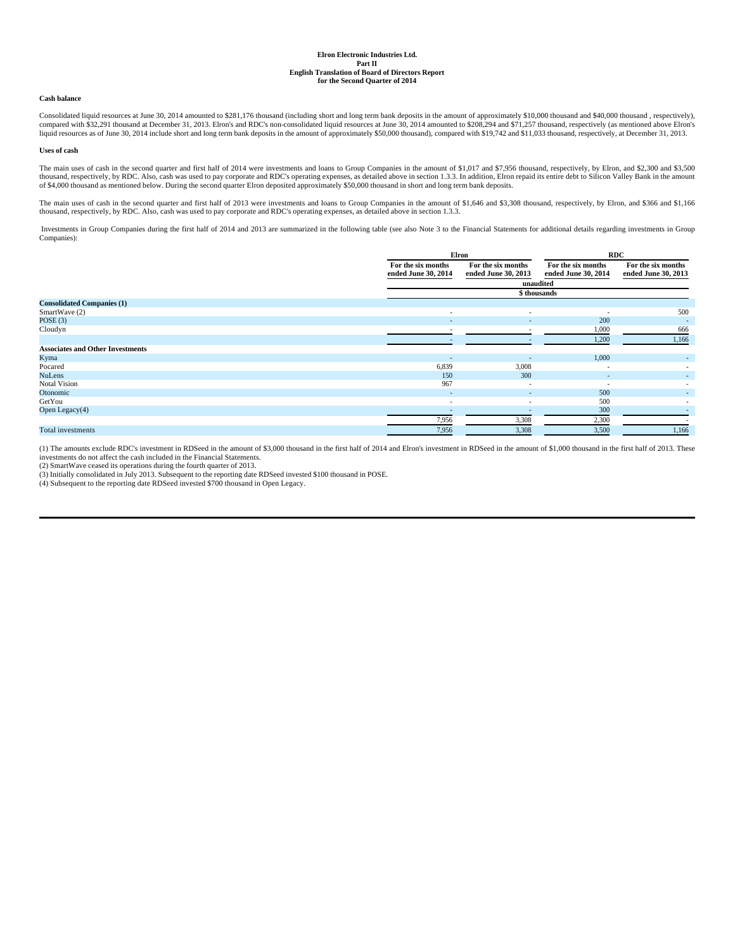## **Cash balance**

Consolidated liquid resources at June 30, 2014 amounted to \$281,176 thousand (including short and long term bank deposits in the amount of approximately \$10,000 thousand and \$40,000 thousand , respectively), compared with \$32,291 thousand at December 31, 2013. Elron's and RDC's non-consolidated liquid resources at June 30, 2014 amounted to \$208,294 and \$71,257 thousand, respectively (as mentioned above Elron's liquid resources as of June 30, 2014 include short and long term bank deposits in the amount of approximately \$50,000 thousand), compared with \$19,742 and \$11,033 thousand, respectively, at December 31, 2013.

#### **Uses of cash**

The main uses of cash in the second quarter and first half of 2014 were investments and loans to Group Companies in the amount of \$1,017 and \$7,956 thousand, respectively, by Elron, and \$2,300 and \$3,500 thousand, respectively, by RDC. Also, cash was used to pay corporate and RDC's operating expenses, as detailed above in section 1.3.3. In addition, Elron repaid its entire debt to Silicon Valley Bank in the amount<br>of \$4,00

The main uses of cash in the second quarter and first half of 2013 were investments and loans to Group Companies in the amount of \$1,646 and \$3,308 thousand, respectively, by Elron, and \$366 and \$1,166 thousand, respectively, by RDC. Also, cash was used to pay corporate and RDC's operating expenses, as detailed above in section 1.3.3.

 Investments in Group Companies during the first half of 2014 and 2013 are summarized in the following table (see also Note 3 to the Financial Statements for additional details regarding investments in Group Companies):

|                                         | Elron                    |                     | <b>RDC</b>               |                          |
|-----------------------------------------|--------------------------|---------------------|--------------------------|--------------------------|
|                                         | For the six months       | For the six months  | For the six months       | For the six months       |
|                                         | ended June 30, 2014      | ended June 30, 2013 | ended June 30, 2014      | ended June 30, 2013      |
|                                         |                          |                     | unaudited                |                          |
|                                         |                          |                     | \$ thousands             |                          |
| <b>Consolidated Companies (1)</b>       |                          |                     |                          |                          |
| SmartWave (2)                           | $\overline{\phantom{a}}$ | $\sim$              | $\overline{\phantom{a}}$ | 500                      |
| POSE $(3)$                              | $\sim$                   | $\sim$              | 200                      | $\overline{\phantom{a}}$ |
| Cloudyn                                 | $\overline{\phantom{a}}$ | $\sim$              | 1,000                    | 666                      |
|                                         |                          |                     | 1,200                    | 1,166                    |
| <b>Associates and Other Investments</b> |                          |                     |                          |                          |
| Kyma                                    |                          |                     | 1,000                    | $\sim$                   |
| Pocared                                 | 6,839                    | 3,008               | $\overline{\phantom{a}}$ | $\sim$                   |
| <b>NuLens</b>                           | 150                      | 300                 | $\sim$                   | $\sim$                   |
| <b>Notal Vision</b>                     | 967                      | $\sim$              | $\overline{\phantom{a}}$ | $\sim$                   |
| Otonomic                                | $\overline{\phantom{a}}$ | $\sim$              | 500                      | $\sim$                   |
| GetYou                                  | $\overline{\phantom{a}}$ | $\sim$              | 500                      |                          |
| Open Legacy $(4)$                       |                          |                     | 300                      |                          |
|                                         | 7,956                    | 3,308               | 2,300                    |                          |
| Total investments                       | 7,956                    | 3,308               | 3,500                    | 1,166                    |

(1) The amounts exclude RDC's investment in RDSeed in the amount of \$3,000 thousand in the first half of 2014 and Elron's investment in RDSeed in the amount of \$1,000 thousand in the first half of 2013. These investments do not affect the cash included in the Financial Statements.

(2) SmartWave ceased its operations during the fourth quarter of 2013.

(3) Initially consolidated in July 2013. Subsequent to the reporting date RDSeed invested \$100 thousand in POSE.

(4) Subsequent to the reporting date RDSeed invested \$700 thousand in Open Legacy.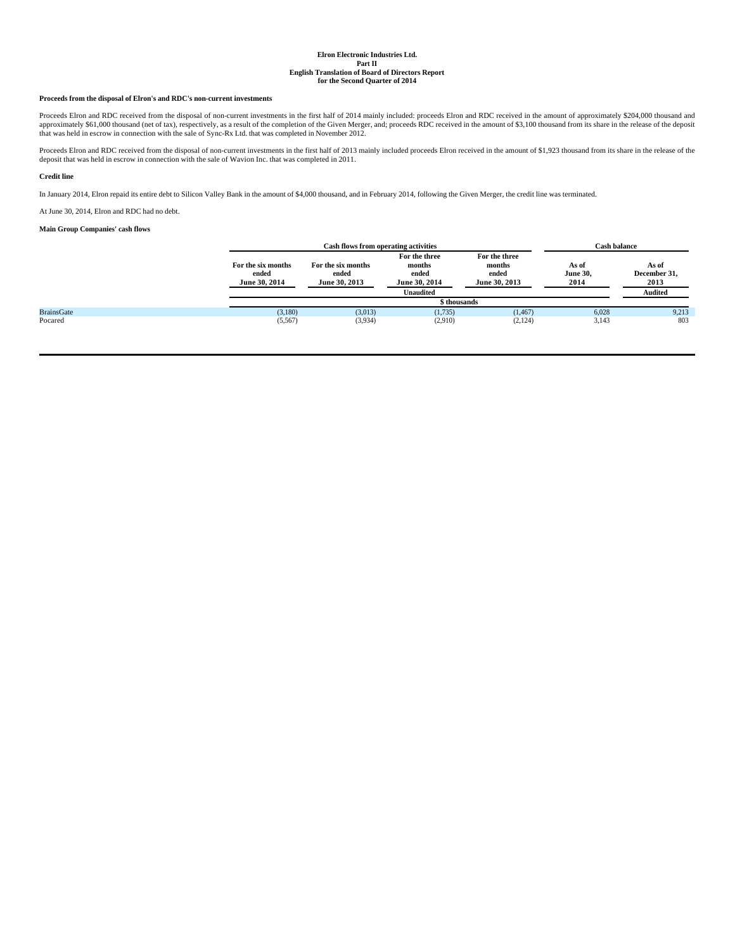## **Proceeds from the disposal of Elron's and RDC's non-current investments**

Proceeds Elron and RDC received from the disposal of non-current investments in the first half of 2014 mainly included: proceeds Elron and RDC received in the amount of approximately \$204,000 thousand and approximately \$20

Proceeds Elron and RDC received from the disposal of non-current investments in the first half of 2013 mainly included proceeds Elron received in the amount of \$1,923 thousand from its share in the release of the<br>deposit t

## **Credit line**

In January 2014, Elron repaid its entire debt to Silicon Valley Bank in the amount of \$4,000 thousand, and in February 2014, following the Given Merger, the credit line was terminated.

At June 30, 2014, Elron and RDC had no debt.

## **Main Group Companies' cash flows**

|                   | Cash flows from operating activities         |                                              |                                                                | <b>Cash balance</b>                               |                                  |                                                 |
|-------------------|----------------------------------------------|----------------------------------------------|----------------------------------------------------------------|---------------------------------------------------|----------------------------------|-------------------------------------------------|
|                   | For the six months<br>ended<br>June 30, 2014 | For the six months<br>ended<br>June 30, 2013 | For the three<br>months<br>ended<br>June 30, 2014<br>Unaudited | For the three<br>months<br>ended<br>June 30, 2013 | As of<br><b>June 30,</b><br>2014 | As of<br>December 31,<br>2013<br><b>Audited</b> |
|                   |                                              |                                              | \$thousands                                                    |                                                   |                                  |                                                 |
| <b>BrainsGate</b> | (3,180)                                      | (3,013)                                      | (1,735)                                                        | (1, 467)                                          | 6,028                            | 9,213                                           |
| Pocared           | (5,567)                                      | (3,934)                                      | (2.910)                                                        | (2, 124)                                          | 3,143                            | 803                                             |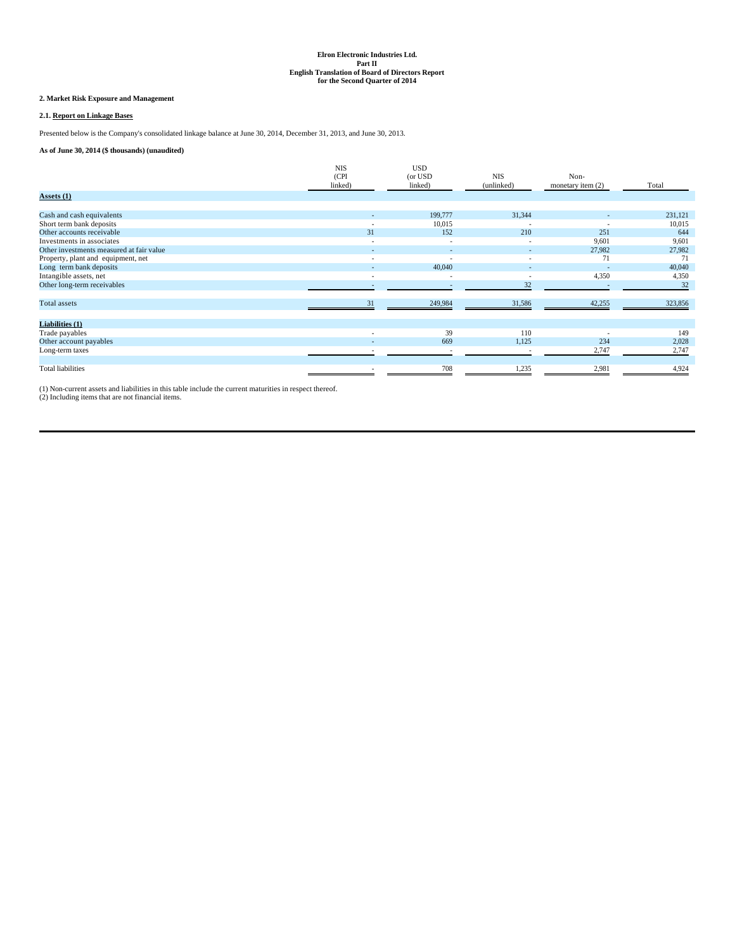# **2. Market Risk Exposure and Management**

# **2.1. Report on Linkage Bases**

Presented below is the Company's consolidated linkage balance at June 30, 2014, December 31, 2013, and June 30, 2013.

**As of June 30, 2014 (\$ thousands) (unaudited)**

|                                          | <b>NIS</b>               | <b>USD</b> |            |                     |         |
|------------------------------------------|--------------------------|------------|------------|---------------------|---------|
|                                          | (CPI                     | (or USD    | <b>NIS</b> | Non-                |         |
|                                          | linked)                  | linked)    | (unlinked) | monetary item $(2)$ | Total   |
| Assets $(1)$                             |                          |            |            |                     |         |
| Cash and cash equivalents                |                          | 199,777    | 31,344     | ٠                   | 231,121 |
| Short term bank deposits                 | $\overline{\phantom{a}}$ | 10,015     |            |                     | 10,015  |
| Other accounts receivable                | 31                       | 152        | 210        | 251                 | 644     |
| Investments in associates                | $\overline{\phantom{a}}$ | $\sim$     | $\sim$     | 9,601               | 9,601   |
| Other investments measured at fair value |                          |            |            | 27,982              | 27,982  |
| Property, plant and equipment, net       | $\overline{\phantom{a}}$ | $\sim$     | $\sim$     | 71                  | 71      |
| Long term bank deposits                  |                          | 40,040     |            |                     | 40,040  |
| Intangible assets, net                   | $\overline{\phantom{a}}$ | $\sim$     | $\sim$     | 4,350               | 4,350   |
| Other long-term receivables              |                          |            | 32         |                     | 32      |
| Total assets                             | 31                       | 249,984    | 31,586     | 42,255              | 323,856 |
| Liabilities (1)                          |                          |            |            |                     |         |
| Trade payables                           |                          | 39         | 110        |                     | 149     |
| Other account payables                   |                          | 669        | 1,125      | 234                 | 2,028   |
| Long-term taxes                          |                          |            |            | 2,747               | 2,747   |
| <b>Total liabilities</b>                 |                          | 708        | 1,235      | 2,981               | 4,924   |

(1) Non-current assets and liabilities in this table include the current maturities in respect thereof. (2) Including items that are not financial items.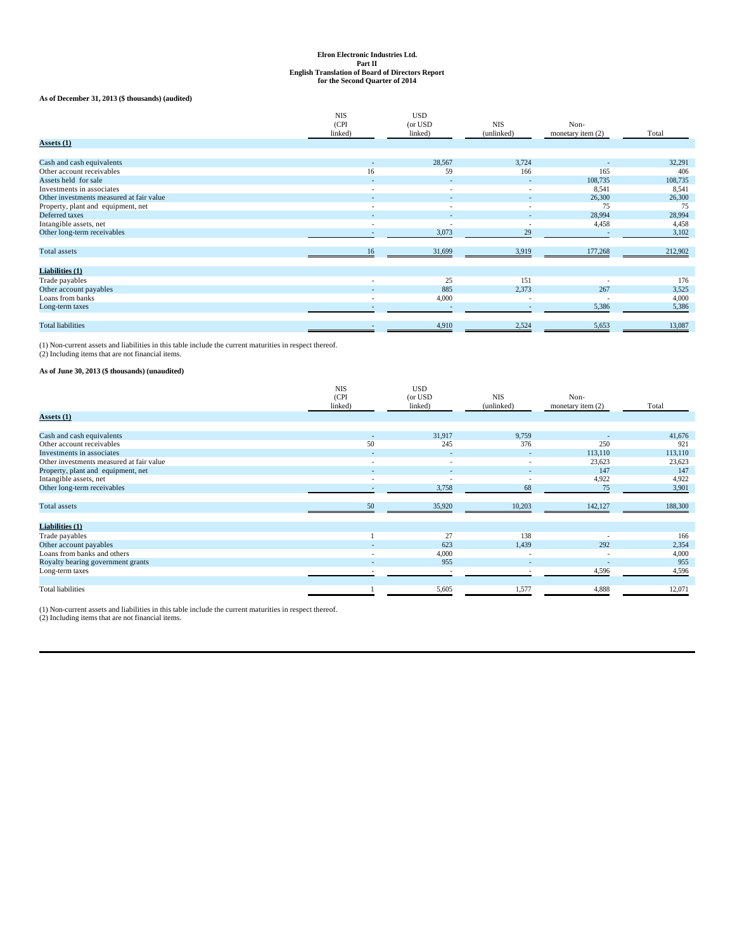## **As of December 31, 2013 (\$ thousands) (audited)**

|                                          | <b>NIS</b><br>(CPI)      | <b>USD</b><br>(or USD    | <b>NIS</b> | Non-                |         |
|------------------------------------------|--------------------------|--------------------------|------------|---------------------|---------|
|                                          | linked)                  | linked)                  | (unlinked) | monetary item $(2)$ | Total   |
| Assets (1)                               |                          |                          |            |                     |         |
|                                          |                          |                          |            |                     |         |
| Cash and cash equivalents                | $\overline{\phantom{a}}$ | 28,567                   | 3,724      |                     | 32,291  |
| Other account receivables                | 16                       | 59                       | 166        | 165                 | 406     |
| Assets held for sale                     | ۰                        |                          |            | 108,735             | 108,735 |
| Investments in associates                | $\overline{\phantom{a}}$ | $\sim$                   | $\sim$     | 8,541               | 8,541   |
| Other investments measured at fair value |                          |                          |            | 26,300              | 26,300  |
| Property, plant and equipment, net       | ٠                        | $\overline{\phantom{a}}$ | $\sim$     | 75                  | 75      |
| Deferred taxes                           |                          |                          |            | 28,994              | 28,994  |
| Intangible assets, net                   | ٠                        |                          |            | 4,458               | 4,458   |
| Other long-term receivables              | ۰                        | 3,073                    | 29         |                     | 3,102   |
|                                          |                          |                          |            |                     |         |
| Total assets                             | 16                       | 31,699                   | 3,919      | 177,268             | 212,902 |
|                                          |                          |                          |            |                     |         |
| <b>Liabilities (1)</b>                   |                          |                          |            |                     |         |
| Trade payables                           | ٠                        | 25                       | 151        |                     | 176     |
| Other account payables                   |                          | 885                      | 2,373      | 267                 | 3,525   |
| Loans from banks                         | ٠                        | 4,000                    | <b>.</b>   | ٠                   | 4,000   |
| Long-term taxes                          | ۰                        |                          | $\sim$     | 5,386               | 5,386   |
|                                          |                          |                          |            |                     |         |
| <b>Total liabilities</b>                 | ۰                        | 4,910                    | 2,524      | 5,653               | 13,087  |

(1) Non-current assets and liabilities in this table include the current maturities in respect thereof. (2) Including items that are not financial items.

# **As of June 30, 2013 (\$ thousands) (unaudited)**

|                                          | <b>NIS</b><br>(CPI)<br>linked) | <b>USD</b><br>(or USD<br>linked) | <b>NIS</b><br>(unlinked) | Non-<br>monetary item (2) | Total   |
|------------------------------------------|--------------------------------|----------------------------------|--------------------------|---------------------------|---------|
| Assets $(1)$                             |                                |                                  |                          |                           |         |
|                                          |                                |                                  |                          |                           |         |
| Cash and cash equivalents                | ۰.                             | 31,917                           | 9,759                    | $\sim$                    | 41,676  |
| Other account receivables                | 50                             | 245                              | 376                      | 250                       | 921     |
| Investments in associates                | $\overline{\phantom{a}}$       | $\overline{\phantom{a}}$         | ٠                        | 113,110                   | 113,110 |
| Other investments measured at fair value | $\overline{\phantom{a}}$       | $\sim$                           | $\sim$                   | 23,623                    | 23,623  |
| Property, plant and equipment, net       | ۰.                             |                                  | ۰.                       | 147                       | 147     |
| Intangible assets, net                   | $\overline{\phantom{a}}$       | ٠                                | $\sim$                   | 4,922                     | 4,922   |
| Other long-term receivables              | $\overline{\phantom{a}}$       | 3,758                            | 68                       | 75                        | 3,901   |
|                                          |                                |                                  |                          |                           |         |
| Total assets                             | 50                             | 35,920                           | 10,203                   | 142,127                   | 188,300 |
|                                          |                                |                                  |                          |                           |         |
| Liabilities (1)                          |                                |                                  |                          |                           |         |
| Trade payables                           |                                | 27                               | 138                      | $\overline{\phantom{a}}$  | 166     |
| Other account payables                   |                                | 623                              | 1,439                    | 292                       | 2,354   |
| Loans from banks and others              | $\overline{\phantom{a}}$       | 4,000                            | $\overline{\phantom{a}}$ | $\overline{\phantom{a}}$  | 4,000   |
| Royalty bearing government grants        |                                | 955                              |                          |                           | 955     |
| Long-term taxes                          |                                |                                  |                          | 4,596                     | 4,596   |
|                                          |                                |                                  |                          |                           |         |
| <b>Total liabilities</b>                 |                                | 5,605                            | 1,577                    | 4,888                     | 12,071  |

(1) Non-current assets and liabilities in this table include the current maturities in respect thereof. (2) Including items that are not financial items.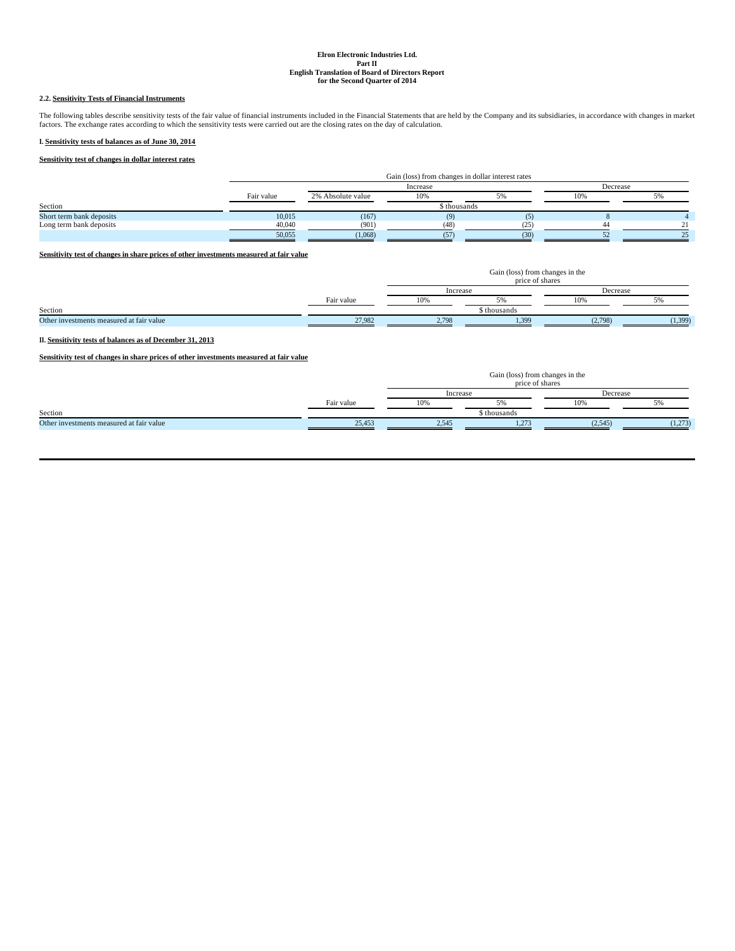## **2.2. Sensitivity Tests of Financial Instruments**

The following tables describe sensitivity tests of the fair value of financial instruments included in the Financial Statements that are held by the Company and its subsidiaries, in accordance with changes in market<br>factor

## **I. Sensitivity tests of balances as of June 30, 2014**

# **Sensitivity test of changes in dollar interest rates**

|                          |            | Gain (loss) from changes in dollar interest rates |              |      |          |  |  |
|--------------------------|------------|---------------------------------------------------|--------------|------|----------|--|--|
|                          |            |                                                   | Increase     |      | Decrease |  |  |
|                          | Fair value | 2% Absolute value                                 | 10%          |      | 10%      |  |  |
| Section                  |            |                                                   | \$ thousands |      |          |  |  |
| Short term bank deposits | 10,015     | (167)                                             |              |      |          |  |  |
| Long term bank deposits  | 40,040     | (901)                                             | (48)         | ′າ5  |          |  |  |
|                          | 50,055     | (1,068)                                           | (57)         | (30) |          |  |  |

## **Sensitivity test of changes in share prices of other investments measured at fair value**

|                                          |            | Gain (loss) from changes in the<br>price of shares |              |          |          |  |  |  |
|------------------------------------------|------------|----------------------------------------------------|--------------|----------|----------|--|--|--|
|                                          |            | Increase                                           |              | Decrease |          |  |  |  |
|                                          | Fair value | 10%                                                |              |          |          |  |  |  |
| Section                                  |            |                                                    | \$ thousands |          |          |  |  |  |
| Other investments measured at fair value | 27.982     | 2.798                                              | 1.399        | (2,798)  | (1, 399) |  |  |  |

## **II. Sensitivity tests of balances as of December 31, 2013**

**Sensitivity test of changes in share prices of other investments measured at fair value**

|                                          |            | Gain (loss) from changes in the<br>price of shares |              |          |         |  |  |
|------------------------------------------|------------|----------------------------------------------------|--------------|----------|---------|--|--|
|                                          |            | Increase                                           |              | Decrease |         |  |  |
|                                          | Fair value | 10%                                                | J 70         | 10%      | ול ג    |  |  |
| Section                                  |            |                                                    | \$ thousands |          |         |  |  |
| Other investments measured at fair value | 25.453     | 2.545                                              | 1.273        | (2,545)  | (1,273) |  |  |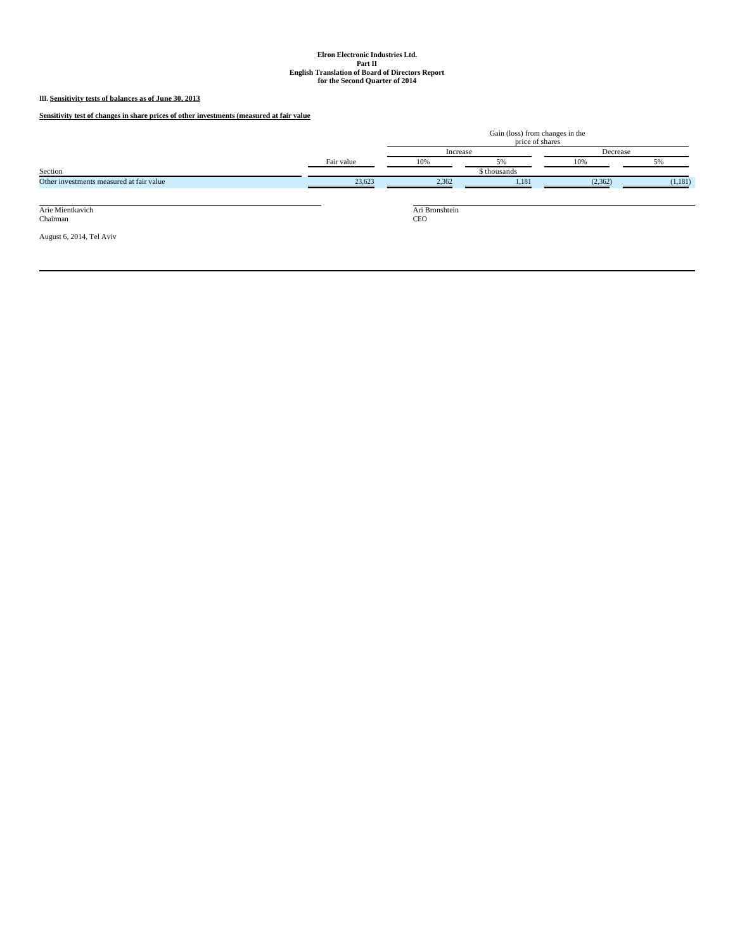# **III. Sensitivity tests of balances as of June 30, 2013**

**Sensitivity test of changes in share prices of other investments (measured at fair value**

|                                          |            | Gain (loss) from changes in the<br>price of shares |              |          |         |  |  |
|------------------------------------------|------------|----------------------------------------------------|--------------|----------|---------|--|--|
|                                          |            | Increase                                           |              | Decrease |         |  |  |
|                                          | Fair value | 10%                                                | 5%           | 10%      | 5%      |  |  |
| Section                                  |            |                                                    | \$ thousands |          |         |  |  |
| Other investments measured at fair value | 23,623     | 2,362                                              | 1,181        | (2,362)  | (1,181) |  |  |
| Arie Mientkavich                         |            | Ari Bronshtein                                     |              |          |         |  |  |
| Chairman                                 |            | <b>CEO</b>                                         |              |          |         |  |  |
| August 6, 2014, Tel Aviv                 |            |                                                    |              |          |         |  |  |
|                                          |            |                                                    |              |          |         |  |  |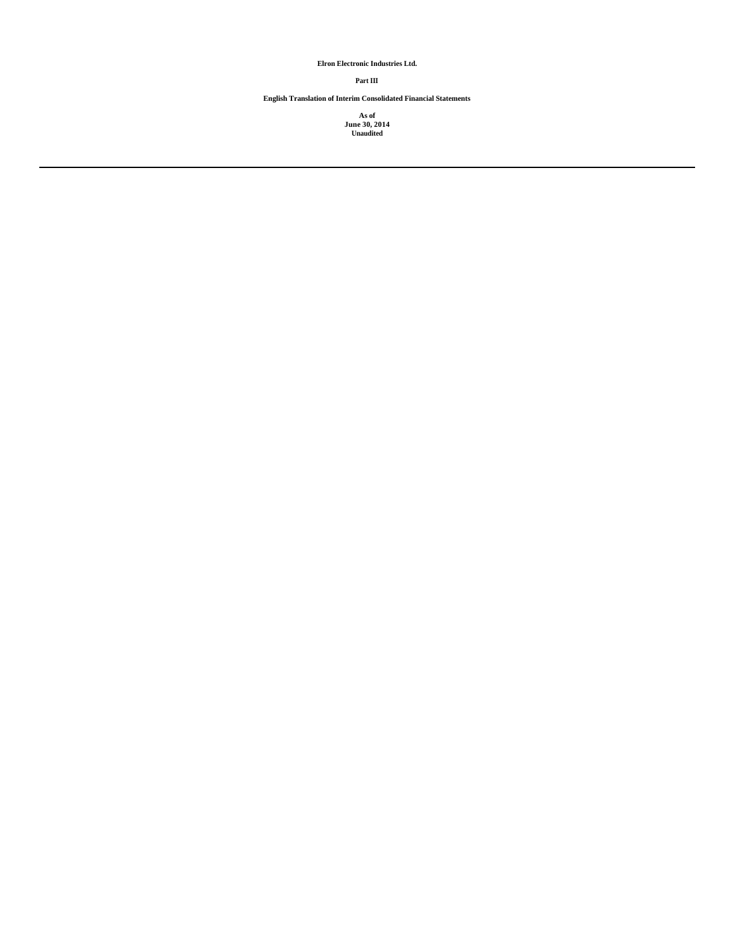**Elron Electronic Industries Ltd.**

## **Part III**

**English Translation of Interim Consolidated Financial Statements**

**As of June 30, 2014 Unaudited**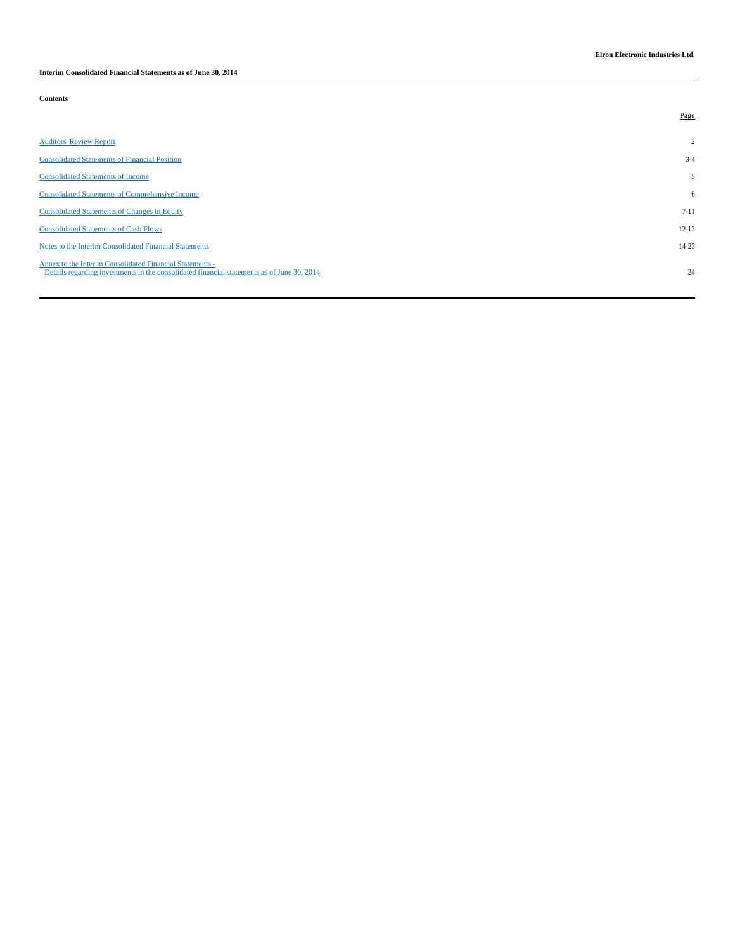**Interim Consolidated Financial Statements as of June 30, 2014**

**Contents**

|                                                                                                                                                        | Page           |
|--------------------------------------------------------------------------------------------------------------------------------------------------------|----------------|
| <b>Auditors' Review Report</b>                                                                                                                         | $\overline{2}$ |
| <b>Consolidated Statements of Financial Position</b>                                                                                                   | $3 - 4$        |
| <b>Consolidated Statements of Income</b>                                                                                                               | 5              |
| <b>Consolidated Statements of Comprehensive Income</b>                                                                                                 | 6              |
| <b>Consolidated Statements of Changes in Equity</b>                                                                                                    | $7 - 11$       |
| <b>Consolidated Statements of Cash Flows</b>                                                                                                           | $12 - 13$      |
| Notes to the Interim Consolidated Financial Statements                                                                                                 | $14 - 23$      |
| Annex to the Interim Consolidated Financial Statements -<br>Details regarding investments in the consolidated financial statements as of June 30, 2014 | 24             |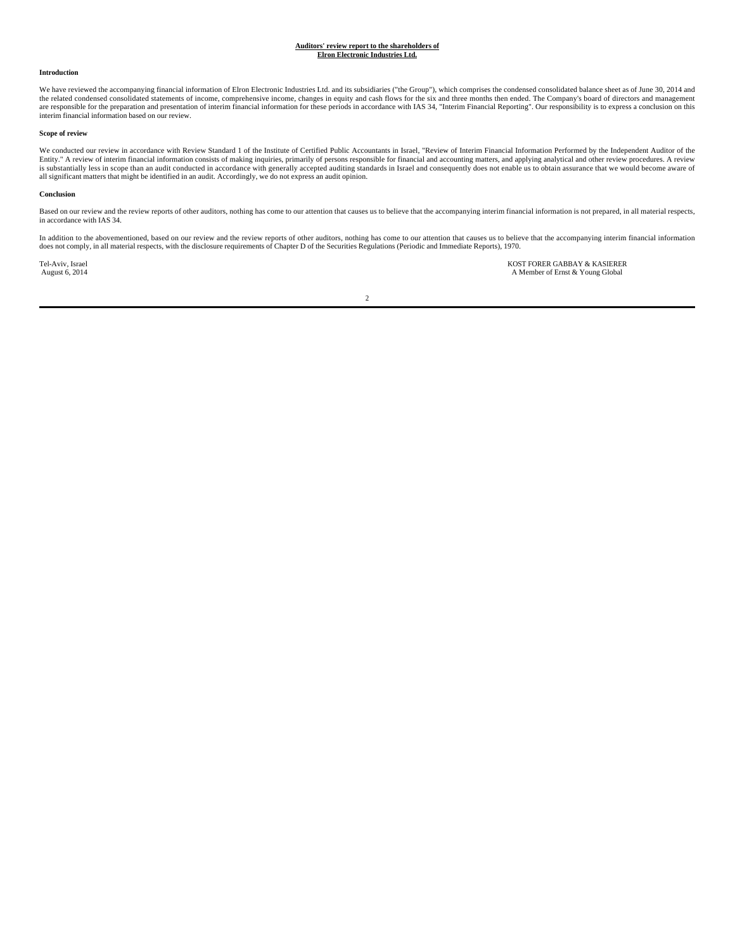#### **Introduction**

We have reviewed the accompanying financial information of Elron Electronic Industries Ltd. and its subsidiaries ("the Group"), which comprises the condensed consolidated balance sheet as of June 30, 2014 and the related condensed consolidated statements of income, comprehensive income, changes in equity and cash flows for the six and three months then ended. The Company's board of directors and management are responsible for the preparation and presentation of interim financial information for these periods in accordance with IAS 34, "Interim Financial Reporting". Our responsibility is to express a conclusion on this interim financial information based on our review.

## **Scope of review**

We conducted our review in accordance with Review Standard 1 of the Institute of Certified Public Accountants in Israel, "Review of Interim Financial Information Performed by the Independent Auditor of the Entity." A review of interim financial information consists of making inquiries, primarily of persons responsible for financial and accounting matters, and applying analytical and other review procedures. A review<br>is subst all significant matters that might be identified in an audit. Accordingly, we do not express an audit opinion.

## **Conclusion**

Based on our review and the review reports of other auditors, nothing has come to our attention that causes us to believe that the accompanying interim financial information is not prepared, in all material respects, in accordance with IAS 34.

In addition to the abovementioned, based on our review and the review reports of other auditors, nothing has come to our attention that causes us to believe that the accompanying interim financial information<br>does not comp

Tel-Aviv, Israel KOST FORER GABBAY & KASIERER<br>August 6, 2014 **Research August 6, 2014** A Member of Ernst & Young Global A Member of Ernst & Young Global

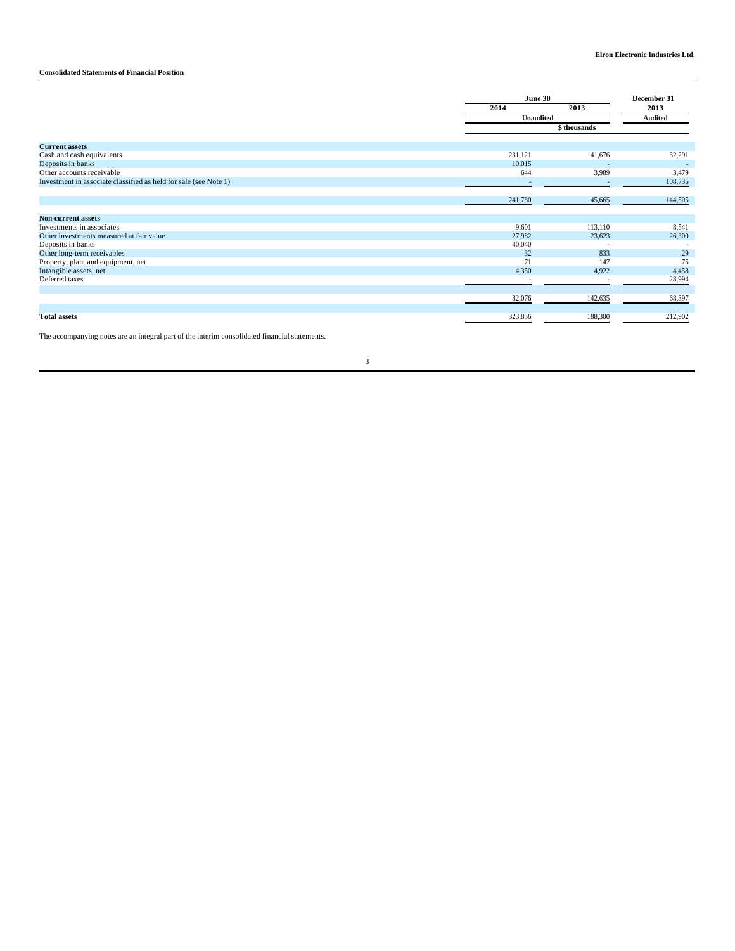# **Consolidated Statements of Financial Position**

|                                                                  | June 30   |              | December 31              |  |
|------------------------------------------------------------------|-----------|--------------|--------------------------|--|
|                                                                  | 2014      | 2013         | 2013<br><b>Audited</b>   |  |
|                                                                  | Unaudited |              |                          |  |
|                                                                  |           | \$ thousands |                          |  |
| <b>Current assets</b>                                            |           |              |                          |  |
| Cash and cash equivalents                                        | 231,121   | 41,676       | 32,291                   |  |
| Deposits in banks                                                | 10,015    |              | $\overline{\phantom{a}}$ |  |
| Other accounts receivable                                        | 644       | 3,989        | 3,479                    |  |
| Investment in associate classified as held for sale (see Note 1) | ٠         |              | 108,735                  |  |
|                                                                  |           |              |                          |  |
|                                                                  | 241,780   | 45,665       | 144,505                  |  |
|                                                                  |           |              |                          |  |
| <b>Non-current assets</b>                                        |           |              |                          |  |
| Investments in associates                                        | 9,601     | 113,110      | 8,541                    |  |
| Other investments measured at fair value                         | 27,982    | 23,623       | 26,300                   |  |
| Deposits in banks                                                | 40,040    |              |                          |  |
| Other long-term receivables                                      | 32        | 833          | 29                       |  |
| Property, plant and equipment, net                               | 71        | 147          | 75                       |  |
| Intangible assets, net                                           | 4,350     | 4,922        | 4,458                    |  |
| Deferred taxes                                                   |           |              | 28,994                   |  |
|                                                                  |           |              |                          |  |
|                                                                  | 82,076    | 142,635      | 68,397                   |  |
|                                                                  |           |              |                          |  |
| <b>Total assets</b>                                              | 323,856   | 188,300      | 212,902                  |  |

The accompanying notes are an integral part of the interim consolidated financial statements.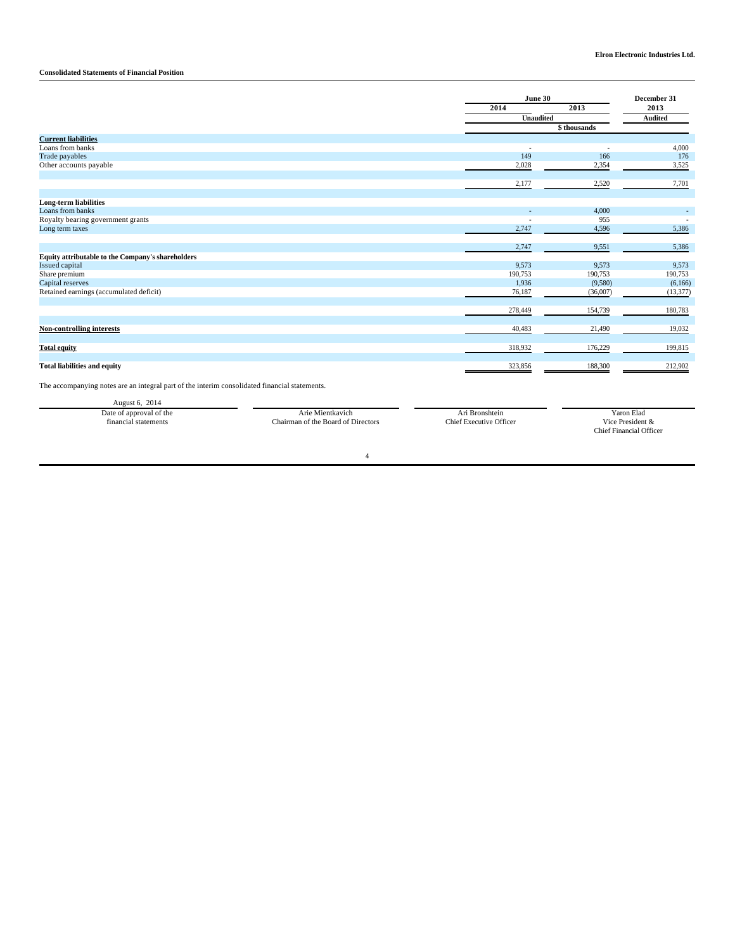# **Consolidated Statements of Financial Position**

|                                                   |                  | June 30     |                |  |
|---------------------------------------------------|------------------|-------------|----------------|--|
|                                                   | 2014             | 2013        | 2013           |  |
|                                                   | <b>Unaudited</b> |             | <b>Audited</b> |  |
|                                                   |                  | \$thousands |                |  |
| <b>Current liabilities</b>                        |                  |             |                |  |
| Loans from banks                                  |                  |             | 4,000          |  |
| Trade payables                                    | 149              | 166         | 176            |  |
| Other accounts payable                            | 2,028            | 2,354       | 3,525          |  |
|                                                   |                  |             |                |  |
|                                                   | 2,177            | 2,520       | 7,701          |  |
| <b>Long-term liabilities</b>                      |                  |             |                |  |
| Loans from banks                                  |                  | 4,000       |                |  |
| Royalty bearing government grants                 |                  | 955         |                |  |
| Long term taxes                                   | 2,747            | 4,596       | 5,386          |  |
|                                                   |                  |             |                |  |
|                                                   | 2,747            | 9,551       | 5,386          |  |
| Equity attributable to the Company's shareholders |                  |             |                |  |
| <b>Issued capital</b>                             | 9,573            | 9,573       | 9,573          |  |
| Share premium                                     | 190,753          | 190,753     | 190,753        |  |
| Capital reserves                                  | 1,936            | (9,580)     | (6,166)        |  |
| Retained earnings (accumulated deficit)           | 76,187           | (36,007)    | (13, 377)      |  |
|                                                   | 278,449          | 154,739     | 180,783        |  |
|                                                   |                  |             |                |  |
| <b>Non-controlling interests</b>                  | 40,483           | 21,490      | 19,032         |  |
| <b>Total equity</b>                               | 318,932          | 176,229     | 199,815        |  |
|                                                   |                  |             |                |  |
| <b>Total liabilities and equity</b>               | 323,856          | 188,300     | 212,902        |  |

The accompanying notes are an integral part of the interim consolidated financial statements.

August 6, 2014 Date of approval of the Arie Mientkavich Arie Mientkavich Arie Mientkavich Arie Mienters (Paris et al. 2001)<br>Chairman of the Board of Directors Chief Executive Officer Vice President & financial statements Yaron Elad<br>Vice President &<br>Chief Financial Officer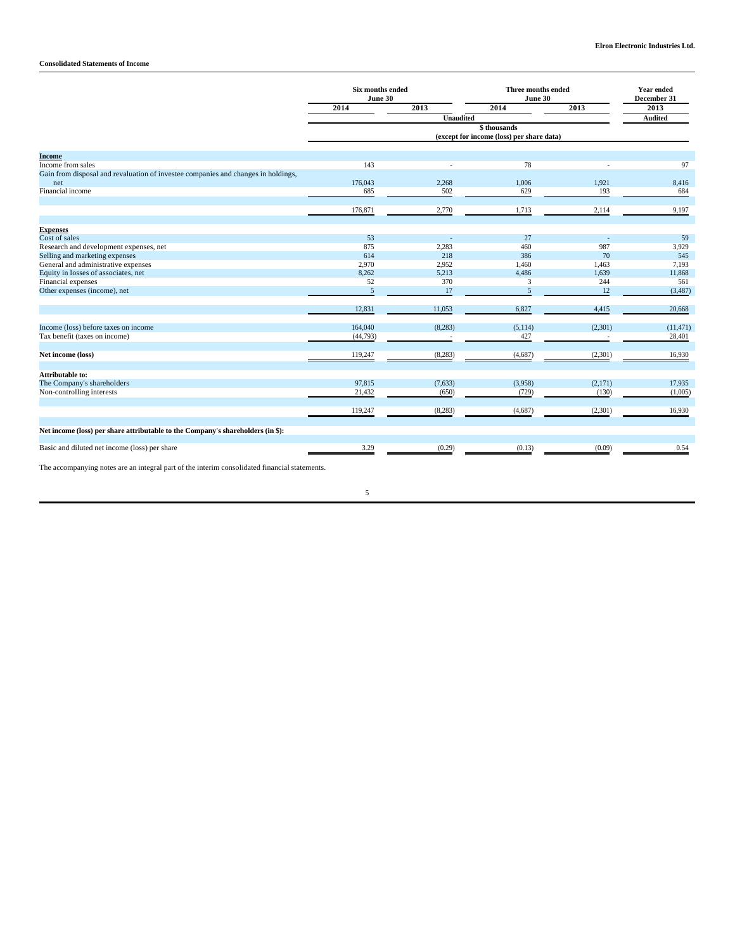|                                                                                               | <b>Six months ended</b><br>June 30 |                                           | Three months ended<br>June 30 |         | <b>Year ended</b><br>December 31 |
|-----------------------------------------------------------------------------------------------|------------------------------------|-------------------------------------------|-------------------------------|---------|----------------------------------|
|                                                                                               | 2014                               | 2013                                      | 2014                          | 2013    | 2013                             |
|                                                                                               |                                    | <b>Unaudited</b>                          |                               |         | <b>Audited</b>                   |
|                                                                                               |                                    | (except for income (loss) per share data) |                               |         |                                  |
| <b>Income</b>                                                                                 |                                    |                                           |                               |         |                                  |
| Income from sales                                                                             | 143                                |                                           | 78                            |         | 97                               |
| Gain from disposal and revaluation of investee companies and changes in holdings,             |                                    |                                           |                               |         |                                  |
| net                                                                                           | 176,043                            | 2,268                                     | 1,006                         | 1,921   | 8,416                            |
| Financial income                                                                              | 685                                | 502                                       | 629                           | 193     | 684                              |
|                                                                                               |                                    |                                           |                               |         |                                  |
|                                                                                               | 176,871                            | 2,770                                     | 1,713                         | 2,114   | 9,197                            |
|                                                                                               |                                    |                                           |                               |         |                                  |
| <b>Expenses</b>                                                                               |                                    |                                           |                               |         |                                  |
| Cost of sales                                                                                 | 53                                 |                                           | 27                            |         | 59                               |
| Research and development expenses, net                                                        | 875                                | 2,283                                     | 460                           | 987     | 3,929                            |
| Selling and marketing expenses                                                                | 614                                | 218                                       | 386                           | 70      | 545                              |
| General and administrative expenses                                                           | 2,970                              | 2,952                                     | 1.460                         | 1,463   | 7,193                            |
| Equity in losses of associates, net                                                           | 8,262                              | 5,213                                     | 4,486                         | 1,639   | 11,868                           |
| Financial expenses                                                                            | 52                                 | 370                                       | 3                             | 244     | 561                              |
| Other expenses (income), net                                                                  | 5                                  | 17                                        | 5                             | 12      | (3,487)                          |
|                                                                                               | 12,831                             | 11,053                                    | 6,827                         | 4,415   | 20,668                           |
| Income (loss) before taxes on income                                                          | 164,040                            | (8, 283)                                  | (5, 114)                      | (2,301) | (11, 471)                        |
| Tax benefit (taxes on income)                                                                 | (44, 793)                          |                                           | 427                           |         | 28,401                           |
|                                                                                               |                                    |                                           |                               |         |                                  |
| Net income (loss)                                                                             | 119,247                            | (8, 283)                                  | (4,687)                       | (2,301) | 16,930                           |
|                                                                                               |                                    |                                           |                               |         |                                  |
| <b>Attributable to:</b>                                                                       |                                    |                                           |                               |         |                                  |
| The Company's shareholders                                                                    | 97,815                             | (7,633)                                   | (3,958)                       | (2,171) | 17,935                           |
| Non-controlling interests                                                                     | 21,432                             | (650)                                     | (729)                         | (130)   | (1,005)                          |
|                                                                                               | 119,247                            | (8, 283)                                  | (4,687)                       | (2,301) | 16,930                           |
|                                                                                               |                                    |                                           |                               |         |                                  |
| Net income (loss) per share attributable to the Company's shareholders (in \$):               |                                    |                                           |                               |         |                                  |
| Basic and diluted net income (loss) per share                                                 | 3.29                               | (0.29)                                    | (0.13)                        | (0.09)  | 0.54                             |
| The accompanying notes are an integral part of the interim consolidated financial statements. |                                    |                                           |                               |         |                                  |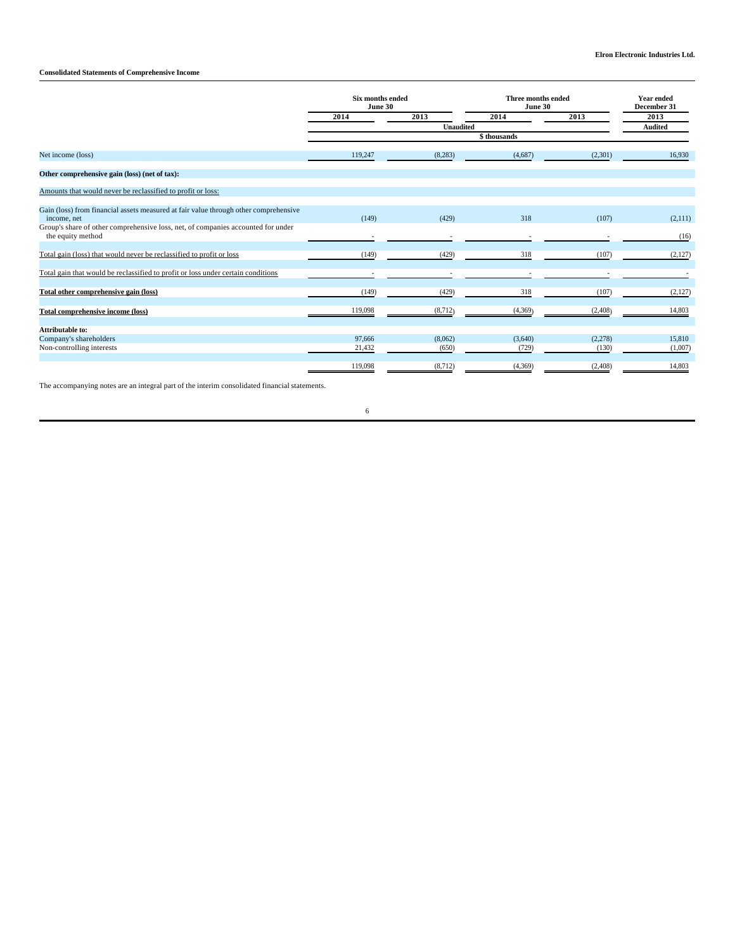# **Consolidated Statements of Comprehensive Income**

|                                                                                                       | Six months ended<br>June 30 |                  | Three months ended<br>June 30 |          | <b>Year ended</b><br>December 31 |
|-------------------------------------------------------------------------------------------------------|-----------------------------|------------------|-------------------------------|----------|----------------------------------|
|                                                                                                       | 2014                        | 2013             | 2014                          |          | 2013                             |
|                                                                                                       |                             | <b>Unaudited</b> |                               |          | <b>Audited</b>                   |
|                                                                                                       |                             |                  | \$thousands                   |          |                                  |
| Net income (loss)                                                                                     | 119,247                     | (8, 283)         | (4,687)                       | (2,301)  | 16,930                           |
| Other comprehensive gain (loss) (net of tax):                                                         |                             |                  |                               |          |                                  |
| Amounts that would never be reclassified to profit or loss:                                           |                             |                  |                               |          |                                  |
| Gain (loss) from financial assets measured at fair value through other comprehensive<br>income, net   | (149)                       | (429)            | 318                           | (107)    | (2,111)                          |
| Group's share of other comprehensive loss, net, of companies accounted for under<br>the equity method |                             |                  |                               |          | (16)                             |
| Total gain (loss) that would never be reclassified to profit or loss                                  | (149)                       | (429)            | 318                           | (107)    | (2,127)                          |
| Total gain that would be reclassified to profit or loss under certain conditions                      |                             |                  |                               |          |                                  |
| Total other comprehensive gain (loss)                                                                 | (149)                       | (429)            | 318                           | (107)    | (2,127)                          |
| <b>Total comprehensive income (loss)</b>                                                              | 119,098                     | (8,712)          | (4,369)                       | (2, 408) | 14,803                           |
| Attributable to:                                                                                      |                             |                  |                               |          |                                  |
| Company's shareholders                                                                                | 97,666                      | (8,062)          | (3,640)                       | (2,278)  | 15,810                           |
| Non-controlling interests                                                                             | 21,432                      | (650)            | (729)                         | (130)    | (1,007)                          |
|                                                                                                       | 119,098                     | (8,712)          | (4,369)                       | (2, 408) | 14,803                           |

The accompanying notes are an integral part of the interim consolidated financial statements.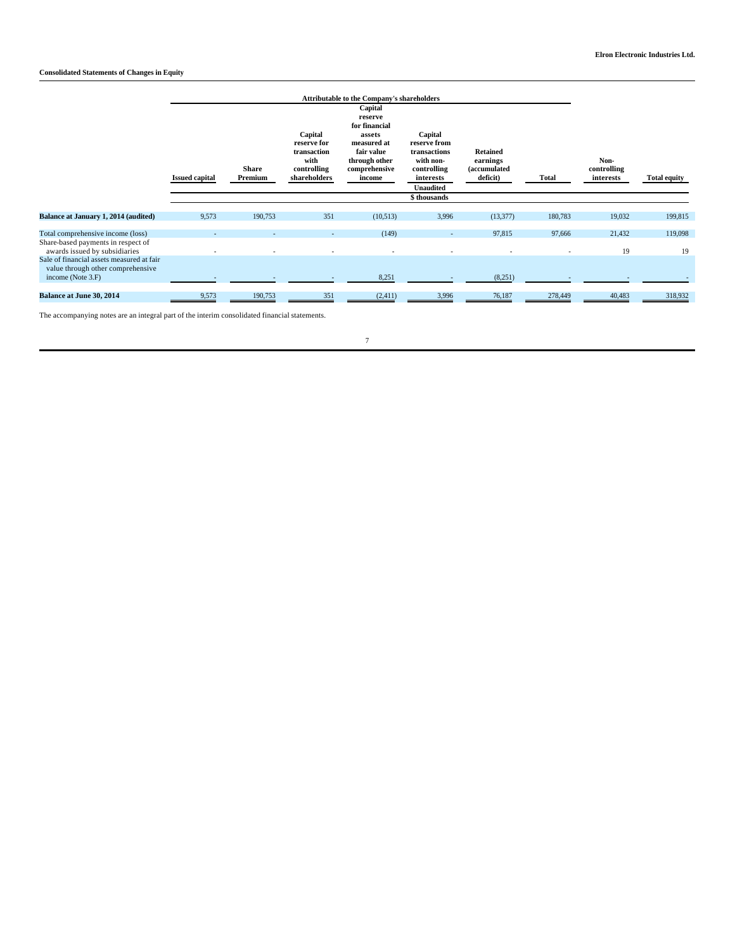# **Consolidated Statements of Changes in Equity**

|                                                                                                          | <b>Issued capital</b> | <b>Share</b><br>Premium | Capital<br>reserve for<br>transaction<br>with<br>controlling<br>shareholders | Attributable to the Company's shareholders<br>Capital<br>reserve<br>for financial<br>assets<br>measured at<br>fair value<br>through other<br>comprehensive<br>income | Capital<br>reserve from<br>transactions<br>with non-<br>controlling<br>interests<br><b>Unaudited</b> | <b>Retained</b><br>earnings<br>(accumulated<br>deficit) | <b>Total</b>                       | Non-<br>controlling<br>interests | <b>Total equity</b> |
|----------------------------------------------------------------------------------------------------------|-----------------------|-------------------------|------------------------------------------------------------------------------|----------------------------------------------------------------------------------------------------------------------------------------------------------------------|------------------------------------------------------------------------------------------------------|---------------------------------------------------------|------------------------------------|----------------------------------|---------------------|
|                                                                                                          |                       |                         |                                                                              |                                                                                                                                                                      | \$thousands                                                                                          |                                                         |                                    |                                  |                     |
| Balance at January 1, 2014 (audited)                                                                     | 9,573                 | 190,753                 | 351                                                                          | (10,513)                                                                                                                                                             | 3,996                                                                                                | (13, 377)                                               | 180,783                            | 19,032                           | 199,815             |
| Total comprehensive income (loss)<br>Share-based payments in respect of<br>awards issued by subsidiaries |                       |                         | $\overline{\phantom{a}}$                                                     | (149)<br>$\sim$                                                                                                                                                      | $\sim$<br>$\overline{\phantom{a}}$                                                                   | 97,815                                                  | 97,666<br>$\overline{\phantom{a}}$ | 21,432<br>19                     | 119,098<br>19       |
| Sale of financial assets measured at fair<br>value through other comprehensive<br>income (Note 3.F)      |                       |                         |                                                                              | 8,251                                                                                                                                                                |                                                                                                      | (8,251)                                                 |                                    |                                  |                     |
| <b>Balance at June 30, 2014</b>                                                                          | 9,573                 | 190,753                 | 351                                                                          | (2,411)                                                                                                                                                              | 3,996                                                                                                | 76,187                                                  | 278,449                            | 40,483                           | 318,932             |

The accompanying notes are an integral part of the interim consolidated financial statements.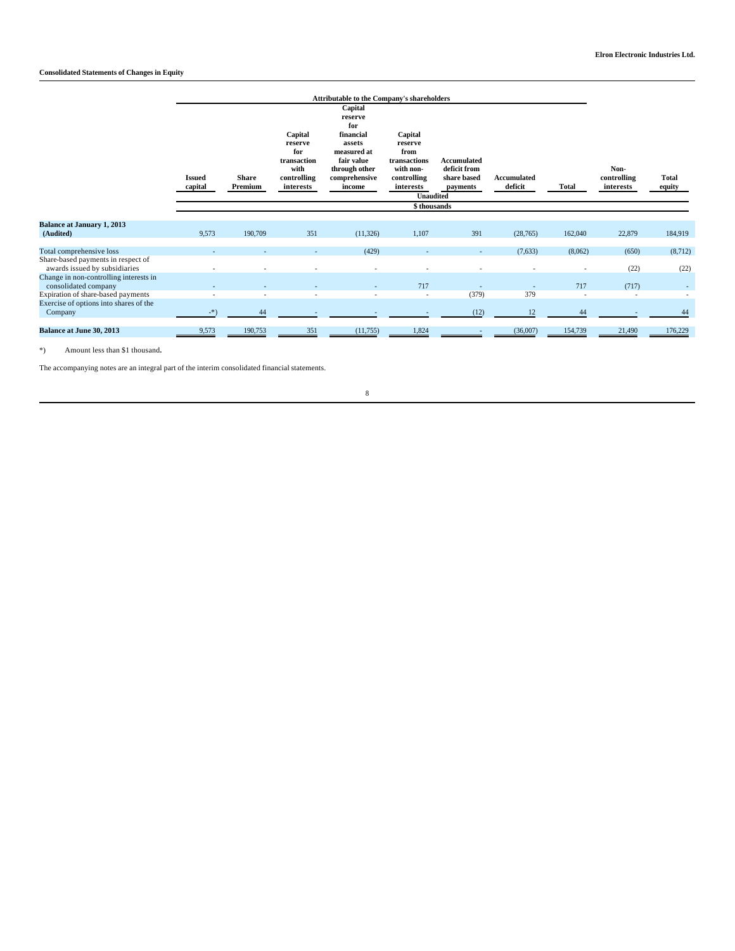# **Consolidated Statements of Changes in Equity**

|                                                                                                      | <b>Issued</b><br>capital | <b>Share</b><br>Premium | Capital<br>reserve<br>for<br>transaction<br>with<br>controlling<br>interests | <b>Attributable to the Company's shareholders</b><br>Capital<br>reserve<br>for<br>financial<br>assets<br>measured at<br>fair value<br>through other<br>comprehensive<br>income | Capital<br>reserve<br>from<br>transactions<br>with non-<br>controlling<br>interests<br><b>Unaudited</b><br>\$thousands | <b>Accumulated</b><br>deficit from<br>share based<br>payments | <b>Accumulated</b><br>deficit | <b>Total</b>                        | Non-<br>controlling<br>interests  | <b>Total</b><br>equity   |
|------------------------------------------------------------------------------------------------------|--------------------------|-------------------------|------------------------------------------------------------------------------|--------------------------------------------------------------------------------------------------------------------------------------------------------------------------------|------------------------------------------------------------------------------------------------------------------------|---------------------------------------------------------------|-------------------------------|-------------------------------------|-----------------------------------|--------------------------|
| <b>Balance at January 1, 2013</b><br>(Audited)                                                       | 9,573                    | 190,709                 | 351                                                                          | (11, 326)                                                                                                                                                                      | 1,107                                                                                                                  | 391                                                           | (28, 765)                     | 162,040                             | 22,879                            | 184,919                  |
| Total comprehensive loss<br>Share-based payments in respect of<br>awards issued by subsidiaries      |                          |                         |                                                                              | (429)<br>٠                                                                                                                                                                     |                                                                                                                        | $\overline{a}$<br>٠                                           | (7,633)                       | (8,062)<br>$\overline{\phantom{a}}$ | (650)<br>(22)                     | (8,712)<br>(22)          |
| Change in non-controlling interests in<br>consolidated company<br>Expiration of share-based payments |                          |                         |                                                                              | ٠                                                                                                                                                                              | 717<br>$\overline{\phantom{a}}$                                                                                        | (379)                                                         | 379                           | 717                                 | (717)<br>$\overline{\phantom{a}}$ | $\overline{\phantom{a}}$ |
| Exercise of options into shares of the<br>Company                                                    | $-$ *)                   | 44                      |                                                                              |                                                                                                                                                                                |                                                                                                                        | (12)                                                          | 12                            | 44                                  |                                   | 44                       |
| <b>Balance at June 30, 2013</b>                                                                      | 9,573                    | 190,753                 | 351                                                                          | (11,755)                                                                                                                                                                       | 1,824                                                                                                                  | $\overline{\phantom{a}}$                                      | (36,007)                      | 154,739                             | 21,490                            | 176,229                  |

\*) Amount less than \$1 thousand**.**

The accompanying notes are an integral part of the interim consolidated financial statements.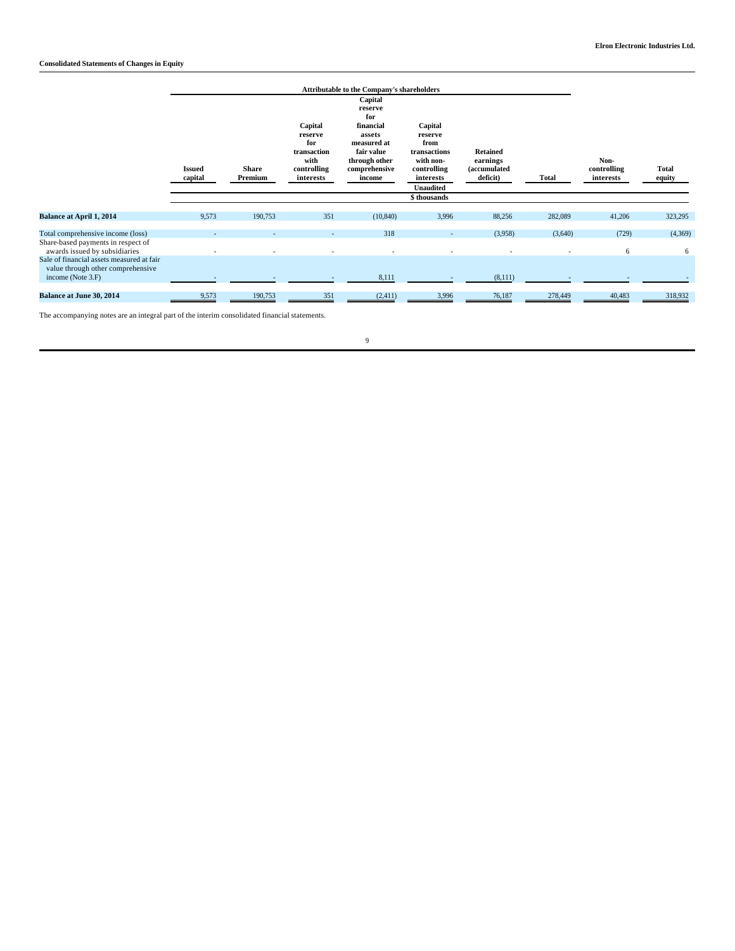|                                                                                                          | <b>Issued</b><br>capital | <b>Share</b><br>Premium  | Capital<br>reserve<br>for<br>transaction<br>with<br>controlling<br>interests | <b>Attributable to the Company's shareholders</b><br>Capital<br>reserve<br>for<br>financial<br>assets<br>measured at<br>fair value<br>through other<br>comprehensive<br>income | Capital<br>reserve<br>from<br>transactions<br>with non-<br>controlling<br>interests<br><b>Unaudited</b> | <b>Retained</b><br>earnings<br><i>(accumulated)</i><br>deficit) | <b>Total</b> | Non-<br>controlling<br>interests | Total<br>equity |
|----------------------------------------------------------------------------------------------------------|--------------------------|--------------------------|------------------------------------------------------------------------------|--------------------------------------------------------------------------------------------------------------------------------------------------------------------------------|---------------------------------------------------------------------------------------------------------|-----------------------------------------------------------------|--------------|----------------------------------|-----------------|
|                                                                                                          |                          |                          |                                                                              |                                                                                                                                                                                | \$thousands                                                                                             |                                                                 |              |                                  |                 |
| <b>Balance at April 1, 2014</b>                                                                          | 9,573                    | 190,753                  | 351                                                                          | (10, 840)                                                                                                                                                                      | 3,996                                                                                                   | 88,256                                                          | 282,089      | 41,206                           | 323,295         |
| Total comprehensive income (loss)<br>Share-based payments in respect of<br>awards issued by subsidiaries | ٠                        | $\overline{\phantom{a}}$ |                                                                              | 318<br>٠                                                                                                                                                                       | $\sim$                                                                                                  | (3,958)                                                         | (3,640)<br>٠ | (729)<br>6                       | (4,369)<br>6    |
| Sale of financial assets measured at fair<br>value through other comprehensive<br>income (Note 3.F)      |                          |                          |                                                                              | 8,111                                                                                                                                                                          | $\sim$                                                                                                  | (8,111)                                                         |              |                                  |                 |
| <b>Balance at June 30, 2014</b>                                                                          | 9,573                    | 190,753                  | 351                                                                          | (2, 411)                                                                                                                                                                       | 3,996                                                                                                   | 76,187                                                          | 278,449      | 40,483                           | 318,932         |

The accompanying notes are an integral part of the interim consolidated financial statements.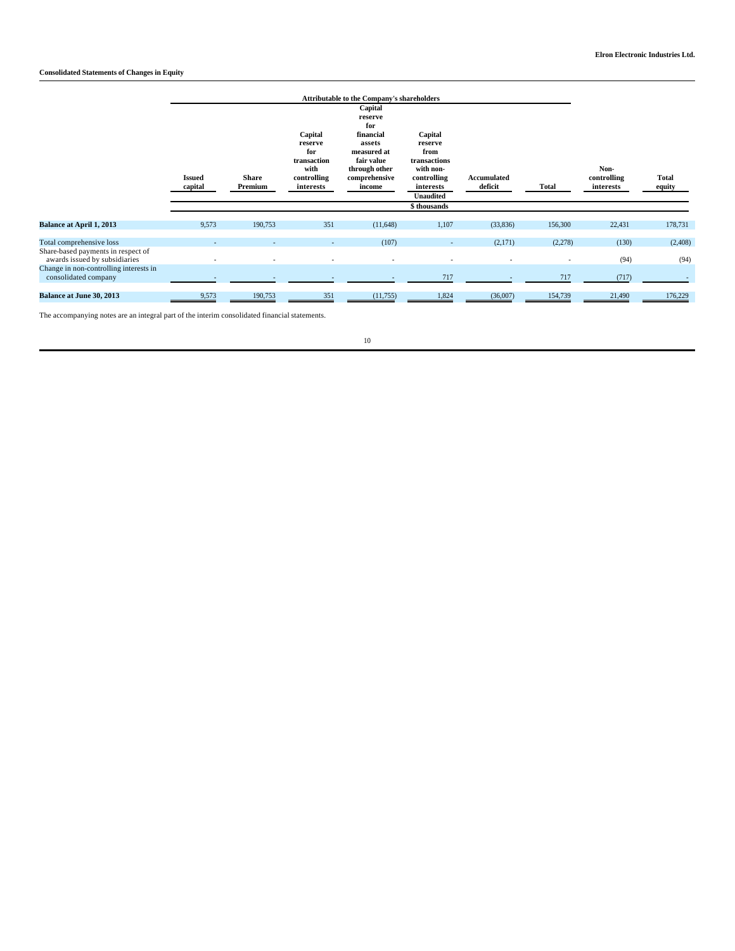# **Consolidated Statements of Changes in Equity**

|                                                                     | <b>Issued</b><br>capital | <b>Share</b><br>Premium | Capital<br>reserve<br>for<br>transaction<br>with<br>controlling<br>interests | <b>Attributable to the Company's shareholders</b><br>Capital<br>reserve<br>for<br>financial<br>assets<br>measured at<br>fair value<br>through other<br>comprehensive<br>income | Capital<br>reserve<br>from<br>transactions<br>with non-<br>controlling<br>interests<br><b>Unaudited</b><br>\$ thousands | Accumulated<br>deficit | <b>Total</b> | Non-<br>controlling<br>interests | Total<br>equity |
|---------------------------------------------------------------------|--------------------------|-------------------------|------------------------------------------------------------------------------|--------------------------------------------------------------------------------------------------------------------------------------------------------------------------------|-------------------------------------------------------------------------------------------------------------------------|------------------------|--------------|----------------------------------|-----------------|
| Balance at April 1, 2013                                            | 9,573                    | 190,753                 | 351                                                                          | (11,648)                                                                                                                                                                       | 1,107                                                                                                                   | (33,836)               | 156,300      | 22,431                           | 178,731         |
|                                                                     |                          |                         |                                                                              |                                                                                                                                                                                |                                                                                                                         |                        |              |                                  |                 |
| Total comprehensive loss                                            |                          |                         |                                                                              | (107)                                                                                                                                                                          |                                                                                                                         | (2,171)                | (2,278)      | (130)                            | (2, 408)        |
| Share-based payments in respect of<br>awards issued by subsidiaries |                          |                         |                                                                              | ٠                                                                                                                                                                              |                                                                                                                         |                        |              | (94)                             | (94)            |
| Change in non-controlling interests in<br>consolidated company      |                          |                         |                                                                              |                                                                                                                                                                                | 717                                                                                                                     |                        | 717          | (717)                            |                 |
| <b>Balance at June 30, 2013</b>                                     | 9,573                    | 190,753                 | 351                                                                          | (11,755)                                                                                                                                                                       | 1,824                                                                                                                   | (36,007)               | 154,739      | 21,490                           | 176,229         |

The accompanying notes are an integral part of the interim consolidated financial statements.

 $10\,$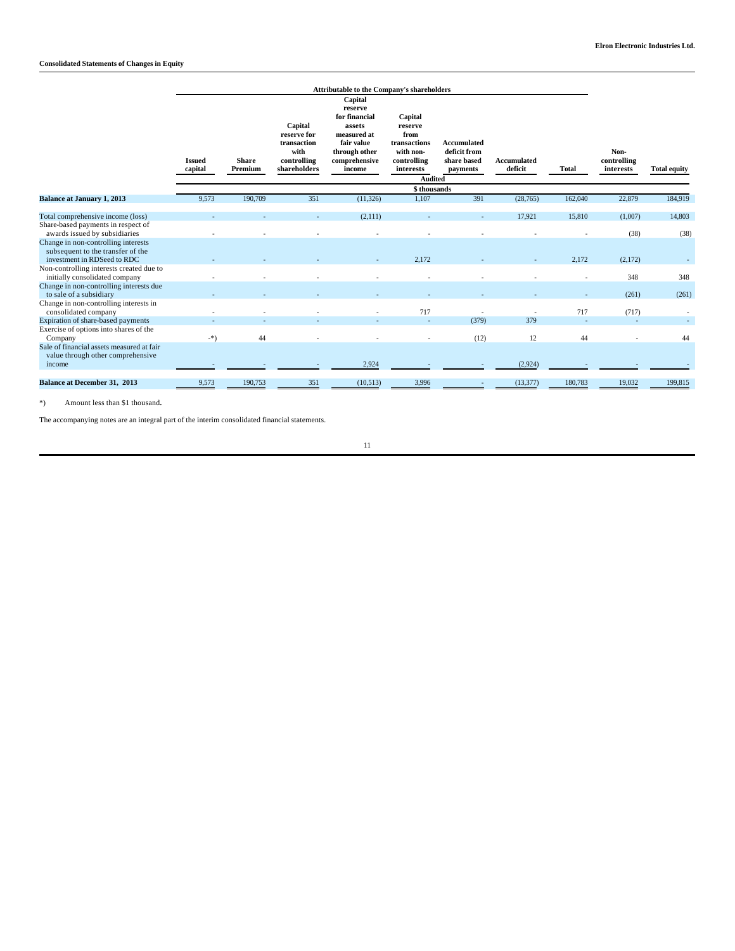|                                                                                                                                          | Attributable to the Company's shareholders |                         |                                                                              |                                                                                                                        |                                                                                                       |                                                               |                               |              |                                  |                     |
|------------------------------------------------------------------------------------------------------------------------------------------|--------------------------------------------|-------------------------|------------------------------------------------------------------------------|------------------------------------------------------------------------------------------------------------------------|-------------------------------------------------------------------------------------------------------|---------------------------------------------------------------|-------------------------------|--------------|----------------------------------|---------------------|
|                                                                                                                                          | <b>Issued</b><br>capital                   | <b>Share</b><br>Premium | Capital<br>reserve for<br>transaction<br>with<br>controlling<br>shareholders | Capital<br>reserve<br>for financial<br>assets<br>measured at<br>fair value<br>through other<br>comprehensive<br>income | Capital<br>reserve<br>from<br>transactions<br>with non-<br>controlling<br>interests<br><b>Audited</b> | <b>Accumulated</b><br>deficit from<br>share based<br>payments | <b>Accumulated</b><br>deficit | <b>Total</b> | Non-<br>controlling<br>interests | <b>Total equity</b> |
|                                                                                                                                          | \$thousands                                |                         |                                                                              |                                                                                                                        |                                                                                                       |                                                               |                               |              |                                  |                     |
| <b>Balance at January 1, 2013</b>                                                                                                        | 9,573                                      | 190,709                 | 351                                                                          | (11, 326)                                                                                                              | 1,107                                                                                                 | 391                                                           | (28, 765)                     | 162,040      | 22,879                           | 184,919             |
| Total comprehensive income (loss)<br>Share-based payments in respect of                                                                  |                                            |                         |                                                                              | (2,111)                                                                                                                |                                                                                                       |                                                               | 17,921                        | 15,810       | (1,007)                          | 14,803              |
| awards issued by subsidiaries<br>Change in non-controlling interests<br>subsequent to the transfer of the<br>investment in RDSeed to RDC |                                            |                         |                                                                              |                                                                                                                        | 2.172                                                                                                 |                                                               |                               | 2,172        | (38)<br>(2,172)                  | (38)                |
| Non-controlling interests created due to<br>initially consolidated company                                                               |                                            |                         |                                                                              |                                                                                                                        |                                                                                                       |                                                               |                               |              | 348                              | 348                 |
| Change in non-controlling interests due<br>to sale of a subsidiary                                                                       |                                            |                         |                                                                              |                                                                                                                        |                                                                                                       |                                                               |                               |              | (261)                            | (261)               |
| Change in non-controlling interests in<br>consolidated company                                                                           |                                            |                         |                                                                              |                                                                                                                        | 717                                                                                                   |                                                               |                               | 717          | (717)                            |                     |
| Expiration of share-based payments<br>Exercise of options into shares of the<br>Company                                                  | $-$ *)                                     | 44                      |                                                                              |                                                                                                                        |                                                                                                       | (379)<br>(12)                                                 | 379<br>12                     | 44           |                                  | 44                  |
| Sale of financial assets measured at fair<br>value through other comprehensive<br>income                                                 |                                            |                         |                                                                              | 2,924                                                                                                                  |                                                                                                       |                                                               | (2,924)                       |              |                                  |                     |
| <b>Balance at December 31, 2013</b>                                                                                                      | 9,573                                      | 190,753                 | 351                                                                          | (10,513)                                                                                                               | 3,996                                                                                                 |                                                               | (13, 377)                     | 180,783      | 19,032                           | 199,815             |

\*) Amount less than \$1 thousand**.**

The accompanying notes are an integral part of the interim consolidated financial statements.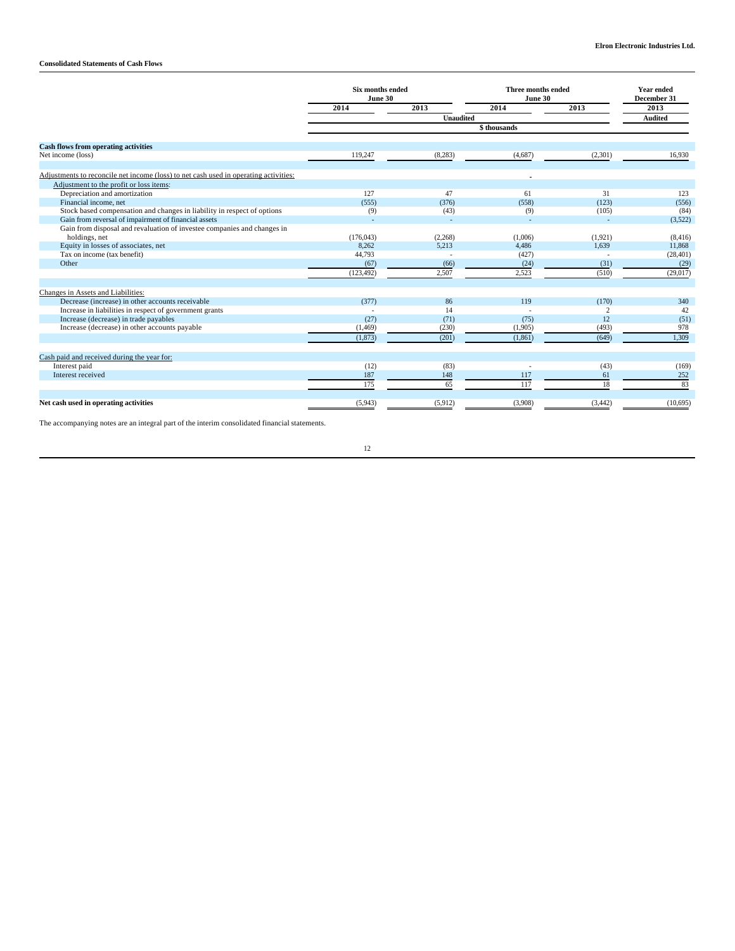## **Consolidated Statements of Cash Flows**

|                                                                                      | Six months ended<br>June 30 |          | Three months ended<br>June 30 | <b>Year ended</b><br>December 31 |                |
|--------------------------------------------------------------------------------------|-----------------------------|----------|-------------------------------|----------------------------------|----------------|
|                                                                                      | 2014                        | 2013     | 2014                          | 2013                             | 2013           |
|                                                                                      | <b>Unaudited</b>            |          |                               |                                  | <b>Audited</b> |
|                                                                                      |                             |          |                               |                                  |                |
| <b>Cash flows from operating activities</b>                                          |                             |          |                               |                                  |                |
| Net income (loss)                                                                    | 119,247                     | (8, 283) | (4,687)                       | (2,301)                          | 16,930         |
| Adjustments to reconcile net income (loss) to net cash used in operating activities: |                             |          |                               |                                  |                |
| Adjustment to the profit or loss items:                                              |                             |          |                               |                                  |                |
| Depreciation and amortization                                                        | 127                         | 47       | 61                            | 31                               | 123            |
| Financial income, net                                                                | (555)                       | (376)    | (558)                         | (123)                            | (556)          |
| Stock based compensation and changes in liability in respect of options              | (9)                         | (43)     | (9)                           | (105)                            | (84)           |
| Gain from reversal of impairment of financial assets                                 |                             |          |                               | ÷                                | (3,522)        |
| Gain from disposal and revaluation of investee companies and changes in              |                             |          |                               |                                  |                |
| holdings, net                                                                        | (176, 043)                  | (2,268)  | (1,006)                       | (1,921)                          | (8, 416)       |
| Equity in losses of associates, net                                                  | 8.262                       | 5.213    | 4.486                         | 1.639                            | 11,868         |
| Tax on income (tax benefit)                                                          | 44,793                      |          | (427)                         |                                  | (28, 401)      |
| Other                                                                                | (67)                        | (66)     | (24)                          | (31)                             | (29)           |
|                                                                                      | (123, 492)                  | 2,507    | 2,523                         | (510)                            | (29, 017)      |
| Changes in Assets and Liabilities:                                                   |                             |          |                               |                                  |                |
| Decrease (increase) in other accounts receivable                                     | (377)                       | 86       | 119                           | (170)                            | 340            |
| Increase in liabilities in respect of government grants                              |                             | 14       |                               | 2                                | 42             |
| Increase (decrease) in trade payables                                                | (27)                        | (71)     | (75)                          | 12                               | (51)           |
| Increase (decrease) in other accounts payable                                        | (1, 469)                    | (230)    | (1,905)                       | (493)                            | 978            |
|                                                                                      | (1, 873)                    | (201)    | (1, 861)                      | (649)                            | 1.309          |
| Cash paid and received during the year for:                                          |                             |          |                               |                                  |                |
| Interest paid                                                                        | (12)                        | (83)     |                               | (43)                             | (169)          |
| Interest received                                                                    | 187                         | 148      | 117                           | 61                               | 252            |
|                                                                                      | 175                         | 65       | 117                           | 18                               | 83             |
|                                                                                      |                             |          |                               |                                  |                |
| Net cash used in operating activities                                                | (5,943)                     | (5,912)  | (3,908)                       | (3, 442)                         | (10,695)       |

The accompanying notes are an integral part of the interim consolidated financial statements.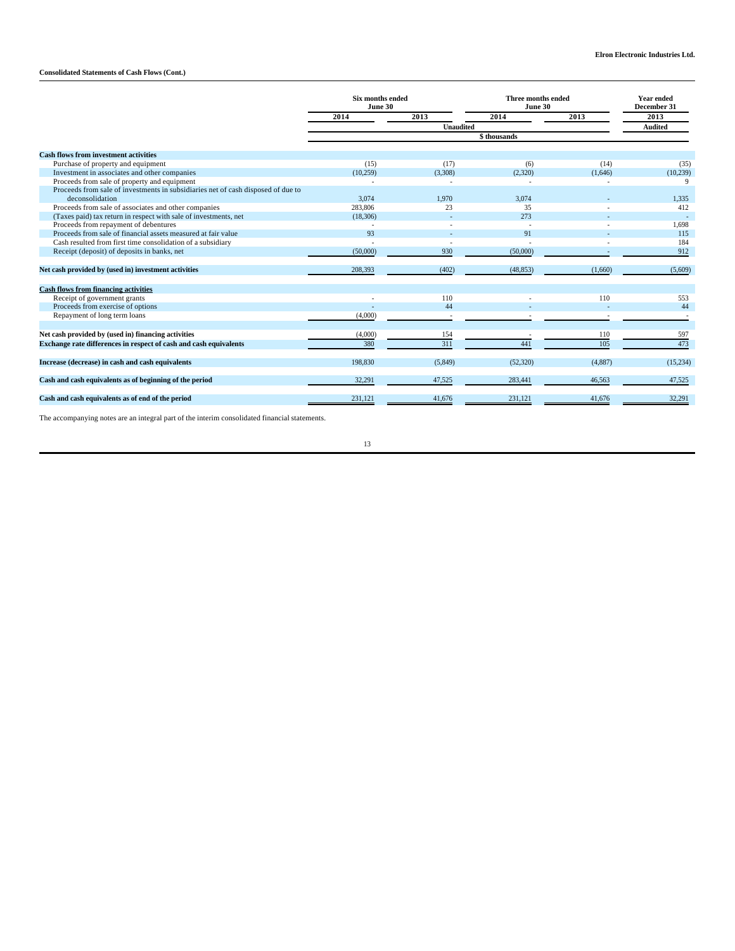# **Consolidated Statements of Cash Flows (Cont.)**

|                                                                                  | Six months ended<br>June 30 |                | <b>Three months ended</b><br>June 30 |         | <b>Year ended</b><br>December 31 |  |  |
|----------------------------------------------------------------------------------|-----------------------------|----------------|--------------------------------------|---------|----------------------------------|--|--|
|                                                                                  | 2014                        | 2013           | 2014                                 | 2013    | 2013                             |  |  |
|                                                                                  |                             | <b>Audited</b> |                                      |         |                                  |  |  |
|                                                                                  | \$thousands                 |                |                                      |         |                                  |  |  |
| <b>Cash flows from investment activities</b>                                     |                             |                |                                      |         |                                  |  |  |
| Purchase of property and equipment                                               | (15)                        | (17)           | (6)                                  | (14)    | (35)                             |  |  |
| Investment in associates and other companies                                     | (10, 259)                   | (3,308)        | (2,320)                              | (1,646) | (10, 239)                        |  |  |
| Proceeds from sale of property and equipment                                     |                             |                |                                      | ٠       | 9                                |  |  |
| Proceeds from sale of investments in subsidiaries net of cash disposed of due to |                             |                |                                      |         |                                  |  |  |
| deconsolidation                                                                  | 3.074                       | 1.970          | 3.074                                |         | 1.335                            |  |  |
| Proceeds from sale of associates and other companies                             | 283,806                     | 23             | 35                                   |         | 412                              |  |  |
| (Taxes paid) tax return in respect with sale of investments, net                 | (18,306)                    |                | 273                                  |         |                                  |  |  |
| Proceeds from repayment of debentures                                            |                             |                |                                      |         | 1,698                            |  |  |
| Proceeds from sale of financial assets measured at fair value                    | 93                          |                | 91                                   |         | 115                              |  |  |
| Cash resulted from first time consolidation of a subsidiary                      |                             |                |                                      |         | 184                              |  |  |
| Receipt (deposit) of deposits in banks, net                                      | (50,000)                    | 930            | (50,000)                             |         | 912                              |  |  |
| Net cash provided by (used in) investment activities                             | 208,393                     | (402)          | (48, 853)                            | (1,660) | (5,609)                          |  |  |
| <b>Cash flows from financing activities</b>                                      |                             |                |                                      |         |                                  |  |  |
| Receipt of government grants                                                     |                             | 110            |                                      | 110     | 553                              |  |  |
| Proceeds from exercise of options                                                |                             | 44             |                                      |         | 44                               |  |  |
| Repayment of long term loans                                                     | (4,000)                     |                |                                      |         |                                  |  |  |
| Net cash provided by (used in) financing activities                              | (4,000)                     | 154            |                                      | 110     | 597                              |  |  |
| Exchange rate differences in respect of cash and cash equivalents                | 380                         | 311            | 441                                  | 105     | 473                              |  |  |
| Increase (decrease) in cash and cash equivalents                                 | 198,830                     | (5,849)        | (52, 320)                            | (4,887) | (15, 234)                        |  |  |
| Cash and cash equivalents as of beginning of the period                          | 32,291                      | 47,525         | 283,441                              | 46,563  | 47,525                           |  |  |
| Cash and cash equivalents as of end of the period                                | 231,121                     | 41,676         | 231,121                              | 41,676  | 32,291                           |  |  |

The accompanying notes are an integral part of the interim consolidated financial statements.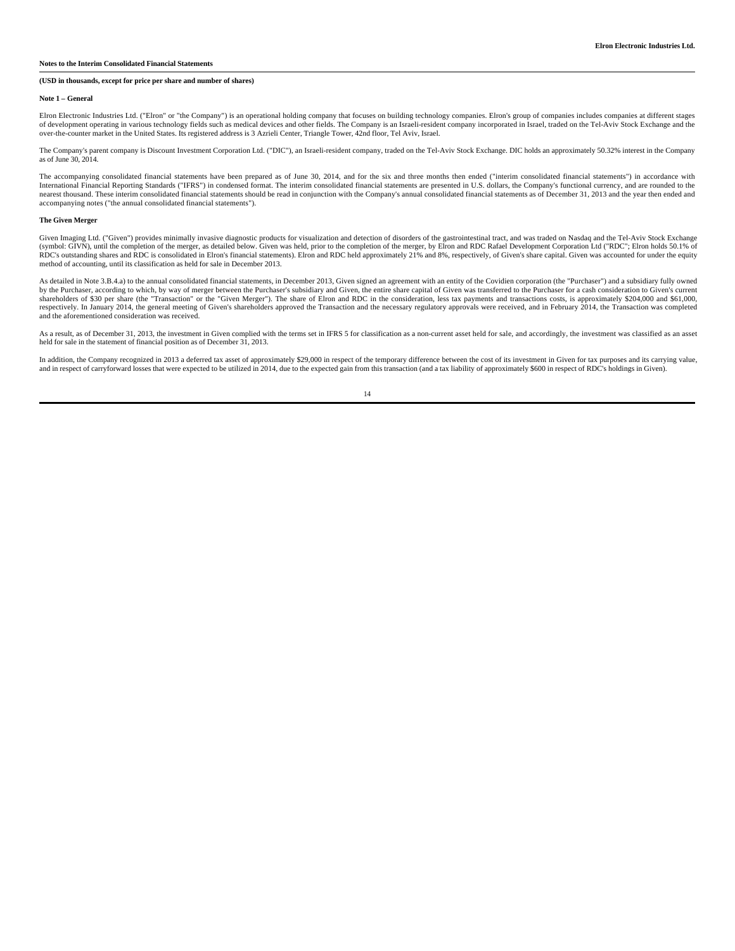#### **(USD in thousands, except for price per share and number of shares)**

#### **Note 1 – General**

Elron Electronic Industries Ltd. ("Elron" or "the Company") is an operational holding company that focuses on building technology companies. Elron's group of companies includes companies at different stages of development operating in various technology fields such as medical devices and other fields. The Company is an Israeli-resident company incorporated in Israel, traded on the Tel-Aviv Stock Exchange and the over-the-counter market in the United States. Its registered address is 3 Azrieli Center, Triangle Tower, 42nd floor, Tel Aviv, Israel.

The Company's parent company is Discount Investment Corporation Ltd. ("DIC"), an Israeli-resident company, traded on the Tel-Aviv Stock Exchange. DIC holds an approximately 50.32% interest in the Company as of June 30, 2014.

The accompanying consolidated financial statements have been prepared as of June 30, 2014, and for the six and three months then ended ("interim consolidated financial statements") in accordance with International Financial Reporting Standards ("IFRS") in condensed format. The interim consolidated financial statements are presented in U.S. dollars, the Company's functional currency, and are rounded to the<br>nearest thous accompanying notes ("the annual consolidated financial statements").

#### **The Given Merger**

Given Imaging Ltd. ("Given") provides minimally invasive diagnostic products for visualization and detection of disorders of the gastrointestinal tract, and was traded on Nasdaq and the Tel-Aviv Stock Exchange (symbol: GIVN), until the completion of the merger, as detailed below. Given was held, prior to the completion of the merger, by Elron and RDC Rafael Development Corporation Ltd ("RDC"; Elron holds 50.1% of RDC's outstanding shares and RDC is consolidated in Elron's financial statements). Elron and RDC held approximately 21% and 8%, respectively, of Given's share capital. Given was accounted for under the equity method of accounting, until its classification as held for sale in December 2013.

As detailed in Note 3.B.4.a) to the annual consolidated financial statements, in December 2013, Given signed an agreement with an entity of the Covidien corporation (the "Purchaser") and a subsidiary fully owned by the Purchaser, according to which, by way of merger between the Purchaser's subsidiary and Given, the entire share capital of Given was transferred to the Purchaser for a cash consideration to Given's current shareholde and the aforementioned consideration was received.

As a result, as of December 31, 2013, the investment in Given complied with the terms set in IFRS 5 for classification as a non-current asset held for sale, and accordingly, the investment was classified as an asset held for sale in the statement of financial position as of December 31, 2013.

In addition, the Company recognized in 2013 a deferred tax asset of approximately \$29,000 in respect of the temporary difference between the cost of its investment in Given for tax purposes and its carrying value, and in respect of carryforward losses that were expected to be utilized in 2014, due to the expected gain from this transaction (and a tax liability of approximately \$600 in respect of RDC's holdings in Given).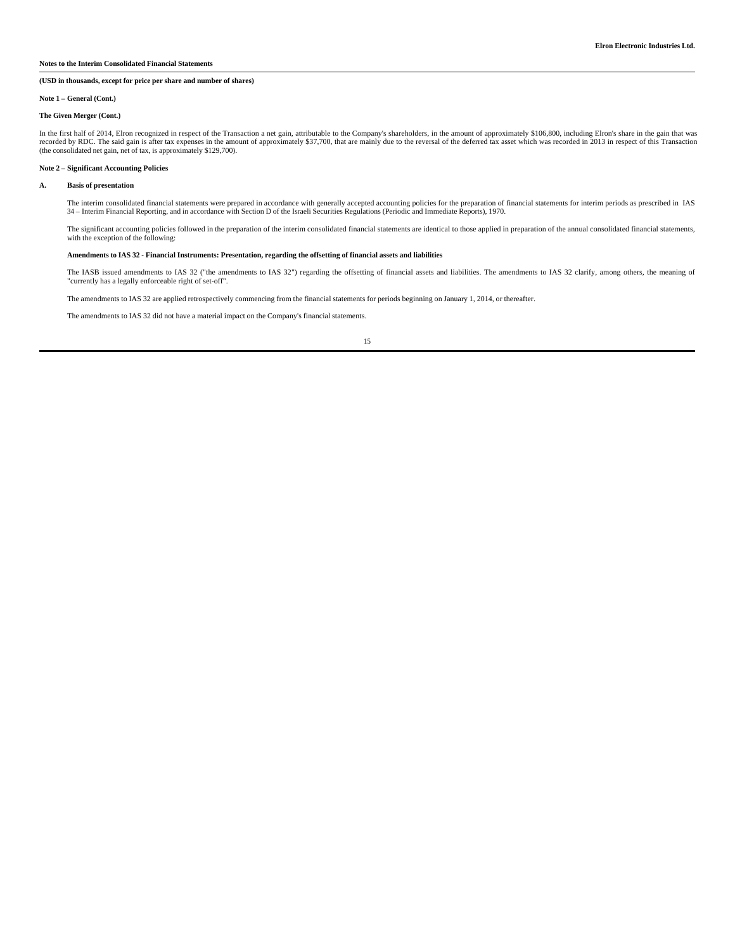### **(USD in thousands, except for price per share and number of shares)**

### **Note 1 – General (Cont.)**

### **The Given Merger (Cont.)**

In the first half of 2014, Elron recognized in respect of the Transaction a net gain, attributable to the Company's shareholders, in the amount of approximately \$106,800, including Elron's share in the gain that was record (the consolidated net gain, net of tax, is approximately \$129,700).

#### **Note 2 – Significant Accounting Policies**

#### **A. Basis of presentation**

The interim consolidated financial statements were prepared in accordance with generally accepted accounting policies for the preparation of financial statements for interim periods as prescribed in IAS 34 – Interim Financial Reporting, and in accordance with Section D of the Israeli Securities Regulations (Periodic and Immediate Reports), 1970.

The significant accounting policies followed in the preparation of the interim consolidated financial statements are identical to those applied in preparation of the annual consolidated financial statements, with the exception of the following:

### **Amendments to IAS 32 - Financial Instruments: Presentation, regarding the offsetting of financial assets and liabilities**

The IASB issued amendments to IAS 32 ("the amendments to IAS 32") regarding the offsetting of financial assets and liabilities. The amendments to IAS 32 clarify, among others, the meaning of "currently has a legally enforceable right of set-off".

The amendments to IAS 32 are applied retrospectively commencing from the financial statements for periods beginning on January 1, 2014, or thereafter.

The amendments to IAS 32 did not have a material impact on the Company's financial statements.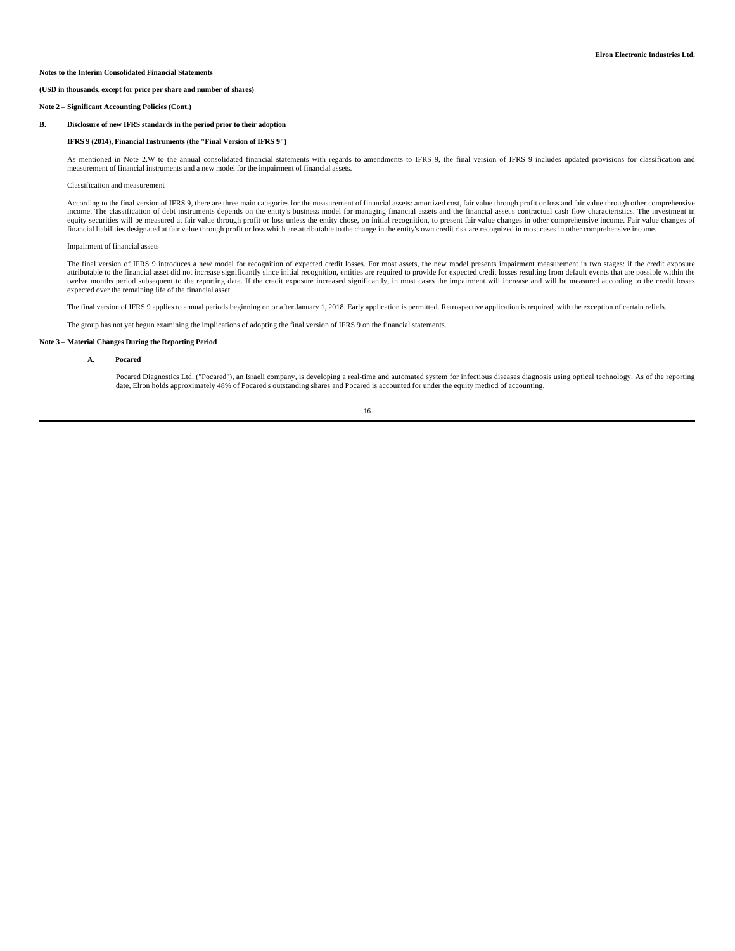#### **Note 2 – Significant Accounting Policies (Cont.)**

#### **B. Disclosure of new IFRS standards in the period prior to their adoption**

#### **IFRS 9 (2014), Financial Instruments (the "Final Version of IFRS 9")**

As mentioned in Note 2.W to the annual consolidated financial statements with regards to amendments to IFRS 9, the final version of IFRS 9 includes updated provisions for classification and measurement of financial instruments and a new model for the impairment of financial assets.

#### Classification and measurement

According to the final version of IFRS 9, there are three main categories for the measurement of financial assets: amortized cost, fair value through profit or loss and fair value through other comprehensive income. The classification of debt instruments depends on the entity's business model for managing financial assets and the financial asset's contractual cash flow characteristics. The investment in equity securities will be measured at fair value through profit or loss unless the entity chose, on initial recognition, to present fair value changes in other comprehensive income. Fair value changes of financial liabilities designated at fair value through profit or loss which are attributable to the change in the entity's own credit risk are recognized in most cases in other comprehensive income.

#### Impairment of financial assets

The final version of IFRS 9 introduces a new model for recognition of expected credit losses. For most assets, the new model presents impairment measurement in two stages: if the credit exposure attributable to the financial asset did not increase significantly since initial recognition, entities are required to provide for expected credit losses resulting from default events that are possible within the twelve months period subsequent to the reporting date. If the credit exposure increased significantly, in most cases the impairment will increase and will be measured according to the credit losses expected over the remaining life of the financial asset.

The final version of IFRS 9 applies to annual periods beginning on or after January 1, 2018. Early application is permitted. Retrospective application is required, with the exception of certain reliefs.

The group has not yet begun examining the implications of adopting the final version of IFRS 9 on the financial statements.

#### **Note 3 – Material Changes During the Reporting Period**

#### **A. Pocared**

 Pocared Diagnostics Ltd. ("Pocared"), an Israeli company, is developing a real-time and automated system for infectious diseases diagnosis using optical technology. As of the reporting date, Elron holds approximately 48% of Pocared's outstanding shares and Pocared is accounted for under the equity method of accounting.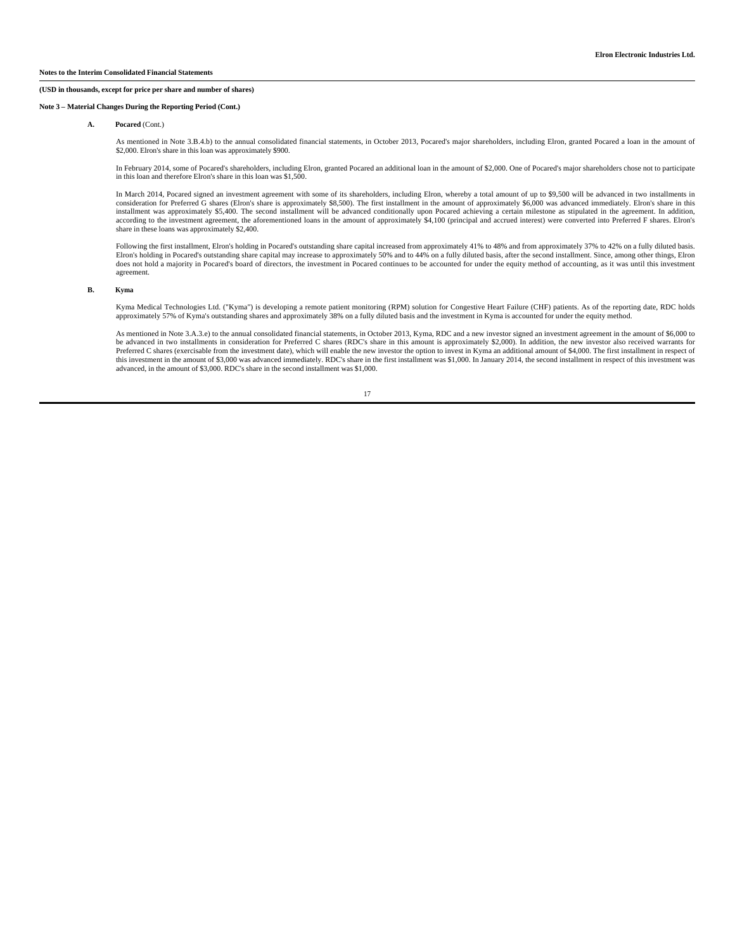#### **Note 3 – Material Changes During the Reporting Period (Cont.)**

#### **A. Pocared** (Cont.)

As mentioned in Note 3.B.4.b) to the annual consolidated financial statements, in October 2013, Pocared's major shareholders, including Elron, granted Pocared a loan in the amount of \$2,000. Elron's share in this loan was approximately \$900.

In February 2014, some of Pocared's shareholders, including Elron, granted Pocared an additional loan in the amount of \$2,000. One of Pocared's major shareholders chose not to participate in this loan and therefore Elron's share in this loan was \$1,500.

 In March 2014, Pocared signed an investment agreement with some of its shareholders, including Elron, whereby a total amount of up to \$9,500 will be advanced in two installments in consideration for Preferred G shares (Elron's share is approximately \$8,500). The first installment in the amount of approximately \$6,000 was advanced immediately. Elron's share in this installment was approximately \$5,400. The second installment will be advanced conditionally upon Pocared achieving a certain milestone as stipulated in the agreement. In addition, according to the investment agreement, the share in these loans was approximately \$2,400.

Following the first installment, Elron's holding in Pocared's outstanding share capital increased from approximately 41% to 48% and from approximately 37% to 42% on a fully diluted basis. Elron's holding in Pocared's outstanding share capital may increase to approximately 50% and to 44% on a fully diluted basis, after the second installment. Since, among other things, Elron does not hold a majority in Pocared's board of directors, the investment in Pocared continues to be accounted for under the equity method of accounting, as it was until this investment agreement.

#### **B. Kyma**

 Kyma Medical Technologies Ltd. ("Kyma") is developing a remote patient monitoring (RPM) solution for Congestive Heart Failure (CHF) patients. As of the reporting date, RDC holds approximately 57% of Kyma's outstanding shares and approximately 38% on a fully diluted basis and the investment in Kyma is accounted for under the equity method.

As mentioned in Note 3.A.3.e) to the annual consolidated financial statements, in October 2013, Kyma, RDC and a new investor signed an investment agreement in the amount of \$6,000 to be advanced in two installments in consideration for Preferred C shares (RDC's share in this amount is approximately \$2,000). In addition, the new investor also received warrants for Preferred C shares (exercisable from the investment date), which will enable the new investor the option to invest in Kyma an additional amount of \$4,000. The first installment in respect of this investment in the amount of \$3,000 was advanced immediately. RDC's share in the first installment was \$1,000. In January 2014, the second installment in respect of this investment was advanced, in the amount of \$3,000. RDC's share in the second installment was \$1,000.

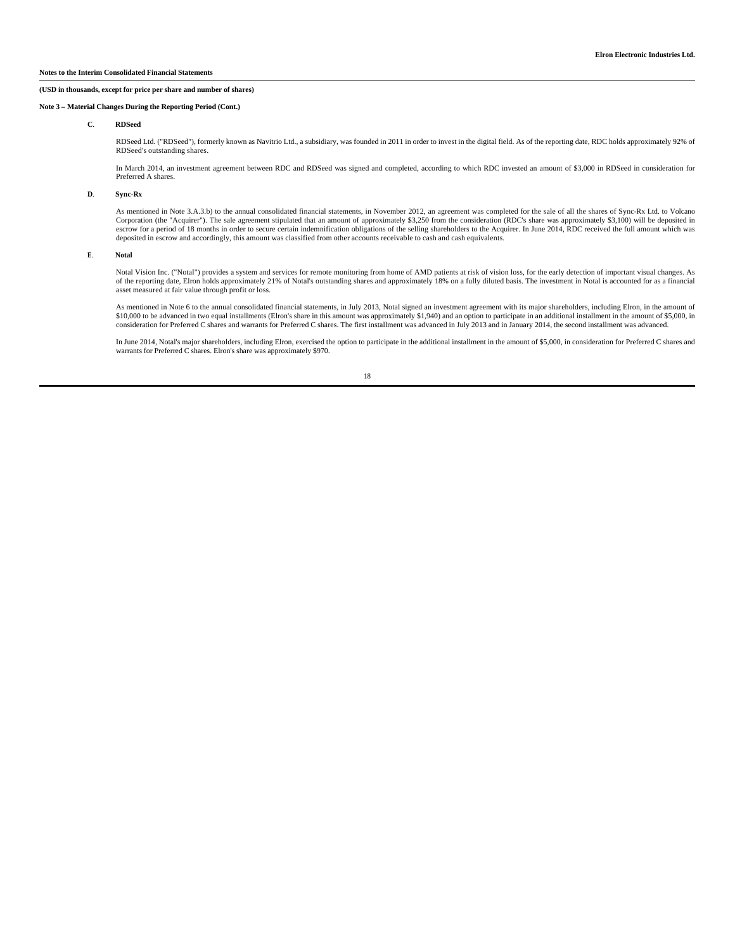#### **Note 3 – Material Changes During the Reporting Period (Cont.)**

### **C**. **RDSeed**

 RDSeed Ltd. ("RDSeed"), formerly known as Navitrio Ltd., a subsidiary, was founded in 2011 in order to invest in the digital field. As of the reporting date, RDC holds approximately 92% of RDSeed's outstanding shares.

 In March 2014, an investment agreement between RDC and RDSeed was signed and completed, according to which RDC invested an amount of \$3,000 in RDSeed in consideration for Preferred A shares.

#### **D**. **Sync-Rx**

As mentioned in Note 3.A.3.b) to the annual consolidated financial statements, in November 2012, an agreement was completed for the sale of all the shares of Sync-Rx Ltd. to Volcano (RDC's chare was approximately \$3,100) w escrow for a period of 18 months in order to secure certain indemnification obligations of the selling shareholders to the Acquirer. In June 2014, RDC received the full amount which was deposited in escrow and accordingly, this amount was classified from other accounts receivable to cash and cash equivalents.

#### **E**. **Notal**

 Notal Vision Inc. ("Notal") provides a system and services for remote monitoring from home of AMD patients at risk of vision loss, for the early detection of important visual changes. As of the reporting date, Elron holds approximately 21% of Notal's outstanding shares and approximately 18% on a fully diluted basis. The investment in Notal is accounted for as a financial asset measured at fair value through profit or loss.

 As mentioned in Note 6 to the annual consolidated financial statements, in July 2013, Notal signed an investment agreement with its major shareholders, including Elron, in the amount of \$10,000 to be advanced in two equal installments (Elron's share in this amount was approximately \$1,940) and an option to participate in an additional installment in the amount of \$5,000, in consideration for Preferred C shares and warrants for Preferred C shares. The first installment was advanced in July 2013 and in January 2014, the second installment was advanced.

 In June 2014, Notal's major shareholders, including Elron, exercised the option to participate in the additional installment in the amount of \$5,000, in consideration for Preferred C shares and warrants for Preferred C shares. Elron's share was approximately \$970.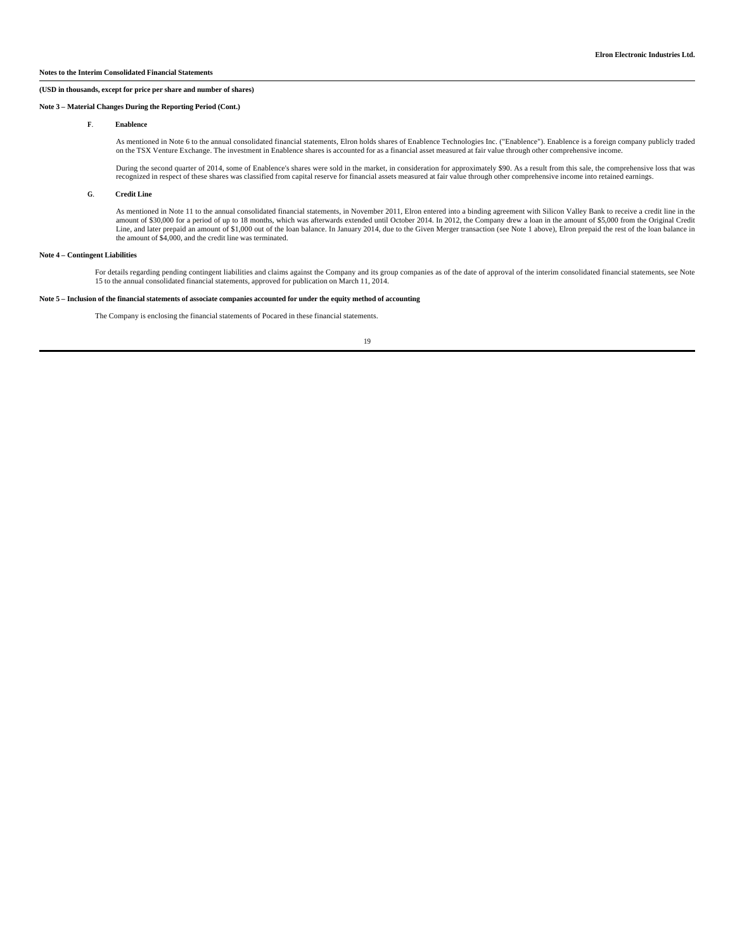#### **Note 3 – Material Changes During the Reporting Period (Cont.)**

#### **F**. **Enablence**

 As mentioned in Note 6 to the annual consolidated financial statements, Elron holds shares of Enablence Technologies Inc. ("Enablence"). Enablence is a foreign company publicly traded on the TSX Venture Exchange. The investment in Enablence shares is accounted for as a financial asset measured at fair value through other comprehensive income.

 During the second quarter of 2014, some of Enablence's shares were sold in the market, in consideration for approximately \$90. As a result from this sale, the comprehensive loss that was recognized in respect of these shares was classified from capital reserve for financial assets measured at fair value through other comprehensive income into retained earnings.

### **G**. **Credit Line**

As mentioned in Note 11 to the annual consolidated financial statements, in November 2011, Elron entered into a binding agreement with Silicon Valley Bank to receive a credit line in the<br>amount of \$30,000 for a period of t the amount of \$4,000, and the credit line was terminated.

### **Note 4 – Contingent Liabilities**

For details regarding pending contingent liabilities and claims against the Company and its group companies as of the date of approval of the interim consolidated financial statements, see Note<br>15 to the annual consolidate

### **Note 5 – Inclusion of the financial statements of associate companies accounted for under the equity method of accounting**

The Company is enclosing the financial statements of Pocared in these financial statements.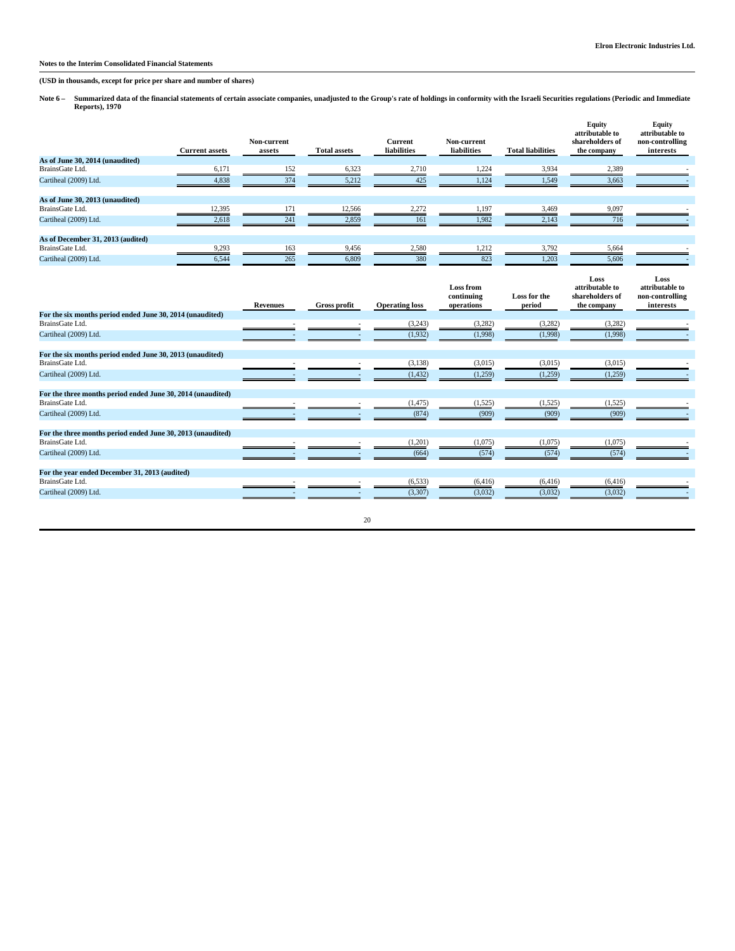**(USD in thousands, except for price per share and number of shares)**

Note 6 – Summarized data of the financial statements of certain associate companies, unadjusted to the Group's rate of holdings in conformity with the Israeli Securities regulations (Periodic and Immediate<br>Reports), 1970

|                                                                   | <b>Current assets</b> | Non-current<br>assets | <b>Total assets</b> | <b>Current</b><br>liabilities | Non-current<br>liabilities            | <b>Total liabilities</b> | <b>Equity</b><br>attributable to<br>shareholders of<br>the company | Equity<br>attributable to<br>non-controlling<br>interests |
|-------------------------------------------------------------------|-----------------------|-----------------------|---------------------|-------------------------------|---------------------------------------|--------------------------|--------------------------------------------------------------------|-----------------------------------------------------------|
| As of June 30, 2014 (unaudited)                                   |                       |                       |                     |                               |                                       |                          |                                                                    |                                                           |
| BrainsGate Ltd.                                                   | 6,171                 | 152                   | 6,323               | 2,710                         | 1,224                                 | 3,934                    | 2,389                                                              |                                                           |
| Cartiheal (2009) Ltd.                                             | 4,838                 | 374                   | 5,212               | 425                           | 1,124                                 | 1,549                    | 3,663                                                              |                                                           |
| As of June 30, 2013 (unaudited)                                   |                       |                       |                     |                               |                                       |                          |                                                                    |                                                           |
| BrainsGate Ltd.                                                   | 12,395                | 171                   | 12,566              | 2,272                         | 1,197                                 | 3,469                    | 9,097                                                              |                                                           |
| Cartiheal (2009) Ltd.                                             | 2,618                 | 241                   | 2,859               | 161                           | 1,982                                 | 2,143                    | 716                                                                |                                                           |
| As of December 31, 2013 (audited)                                 |                       |                       |                     |                               |                                       |                          |                                                                    |                                                           |
| BrainsGate Ltd.                                                   | 9,293                 | 163                   | 9,456               | 2,580                         | 1,212                                 | 3,792                    | 5,664                                                              |                                                           |
| Cartiheal (2009) Ltd.                                             | 6,544                 | 265                   | 6,809               | 380                           | 823                                   | 1,203                    | 5,606                                                              |                                                           |
|                                                                   |                       | <b>Revenues</b>       | <b>Gross profit</b> | <b>Operating loss</b>         | Loss from<br>continuing<br>operations | Loss for the<br>period   | Loss<br>attributable to<br>shareholders of<br>the company          | Loss<br>attributable to<br>non-controlling<br>interests   |
| For the six months period ended June 30, 2014 (unaudited)         |                       |                       |                     |                               |                                       |                          |                                                                    |                                                           |
| BrainsGate Ltd.                                                   |                       |                       |                     | (3,243)                       | (3,282)                               | (3, 282)                 | (3,282)                                                            |                                                           |
| Cartiheal (2009) Ltd.                                             |                       |                       |                     | (1,932)                       | (1,998)                               | (1,998)                  | (1,998)                                                            |                                                           |
| For the six months period ended June 30, 2013 (unaudited)         |                       |                       |                     |                               |                                       |                          |                                                                    |                                                           |
| BrainsGate Ltd.                                                   |                       |                       |                     | (3, 138)                      | (3,015)                               | (3,015)                  | (3,015)                                                            |                                                           |
| Cartiheal (2009) Ltd.                                             |                       |                       |                     | (1, 432)                      | (1,259)                               | (1,259)                  | (1,259)                                                            |                                                           |
| For the three months period ended June 30, 2014 (unaudited)       |                       |                       |                     |                               |                                       |                          |                                                                    |                                                           |
| BrainsGate Ltd.                                                   |                       |                       |                     | (1, 475)                      | (1,525)                               | (1, 525)                 | (1,525)                                                            |                                                           |
| Cartiheal (2009) Ltd.                                             |                       |                       |                     | (874)                         | (909)                                 | (909)                    | (909)                                                              |                                                           |
| For the three months period ended June 30, 2013 (unaudited)       |                       |                       |                     |                               |                                       |                          |                                                                    |                                                           |
| BrainsGate Ltd.                                                   |                       |                       |                     | (1,201)                       | (1,075)                               | (1,075)                  | (1,075)                                                            |                                                           |
| Cartiheal (2009) Ltd.                                             |                       |                       |                     | (664)                         | (574)                                 | (574)                    | (574)                                                              |                                                           |
| For the year ended December 31, 2013 (audited)<br>BrainsGate Ltd. |                       |                       |                     | (6, 533)                      | (6, 416)                              | (6, 416)                 | (6, 416)                                                           |                                                           |
| Cartiheal (2009) Ltd.                                             |                       |                       |                     | (3,307)                       | (3,032)                               | (3,032)                  | (3,032)                                                            |                                                           |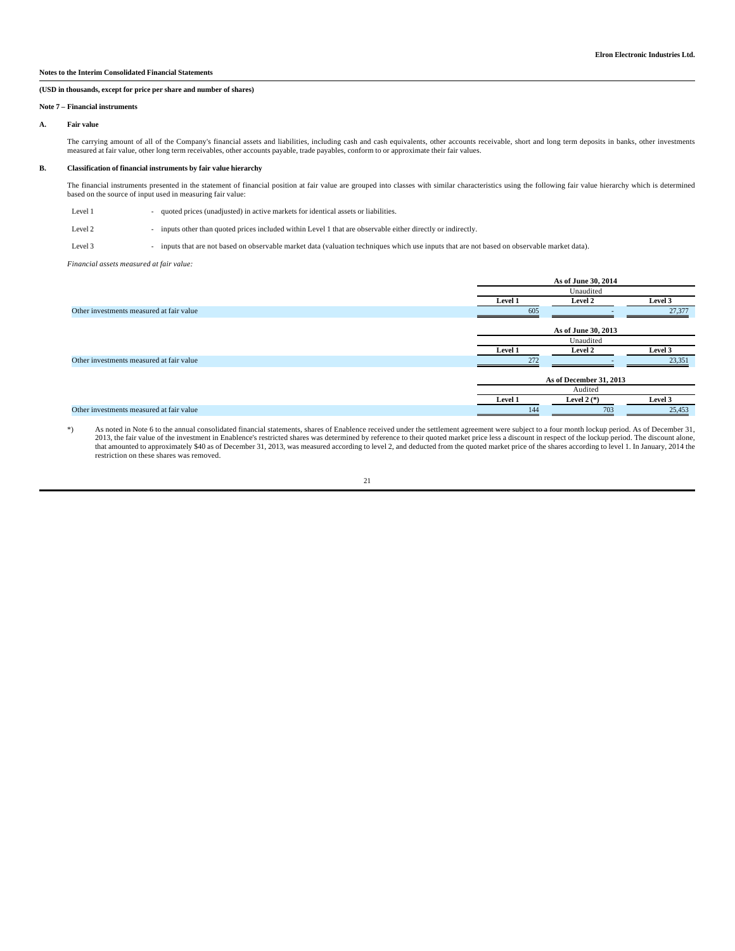### **(USD in thousands, except for price per share and number of shares)**

#### **Note 7 – Financial instruments**

### **A. Fair value**

The carrying amount of all of the Company's financial assets and liabilities, including cash and cash equivalents, other accounts receivable, short and long term deposits in banks, other investments measured at fair value, other long term receivables, other accounts payable, trade payables, conform to or approximate their fair values.

#### **B. Classification of financial instruments by fair value hierarchy**

The financial instruments presented in the statement of financial position at fair value are grouped into classes with similar characteristics using the following fair value hierarchy which is determined<br>based on the sourc

| Level 1 |  | quoted prices (unadjusted) in active markets for identical assets or liabilities. |
|---------|--|-----------------------------------------------------------------------------------|
|---------|--|-----------------------------------------------------------------------------------|

Level 2 - inputs other than quoted prices included within Level 1 that are observable either directly or indirectly.

Level 3 - inputs that are not based on observable market data (valuation techniques which use inputs that are not based on observable market data).

*Financial assets measured at fair value:*

|                                          | As of June 30, 2014 |                         |         |  |
|------------------------------------------|---------------------|-------------------------|---------|--|
|                                          |                     | Unaudited               |         |  |
|                                          | Level 1             | <b>Level 2</b>          | Level 3 |  |
| Other investments measured at fair value | 605                 |                         | 27,377  |  |
|                                          |                     | As of June 30, 2013     |         |  |
|                                          |                     | Unaudited               |         |  |
|                                          | Level 1             | <b>Level 2</b>          | Level 3 |  |
| Other investments measured at fair value | 272                 |                         | 23,351  |  |
|                                          |                     | As of December 31, 2013 |         |  |
|                                          |                     | Audited                 |         |  |
|                                          | Level 1             | Level 2 $(*)$           | Level 3 |  |
| Other investments measured at fair value | 144                 | 703                     | 25,453  |  |
|                                          |                     |                         |         |  |

, As noted in Note 6 to the annual consolidated financial statements, shares of Enablence received under the settlement agreement were subject to a four month lockup period. As of December 31, 2013, the fair value of the i restriction on these shares was removed.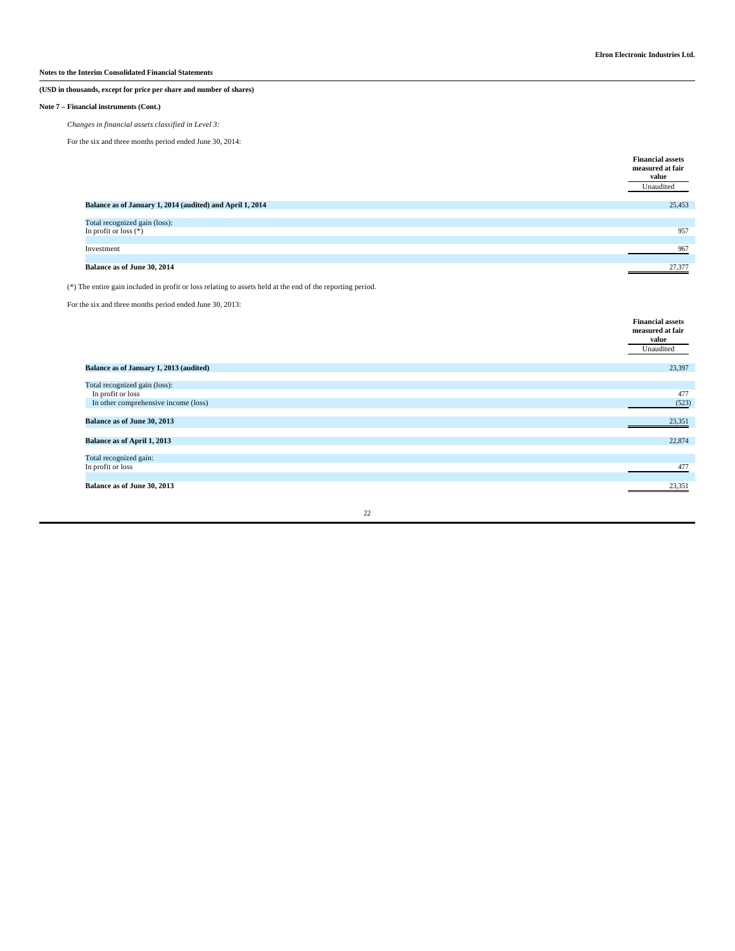### **(USD in thousands, except for price per share and number of shares)**

### **Note 7 – Financial instruments (Cont.)**

*Changes in financial assets classified in Level 3:*

For the six and three months period ended June 30, 2014:

|                                                           | <b>Financial assets</b><br>measured at fair<br>value<br>Unaudited |
|-----------------------------------------------------------|-------------------------------------------------------------------|
| Balance as of January 1, 2014 (audited) and April 1, 2014 | 25,453                                                            |
| Total recognized gain (loss):<br>In profit or loss $(*)$  | 957                                                               |
| Investment                                                | 967                                                               |
| Balance as of June 30, 2014                               | 27,377                                                            |

(\*) The entire gain included in profit or loss relating to assets held at the end of the reporting period.

For the six and three months period ended June 30, 2013:

|                                         | <b>Financial assets</b><br>measured at fair<br>value |
|-----------------------------------------|------------------------------------------------------|
|                                         | Unaudited                                            |
| Balance as of January 1, 2013 (audited) | 23,397                                               |
| Total recognized gain (loss):           |                                                      |
| In profit or loss                       | 477                                                  |
| In other comprehensive income (loss)    | (523)                                                |
| Balance as of June 30, 2013             | 23,351                                               |
| Balance as of April 1, 2013             | 22,874                                               |
| Total recognized gain:                  |                                                      |
| In profit or loss                       | 477                                                  |
| Balance as of June 30, 2013             | 23,351                                               |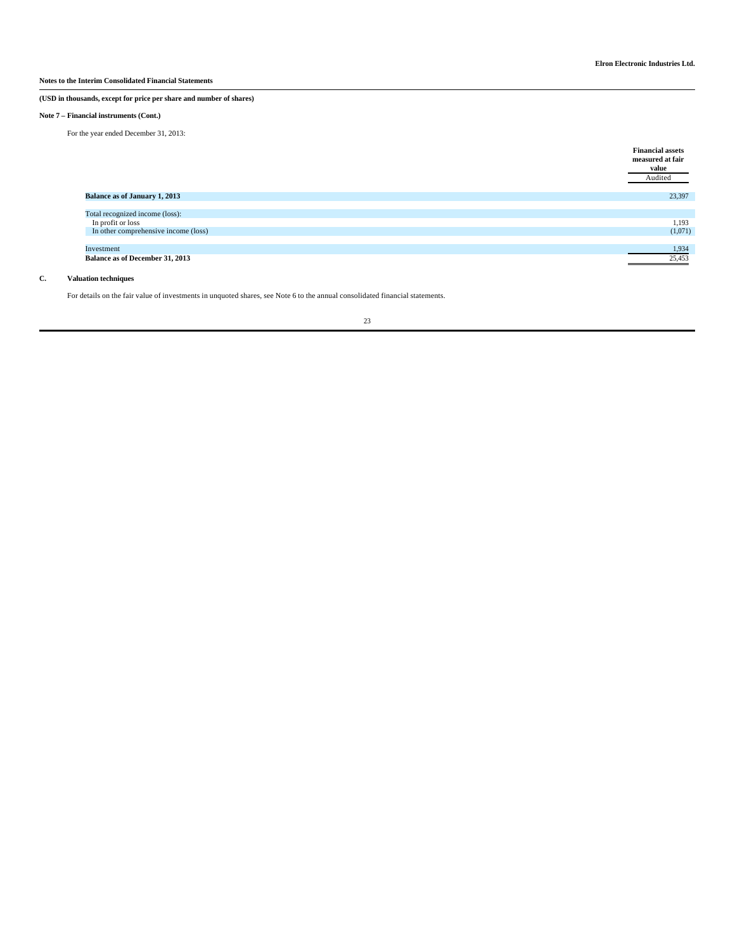### **(USD in thousands, except for price per share and number of shares)**

### **Note 7 – Financial instruments (Cont.)**

For the year ended December 31, 2013:

|                                      | <b>Financial assets</b><br>measured at fair<br>value<br>Audited |
|--------------------------------------|-----------------------------------------------------------------|
| Balance as of January 1, 2013        | 23,397                                                          |
|                                      |                                                                 |
| Total recognized income (loss):      |                                                                 |
| In profit or loss                    | 1,193                                                           |
| In other comprehensive income (loss) | (1,071)                                                         |
|                                      |                                                                 |
| Investment                           | 1,934                                                           |
| Balance as of December 31, 2013      | 25,453                                                          |
|                                      |                                                                 |

### **C. Valuation techniques**

For details on the fair value of investments in unquoted shares, see Note 6 to the annual consolidated financial statements.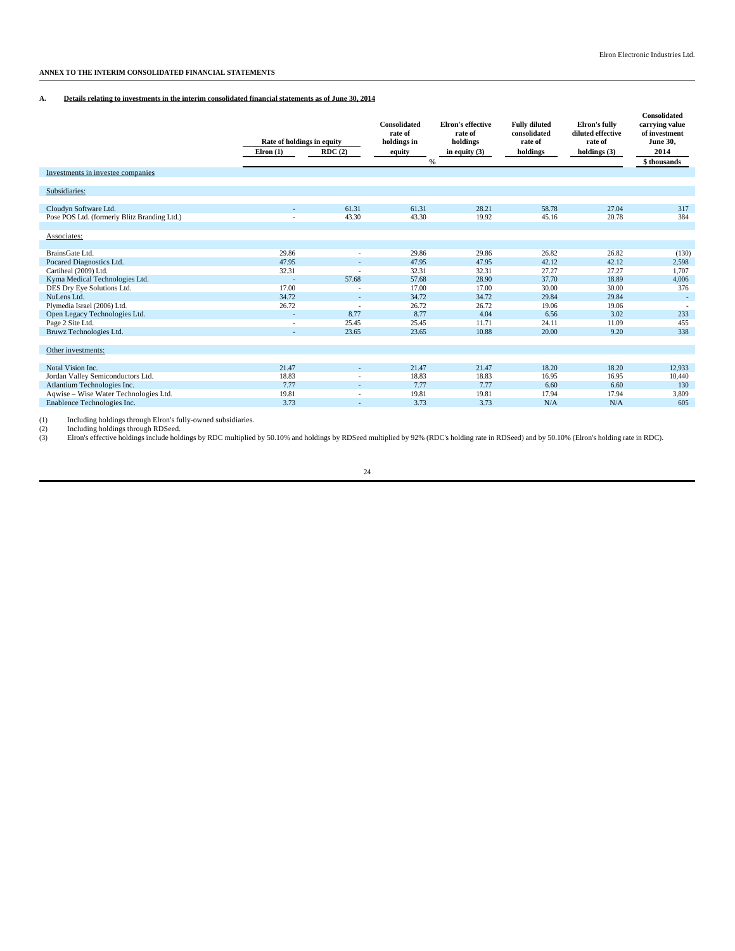### **ANNEX TO THE INTERIM CONSOLIDATED FINANCIAL STATEMENTS**

### **A. Details relating to investments in the interim consolidated financial statements as of June 30, 2014**

|                                                   | Rate of holdings in equity<br>$E$ lron $(1)$ | RDC(2)                   | Consolidated<br>rate of<br>holdings in<br>equity<br>$\frac{0}{0}$ | <b>Elron's effective</b><br>rate of<br>holdings<br>in equity $(3)$ | <b>Fully diluted</b><br>consolidated<br>rate of<br>holdings | Elron's fully<br>diluted effective<br>rate of<br>holdings $(3)$ | Consolidated<br>carrying value<br>of investment<br><b>June 30,</b><br>2014<br>\$ thousands |
|---------------------------------------------------|----------------------------------------------|--------------------------|-------------------------------------------------------------------|--------------------------------------------------------------------|-------------------------------------------------------------|-----------------------------------------------------------------|--------------------------------------------------------------------------------------------|
| Investments in investee companies                 |                                              |                          |                                                                   |                                                                    |                                                             |                                                                 |                                                                                            |
| Subsidiaries:                                     |                                              |                          |                                                                   |                                                                    |                                                             |                                                                 |                                                                                            |
| Cloudyn Software Ltd.                             | $\overline{a}$                               | 61.31                    | 61.31                                                             | 28.21                                                              | 58.78                                                       | 27.04                                                           | 317                                                                                        |
| Pose POS Ltd. (formerly Blitz Branding Ltd.)      |                                              | 43.30                    | 43.30                                                             | 19.92                                                              | 45.16                                                       | 20.78                                                           | 384                                                                                        |
|                                                   |                                              |                          |                                                                   |                                                                    |                                                             |                                                                 |                                                                                            |
| Associates:                                       |                                              |                          |                                                                   |                                                                    |                                                             |                                                                 |                                                                                            |
|                                                   |                                              |                          |                                                                   |                                                                    |                                                             |                                                                 |                                                                                            |
| BrainsGate Ltd.                                   | 29.86                                        | ٠                        | 29.86                                                             | 29.86                                                              | 26.82                                                       | 26.82                                                           | (130)                                                                                      |
| Pocared Diagnostics Ltd.                          | 47.95                                        |                          | 47.95                                                             | 47.95                                                              | 42.12                                                       | 42.12                                                           | 2,598                                                                                      |
| Cartiheal (2009) Ltd.                             | 32.31                                        | $\overline{\phantom{a}}$ | 32.31                                                             | 32.31                                                              | 27.27                                                       | 27.27                                                           | 1,707                                                                                      |
| Kyma Medical Technologies Ltd.                    |                                              | 57.68                    | 57.68                                                             | 28.90                                                              | 37.70                                                       | 18.89                                                           | 4,006                                                                                      |
| DES Dry Eye Solutions Ltd.                        | 17.00                                        |                          | 17.00                                                             | 17.00                                                              | 30.00                                                       | 30.00                                                           | 376                                                                                        |
| NuLens Ltd.                                       | 34.72<br>26.72                               | $\sim$                   | 34.72<br>26.72                                                    | 34.72<br>26.72                                                     | 29.84                                                       | 29.84<br>19.06                                                  | ×,                                                                                         |
| Plymedia Israel (2006) Ltd.                       |                                              | $\overline{\phantom{a}}$ |                                                                   |                                                                    | 19.06                                                       |                                                                 |                                                                                            |
| Open Legacy Technologies Ltd.<br>Page 2 Site Ltd. | ÷                                            | 8.77<br>25.45            | 8.77<br>25.45                                                     | 4.04<br>11.71                                                      | 6.56<br>24.11                                               | 3.02<br>11.09                                                   | 233<br>455                                                                                 |
| Bruwz Technologies Ltd.                           | $\overline{a}$                               | 23.65                    | 23.65                                                             | 10.88                                                              | 20.00                                                       | 9.20                                                            | 338                                                                                        |
|                                                   |                                              |                          |                                                                   |                                                                    |                                                             |                                                                 |                                                                                            |
| Other investments:                                |                                              |                          |                                                                   |                                                                    |                                                             |                                                                 |                                                                                            |
| Notal Vision Inc.                                 | 21.47                                        | ٠                        | 21.47                                                             | 21.47                                                              | 18.20                                                       | 18.20                                                           | 12,933                                                                                     |
| Jordan Valley Semiconductors Ltd.                 | 18.83                                        |                          | 18.83                                                             | 18.83                                                              | 16.95                                                       | 16.95                                                           | 10,440                                                                                     |
| Atlantium Technologies Inc.                       | 7.77                                         |                          | 7.77                                                              | 7.77                                                               | 6.60                                                        | 6.60                                                            | 130                                                                                        |
| Aqwise - Wise Water Technologies Ltd.             | 19.81                                        |                          | 19.81                                                             | 19.81                                                              | 17.94                                                       | 17.94                                                           | 3,809                                                                                      |
| Enablence Technologies Inc.                       | 3.73                                         |                          | 3.73                                                              | 3.73                                                               | N/A                                                         | N/A                                                             | 605                                                                                        |
|                                                   |                                              |                          |                                                                   |                                                                    |                                                             |                                                                 |                                                                                            |

(1) Including holdings through Elron's fully-owned subsidiaries.<br>(2) Including holdings through RDSeed.<br>(3) Elron's effective holdings include holdings by RDC multiplied by 50.10% and holdings by RDSeed multiplied by 92% (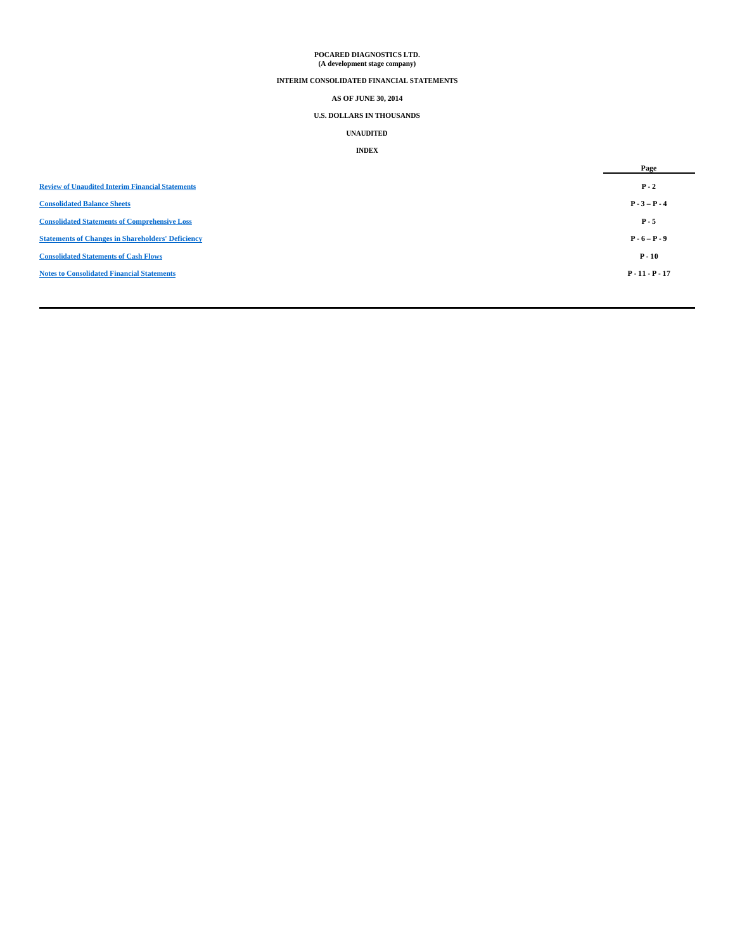# **POCARED DIAGNOSTICS LTD. (A development stage company)**

### **INTERIM CONSOLIDATED FINANCIAL STATEMENTS**

### **AS OF JUNE 30, 2014**

### **U.S. DOLLARS IN THOUSANDS**

# **UNAUDITED**

## **INDEX**

|                                                          | Page              |
|----------------------------------------------------------|-------------------|
| <b>Review of Unaudited Interim Financial Statements</b>  | $P - 2$           |
| <b>Consolidated Balance Sheets</b>                       | $P - 3 - P - 4$   |
| <b>Consolidated Statements of Comprehensive Loss</b>     | $P - 5$           |
| <b>Statements of Changes in Shareholders' Deficiency</b> | $P - 6 - P - 9$   |
| <b>Consolidated Statements of Cash Flows</b>             | $P - 10$          |
| <b>Notes to Consolidated Financial Statements</b>        | $P - 11 - P - 17$ |
|                                                          |                   |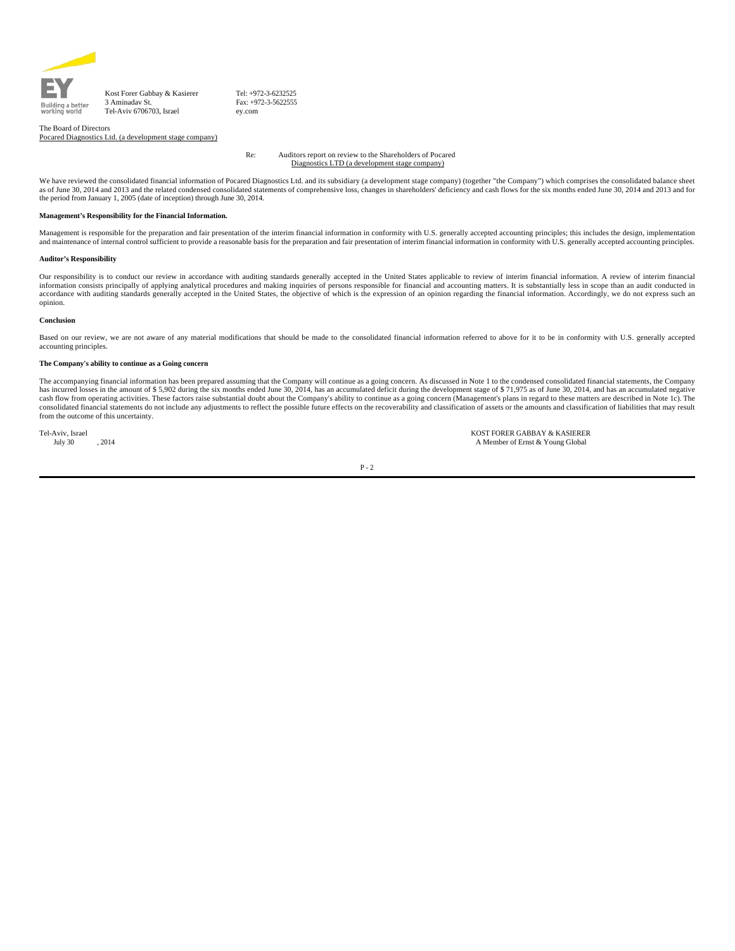

Kost Forer Gabbay & Kasierer 3 Aminadav St. Tel-Aviv 6706703, Israel

Tel: +972-3-6232525 Fax: +972-3-5622555 ey.com

The Board of Directors Pocared Diagnostics Ltd. (a development stage company)

> Re: Auditors report on review to the Shareholders of Pocared Diagnostics LTD (a development stage company)

We have reviewed the consolidated financial information of Pocared Diagnostics Ltd. and its subsidiary (a development stage company) (together "the Company") which comprises the consolidated balance sheet as of June 30, 2014 and 2013 and the related condensed consolidated statements of comprehensive loss, changes in shareholders' deficiency and cash flows for the six months ended June 30, 2014 and 2013 and for the period from January 1, 2005 (date of inception) through June 30, 2014.

#### **Management's Responsibility for the Financial Information.**

Management is responsible for the preparation and fair presentation of the interim financial information in conformity with U.S. generally accepted accounting principles; this includes the design, implementation<br>and mainte

#### **Auditor's Responsibility**

Our responsibility is to conduct our review in accordance with auditing standards generally accepted in the United States applicable to review of interim financial information. A review of interim financial information consists principally of applying analytical procedures and making inquiries of persons responsible for financial and accounting matters. It is substantially less in scope than an audit conducted in<br>accordance w opinion.

#### **Conclusion**

Based on our review, we are not aware of any material modifications that should be made to the consolidated financial information referred to above for it to be in conformity with U.S. generally accepted accounting principles.

#### **The Company's ability to continue as a Going concern**

The accompanying financial information has been prepared assuming that the Company will continue as a going concern. As discussed in Note 1 to the condensed consolidated financial statements, the Company has incurred losses in the amount of \$5,902 during the six months ended June 30, 2014, has an accumulated deficit during the development stage of \$71,975 as of June 30, 2014, and has an accumulated negative cash flow from operating activities. These factors raise substantial doubt about the Company's ability to continue as a going concern (Management's plans in regard to these matters are described in Note 1c). The consolidated financial statements do not include any adjustments to reflect the possible future effects on the recoverability and classification of assets or the amounts and classification of liabilities that may result from the outcome of this uncertainty.

Tel-Aviv, Israel KOST FORER GABBAY & KASIERER July 30 , 2014 A Member of Ernst & Young Global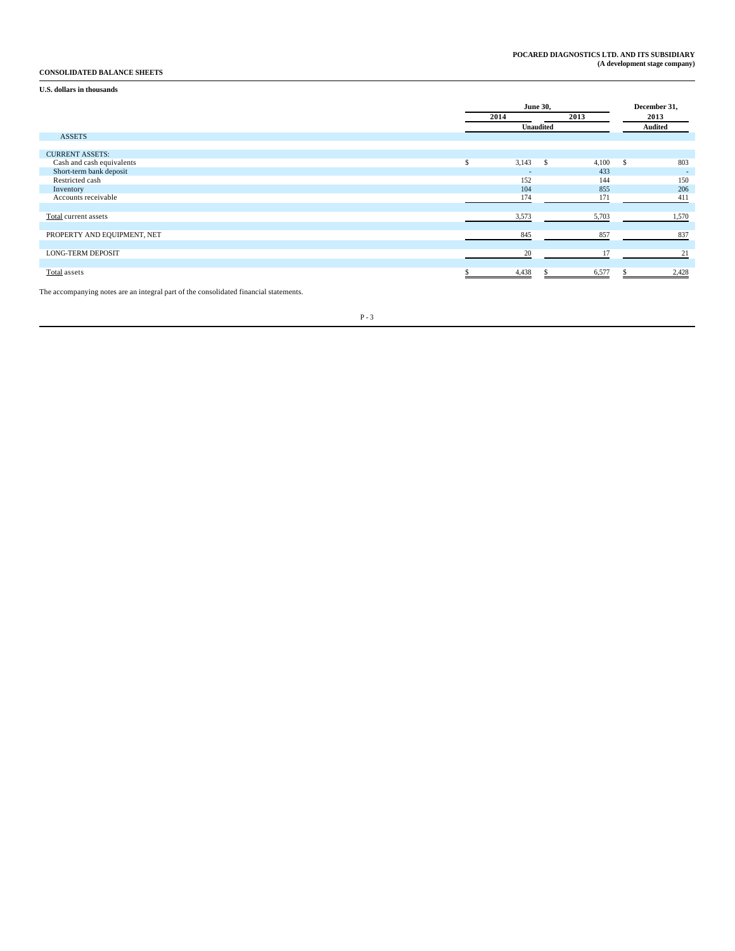### **CONSOLIDATED BALANCE SHEETS**

**U.S. dollars in thousands**

|                             | <b>June 30,</b><br>2013<br>2014 |              |       | December 31,<br>2013 |                          |
|-----------------------------|---------------------------------|--------------|-------|----------------------|--------------------------|
|                             |                                 | Unaudited    |       |                      | Audited                  |
| <b>ASSETS</b>               |                                 |              |       |                      |                          |
| <b>CURRENT ASSETS:</b>      |                                 |              |       |                      |                          |
| Cash and cash equivalents   | \$<br>3,143                     | $\mathbb{S}$ | 4,100 | s.                   | 803                      |
| Short-term bank deposit     | $\overline{\phantom{a}}$        |              | 433   |                      | $\overline{\phantom{a}}$ |
| Restricted cash             | 152                             |              | 144   |                      | 150                      |
| Inventory                   | 104                             |              | 855   |                      | 206                      |
| Accounts receivable         | 174                             |              | 171   |                      | 411                      |
|                             |                                 |              |       |                      |                          |
| Total current assets        | 3,573                           |              | 5,703 |                      | 1,570                    |
|                             |                                 |              |       |                      |                          |
| PROPERTY AND EQUIPMENT, NET | 845                             |              | 857   |                      | 837                      |
|                             |                                 |              |       |                      |                          |
| <b>LONG-TERM DEPOSIT</b>    | 20                              |              | 17    |                      | 21                       |
|                             |                                 |              |       |                      |                          |
| Total assets                | 4,438                           |              | 6,577 |                      | 2,428                    |

The accompanying notes are an integral part of the consolidated financial statements.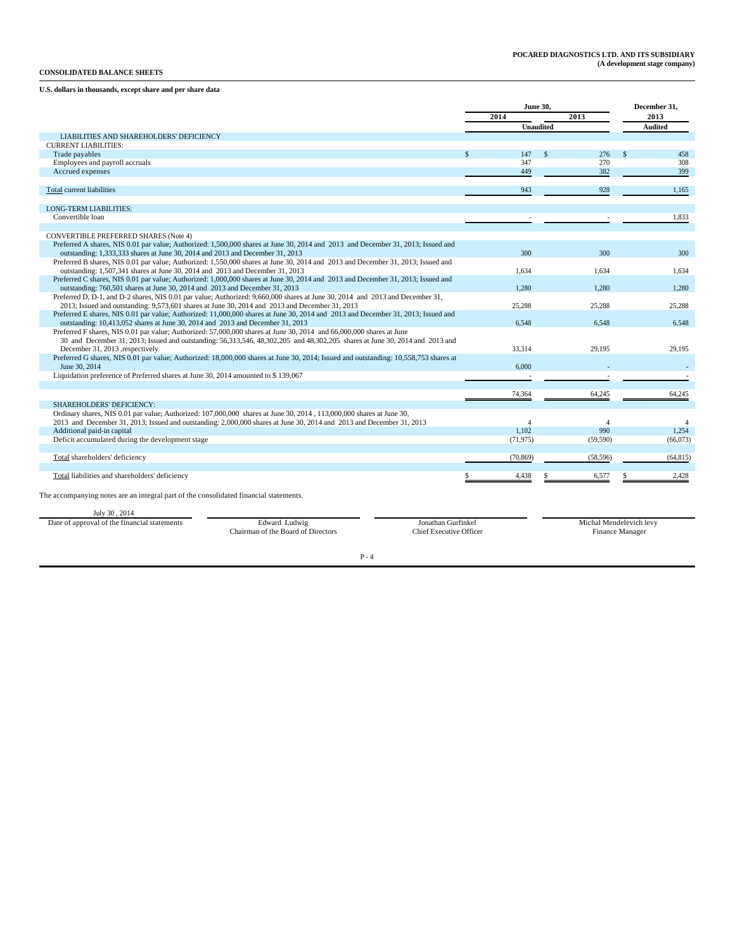### **CONSOLIDATED BALANCE SHEETS**

### **U.S. dollars in thousands, except share and per share data**

|                                                                                                                                                                                                                                     | <b>June 30.</b>           | December 31,         |                           |
|-------------------------------------------------------------------------------------------------------------------------------------------------------------------------------------------------------------------------------------|---------------------------|----------------------|---------------------------|
|                                                                                                                                                                                                                                     | 2014                      | 2013                 | 2013                      |
|                                                                                                                                                                                                                                     | <b>Unaudited</b>          |                      | <b>Audited</b>            |
| LIABILITIES AND SHAREHOLDERS' DEFICIENCY                                                                                                                                                                                            |                           |                      |                           |
| <b>CURRENT LIABILITIES:</b>                                                                                                                                                                                                         | 147<br>$\mathbf{\hat{s}}$ | $\mathcal{S}$<br>276 | $\mathbf{\hat{S}}$<br>458 |
| Trade payables<br>Employees and payroll accruals                                                                                                                                                                                    | 347                       | 270                  | 308                       |
| Accrued expenses                                                                                                                                                                                                                    | 449                       | 382                  | 399                       |
|                                                                                                                                                                                                                                     |                           |                      |                           |
| Total current liabilities                                                                                                                                                                                                           | 943                       | 928                  | 1,165                     |
|                                                                                                                                                                                                                                     |                           |                      |                           |
| <b>LONG-TERM LIABILITIES:</b>                                                                                                                                                                                                       |                           |                      |                           |
| Convertible loan                                                                                                                                                                                                                    |                           |                      | 1.833                     |
|                                                                                                                                                                                                                                     |                           |                      |                           |
| <b>CONVERTIBLE PREFERRED SHARES (Note 4)</b><br>Preferred A shares, NIS 0.01 par value; Authorized: 1,500,000 shares at June 30, 2014 and 2013 and December 31, 2013; Issued and                                                    |                           |                      |                           |
| outstanding: 1,333,333 shares at June 30, 2014 and 2013 and December 31, 2013                                                                                                                                                       | 300                       | 300                  | 300                       |
| Preferred B shares, NIS 0.01 par value; Authorized: 1,550,000 shares at June 30, 2014 and 2013 and December 31, 2013; Issued and                                                                                                    |                           |                      |                           |
| outstanding: 1,507,341 shares at June 30, 2014 and 2013 and December 31, 2013                                                                                                                                                       | 1.634                     | 1.634                | 1.634                     |
| Preferred C shares, NIS 0.01 par value; Authorized: 1,000,000 shares at June 30, 2014 and 2013 and December 31, 2013; Issued and                                                                                                    |                           |                      |                           |
| outstanding: 760,501 shares at June 30, 2014 and 2013 and December 31, 2013                                                                                                                                                         | 1.280                     | 1.280                | 1.280                     |
| Preferred D, D-1, and D-2 shares, NIS 0.01 par value; Authorized: 9,660,000 shares at June 30, 2014 and 2013 and December 31,                                                                                                       |                           |                      |                           |
| 2013; Issued and outstanding: 9,573,601 shares at June 30, 2014 and 2013 and December 31, 2013<br>Preferred E shares, NIS 0.01 par value; Authorized: 11,000,000 shares at June 30, 2014 and 2013 and December 31, 2013; Issued and | 25,288                    | 25,288               | 25,288                    |
| outstanding: 10,413,052 shares at June 30, 2014 and 2013 and December 31, 2013                                                                                                                                                      | 6.548                     | 6.548                | 6.548                     |
| Preferred F shares, NIS 0.01 par value; Authorized: 57,000,000 shares at June 30, 2014 and 66,000,000 shares at June                                                                                                                |                           |                      |                           |
| 30 and December 31, 2013; Issued and outstanding: 56,313,546, 48,302,205 and 48,302,205 shares at June 30, 2014 and 2013 and                                                                                                        |                           |                      |                           |
| December 31, 2013 , respectively                                                                                                                                                                                                    | 33.314                    | 29.195               | 29.195                    |
| Preferred G shares, NIS 0.01 par value; Authorized: 18,000,000 shares at June 30, 2014; Issued and outstanding: 10,558,753 shares at                                                                                                |                           |                      |                           |
| June 30, 2014<br>Liquidation preference of Preferred shares at June 30, 2014 amounted to \$139,067                                                                                                                                  | 6.000                     |                      |                           |
|                                                                                                                                                                                                                                     |                           |                      |                           |
|                                                                                                                                                                                                                                     | 74,364                    | 64,245               | 64.245                    |
| SHAREHOLDERS' DEFICIENCY:                                                                                                                                                                                                           |                           |                      |                           |
| Ordinary shares, NIS 0.01 par value; Authorized: 107,000,000 shares at June 30, 2014, 113,000,000 shares at June 30,                                                                                                                |                           |                      |                           |
| 2013 and December 31, 2013; Issued and outstanding: 2,000,000 shares at June 30, 2014 and 2013 and December 31, 2013                                                                                                                | $\overline{4}$            | $\overline{A}$       | $\overline{4}$            |
| Additional paid-in capital                                                                                                                                                                                                          | 1.102                     | 990                  | 1.254                     |
| Deficit accumulated during the development stage                                                                                                                                                                                    | (71, 975)                 | (59, 590)            | (66,073)                  |
|                                                                                                                                                                                                                                     |                           |                      |                           |
| Total shareholders' deficiency                                                                                                                                                                                                      | (70, 869)                 | (58, 596)            | (64, 815)                 |
| Total liabilities and shareholders' deficiency                                                                                                                                                                                      | 4,438                     | 6,577                | 2,428                     |
|                                                                                                                                                                                                                                     |                           |                      |                           |
| The accompanying notes are an integral part of the consolidated financial statements.                                                                                                                                               |                           |                      |                           |
| July 30, 2014                                                                                                                                                                                                                       |                           |                      |                           |
| Date of approval of the financial statements<br>Edward Ludwig<br>Jonathan Gurfinkel                                                                                                                                                 |                           |                      | Michal Mendelevich levy   |
| Chairman of the Board of Directors<br><b>Chief Executive Officer</b>                                                                                                                                                                |                           |                      | Finance Manager           |
|                                                                                                                                                                                                                                     |                           |                      |                           |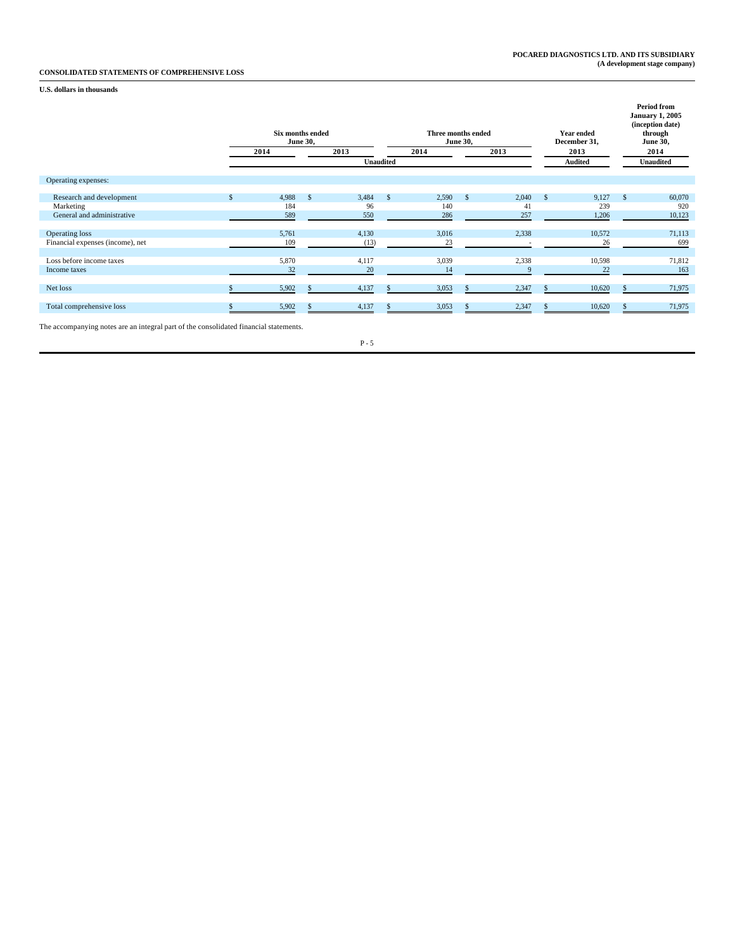### **CONSOLIDATED STATEMENTS OF COMPREHENSIVE LOSS**

### **U.S. dollars in thousands**

|                                                                                       | Six months ended<br>2014 | <b>June 30,</b> | 2013  |                  | Three months ended<br>2014 | <b>June 30,</b> | 2013  |              | <b>Year ended</b><br>December 31,<br>2013 |          | <b>Period from</b><br><b>January 1, 2005</b><br>(inception date)<br>through<br><b>June 30,</b><br>2014 |
|---------------------------------------------------------------------------------------|--------------------------|-----------------|-------|------------------|----------------------------|-----------------|-------|--------------|-------------------------------------------|----------|--------------------------------------------------------------------------------------------------------|
|                                                                                       |                          |                 |       | <b>Unaudited</b> |                            |                 |       |              | <b>Audited</b>                            |          | <b>Unaudited</b>                                                                                       |
| Operating expenses:                                                                   |                          |                 |       |                  |                            |                 |       |              |                                           |          |                                                                                                        |
| Research and development                                                              | 4,988                    | $\mathbf{s}$    | 3,484 | -S               | 2,590                      | $\mathbf{s}$    | 2,040 | $\mathbf{s}$ | 9,127                                     | <b>S</b> | 60,070                                                                                                 |
| Marketing                                                                             | 184                      |                 | 96    |                  | 140                        |                 | 41    |              | 239                                       |          | 920                                                                                                    |
| General and administrative                                                            | 589                      |                 | 550   |                  | 286                        |                 | 257   |              | 1,206                                     |          | 10,123                                                                                                 |
| Operating loss                                                                        | 5,761                    |                 | 4,130 |                  | 3,016                      |                 | 2,338 |              | 10,572                                    |          | 71,113                                                                                                 |
| Financial expenses (income), net                                                      | 109                      |                 | (13)  |                  | 23                         |                 |       |              | 26                                        |          | 699                                                                                                    |
| Loss before income taxes                                                              | 5,870                    |                 | 4,117 |                  | 3,039                      |                 | 2,338 |              | 10,598                                    |          | 71,812                                                                                                 |
| Income taxes                                                                          | 32                       |                 | 20    |                  | 14                         |                 |       |              | 22                                        |          | 163                                                                                                    |
| Net loss                                                                              | 5,902                    |                 | 4,137 |                  | 3,053                      |                 | 2,347 |              | 10,620                                    |          | 71,975                                                                                                 |
| Total comprehensive loss                                                              | 5,902                    |                 | 4,137 |                  | 3,053                      |                 | 2,347 |              | 10,620                                    |          | 71,975                                                                                                 |
| The accompanying notes are an integral part of the consolidated financial statements. |                          |                 |       |                  |                            |                 |       |              |                                           |          |                                                                                                        |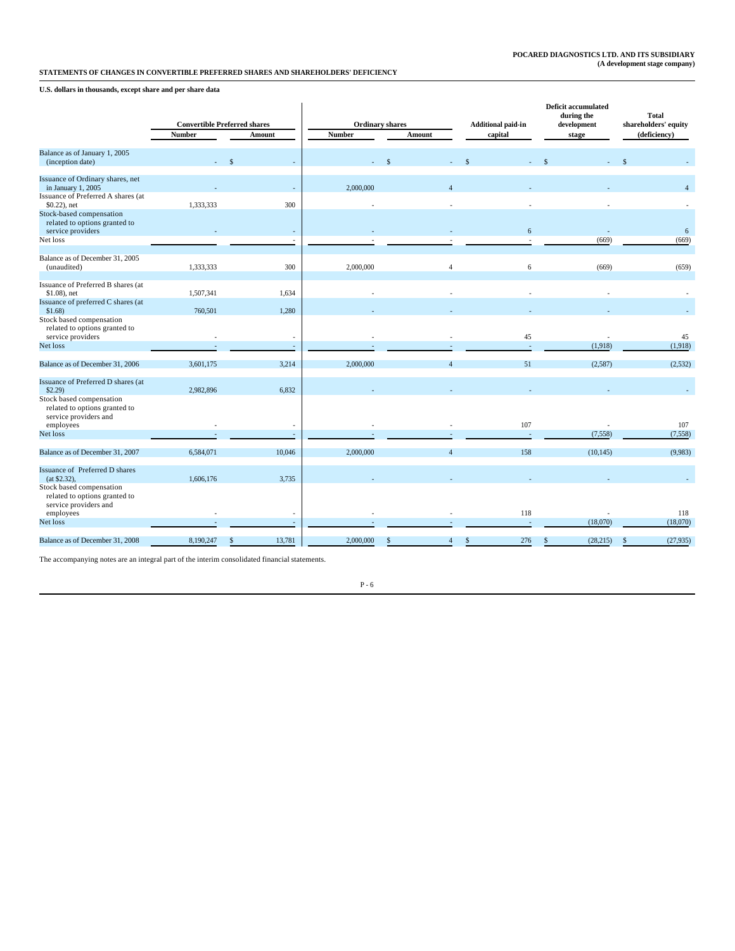**U.S. dollars in thousands, except share and per share data**

|                                                                                    |               | <b>Convertible Preferred shares</b> | <b>Ordinary shares</b> |                | <b>Additional paid-in</b> | <b>Deficit accumulated</b><br>during the<br>development | <b>Total</b><br>shareholders' equity |  |
|------------------------------------------------------------------------------------|---------------|-------------------------------------|------------------------|----------------|---------------------------|---------------------------------------------------------|--------------------------------------|--|
|                                                                                    | <b>Number</b> | Amount                              | <b>Number</b>          | Amount         | capital                   | stage                                                   | (deficiency)                         |  |
| Balance as of January 1, 2005<br>(inception date)                                  |               |                                     |                        |                |                           |                                                         |                                      |  |
| Issuance of Ordinary shares, net<br>in January 1, 2005                             |               |                                     | 2,000,000              | Λ              |                           |                                                         | $\overline{4}$                       |  |
| Issuance of Preferred A shares (at<br>$$0.22$ ), net                               | 1,333,333     | 300                                 |                        |                |                           |                                                         |                                      |  |
| Stock-based compensation<br>related to options granted to<br>service providers     |               | $\sim$                              |                        |                | $6\phantom{.}6$           |                                                         | 6                                    |  |
| Net loss                                                                           |               | $\overline{\phantom{a}}$            |                        |                | $\sim$                    | (669)                                                   | (669)                                |  |
| Balance as of December 31, 2005<br>(unaudited)                                     | 1,333,333     | 300                                 | 2,000,000              | $\overline{4}$ | 6                         | (669)                                                   | (659)                                |  |
| Issuance of Preferred B shares (at<br>$$1.08$ ), net                               | 1,507,341     | 1,634                               |                        |                |                           |                                                         |                                      |  |
| Issuance of preferred C shares (at<br>$$1.68$ )<br>Stock based compensation        | 760,501       | 1,280                               |                        |                |                           |                                                         |                                      |  |
| related to options granted to<br>service providers                                 |               | $\overline{\phantom{a}}$            |                        |                | 45                        |                                                         | 45                                   |  |
| Net loss                                                                           |               | $\sim$                              |                        |                | $\sim$                    | (1,918)                                                 | (1,918)                              |  |
| Balance as of December 31, 2006                                                    | 3,601,175     | 3,214                               | 2,000,000              | $\overline{4}$ | 51                        | (2,587)                                                 | (2, 532)                             |  |
| Issuance of Preferred D shares (at<br>\$2.29                                       | 2,982,896     | 6,832                               |                        |                |                           |                                                         |                                      |  |
| Stock based compensation<br>related to options granted to<br>service providers and |               |                                     |                        |                |                           |                                                         |                                      |  |
| employees<br>Net loss                                                              |               |                                     |                        |                | 107                       | (7, 558)                                                | 107<br>(7, 558)                      |  |
| Balance as of December 31, 2007                                                    | 6,584,071     | 10,046                              | 2,000,000              | $\overline{4}$ | 158                       | (10, 145)                                               | (9,983)                              |  |
| Issuance of Preferred D shares<br>$(at $2.32)$ ,<br>Stock based compensation       | 1,606,176     | 3,735                               |                        |                |                           |                                                         |                                      |  |
| related to options granted to<br>service providers and<br>employees                |               |                                     |                        |                | 118                       |                                                         | 118                                  |  |
| Net loss                                                                           |               | $\sim$                              |                        |                | $\sim$                    | (18,070)                                                | (18,070)                             |  |
| Balance as of December 31, 2008                                                    | 8,190,247     | 13,781<br>S                         | 2,000,000              |                | 276                       | (28, 215)                                               | (27, 935)<br>\$.                     |  |

The accompanying notes are an integral part of the interim consolidated financial statements.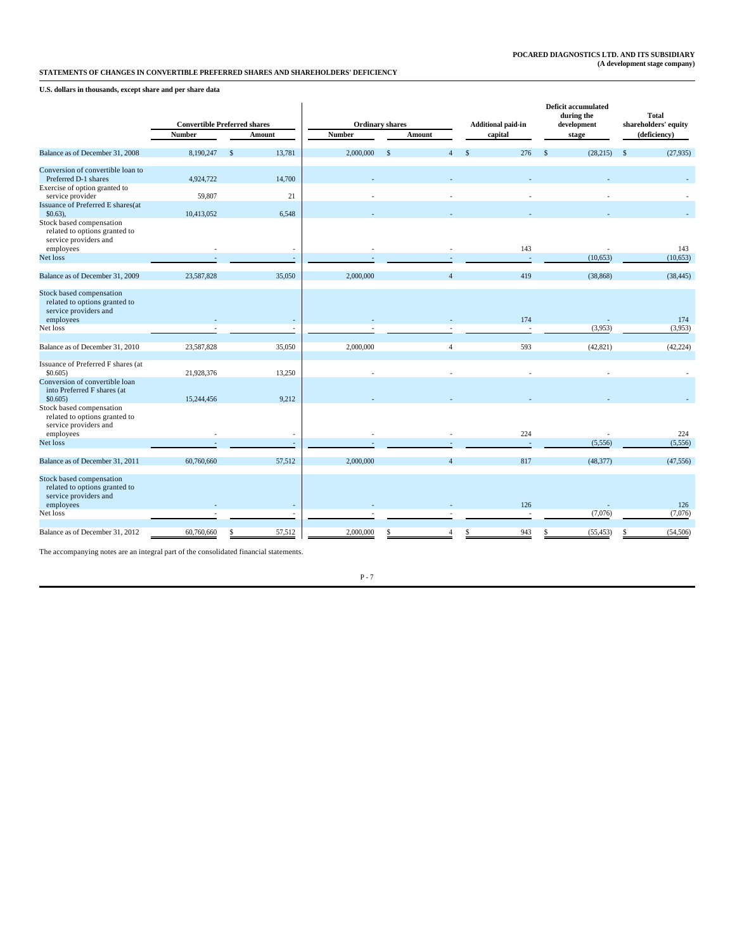**U.S. dollars in thousands, except share and per share data**

|                                                                                                 |               | <b>Convertible Preferred shares</b> |               | <b>Ordinary shares</b>         | <b>Additional paid-in</b> | <b>Deficit accumulated</b><br>during the<br>development | <b>Total</b><br>shareholders' equity<br>(deficiency) |  |
|-------------------------------------------------------------------------------------------------|---------------|-------------------------------------|---------------|--------------------------------|---------------------------|---------------------------------------------------------|------------------------------------------------------|--|
|                                                                                                 | <b>Number</b> | <b>Amount</b>                       | <b>Number</b> | Amount                         | capital                   | stage                                                   |                                                      |  |
| Balance as of December 31, 2008                                                                 | 8,190,247     | 13,781<br>$\mathbf{s}$              | 2,000,000     | $\mathbf{s}$<br>$\overline{4}$ | 276<br>$\mathbf{s}$       | (28, 215)<br>$\mathbf{s}$                               | $\mathbf{s}$<br>(27, 935)                            |  |
| Conversion of convertible loan to                                                               |               |                                     |               |                                |                           |                                                         |                                                      |  |
| Preferred D-1 shares<br>Exercise of option granted to                                           | 4,924,722     | 14,700                              |               |                                |                           |                                                         |                                                      |  |
| service provider                                                                                | 59,807        | 21                                  |               |                                |                           |                                                         |                                                      |  |
| Issuance of Preferred E shares(at                                                               |               |                                     |               |                                |                           |                                                         |                                                      |  |
| $$0.63$ ),                                                                                      | 10,413,052    | 6,548                               |               |                                |                           |                                                         |                                                      |  |
| Stock based compensation<br>related to options granted to<br>service providers and<br>employees |               |                                     |               |                                | 143                       |                                                         | 143                                                  |  |
| Net loss                                                                                        |               | $\overline{a}$                      |               |                                | ÷.                        |                                                         | (10,653)                                             |  |
|                                                                                                 |               |                                     |               |                                |                           | (10, 653)                                               |                                                      |  |
| Balance as of December 31, 2009                                                                 | 23,587,828    | 35,050                              | 2,000,000     |                                | 419                       | (38, 868)                                               | (38, 445)                                            |  |
| Stock based compensation<br>related to options granted to<br>service providers and              |               |                                     |               |                                |                           |                                                         |                                                      |  |
| employees                                                                                       |               |                                     |               |                                | 174                       |                                                         | 174                                                  |  |
| Net loss                                                                                        |               |                                     |               |                                | $\overline{\phantom{a}}$  | (3,953)                                                 | (3,953)                                              |  |
| Balance as of December 31, 2010                                                                 | 23,587,828    | 35,050                              | 2,000,000     | $\overline{4}$                 | 593                       | (42, 821)                                               | (42, 224)                                            |  |
| Issuance of Preferred F shares (at<br>$$0.605$ )                                                | 21,928,376    | 13,250                              |               |                                |                           |                                                         |                                                      |  |
| Conversion of convertible loan<br>into Preferred F shares (at<br>\$0.605)                       | 15,244,456    | 9,212                               |               |                                |                           |                                                         |                                                      |  |
| Stock based compensation<br>related to options granted to<br>service providers and              |               |                                     |               |                                |                           |                                                         |                                                      |  |
| employees                                                                                       |               | $\overline{\phantom{a}}$            |               |                                | 224                       |                                                         | 224                                                  |  |
| Net loss                                                                                        |               |                                     |               |                                |                           | (5,556)                                                 | (5,556)                                              |  |
| Balance as of December 31, 2011                                                                 | 60,760,660    | 57,512                              | 2,000,000     | $\Delta$                       | 817                       | (48, 377)                                               | (47, 556)                                            |  |
| Stock based compensation<br>related to options granted to<br>service providers and              |               |                                     |               |                                |                           |                                                         |                                                      |  |
| employees                                                                                       |               |                                     |               |                                | 126                       |                                                         | 126                                                  |  |
| Net loss                                                                                        |               |                                     |               |                                |                           | (7,076)                                                 | (7,076)                                              |  |
| Balance as of December 31, 2012                                                                 | 60,760,660    | 57,512                              | 2,000,000     |                                | 943                       | (55, 453)                                               | (54, 506)                                            |  |

The accompanying notes are an integral part of the consolidated financial statements.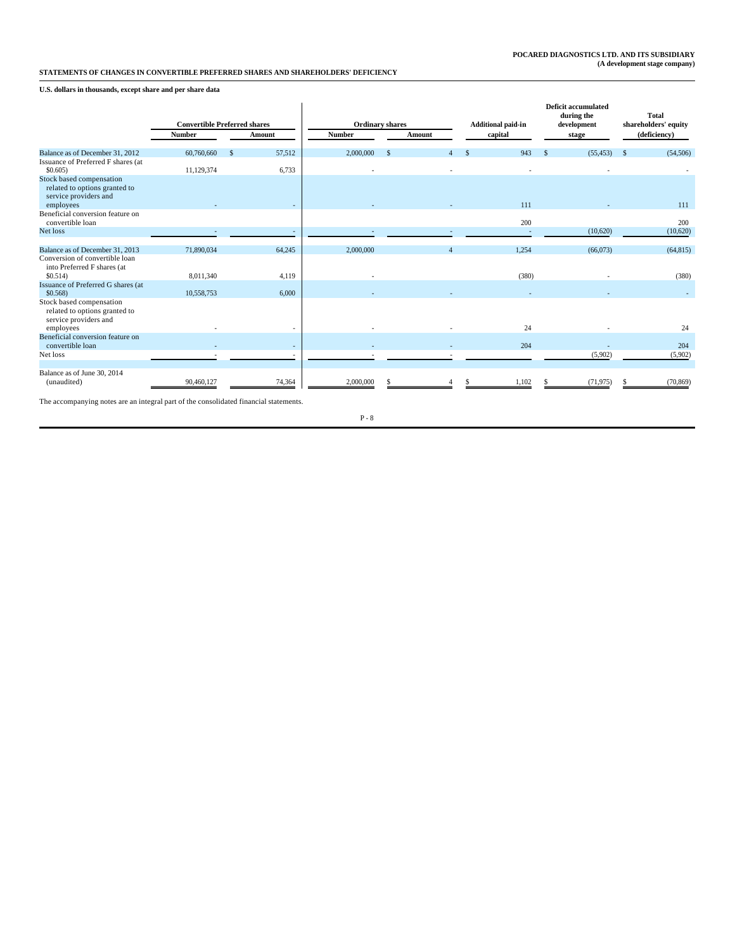### **U.S. dollars in thousands, except share and per share data**

|                                                                                                  |               | <b>Convertible Preferred shares</b> |               | <b>Ordinary shares</b> | <b>Additional paid-in</b> | <b>Deficit accumulated</b><br>during the<br>development | Total<br>shareholders' equity |  |
|--------------------------------------------------------------------------------------------------|---------------|-------------------------------------|---------------|------------------------|---------------------------|---------------------------------------------------------|-------------------------------|--|
|                                                                                                  | <b>Number</b> | Amount                              | <b>Number</b> | Amount                 | capital                   | stage                                                   | (deficiency)                  |  |
| Balance as of December 31, 2012<br>Issuance of Preferred F shares (at                            | 60,760,660    | 57,512<br>-8                        | 2,000,000     | -S                     | 943                       | (55, 453)                                               | (54, 506)                     |  |
| \$0,605<br>Stock based compensation<br>related to options granted to<br>service providers and    | 11,129,374    | 6,733                               |               |                        |                           |                                                         |                               |  |
| employees<br>Beneficial conversion feature on<br>convertible loan                                |               |                                     |               |                        | 111<br>200                |                                                         | 111<br>200                    |  |
| Net loss                                                                                         |               |                                     |               |                        | ÷.                        | (10,620)                                                | (10,620)                      |  |
| Balance as of December 31, 2013<br>Conversion of convertible loan<br>into Preferred F shares (at | 71,890,034    | 64,245                              | 2,000,000     |                        | 1,254                     | (66,073)                                                | (64, 815)                     |  |
| \$0.514)                                                                                         | 8,011,340     | 4,119                               |               |                        | (380)                     |                                                         | (380)                         |  |
| Issuance of Preferred G shares (at<br>$$0.568$ )                                                 | 10,558,753    | 6,000                               |               |                        |                           |                                                         |                               |  |
| Stock based compensation<br>related to options granted to<br>service providers and<br>employees  |               |                                     |               |                        | 24                        |                                                         | 24                            |  |
| Beneficial conversion feature on<br>convertible loan                                             |               |                                     |               |                        | 204                       |                                                         | 204                           |  |
| Net loss                                                                                         |               |                                     |               |                        |                           | (5,902)                                                 | (5,902)                       |  |
| Balance as of June 30, 2014<br>(unaudited)                                                       | 90,460,127    | 74,364                              | 2,000,000     |                        | 1,102                     | (71, 975)                                               | (70, 869)                     |  |

The accompanying notes are an integral part of the consolidated financial statements.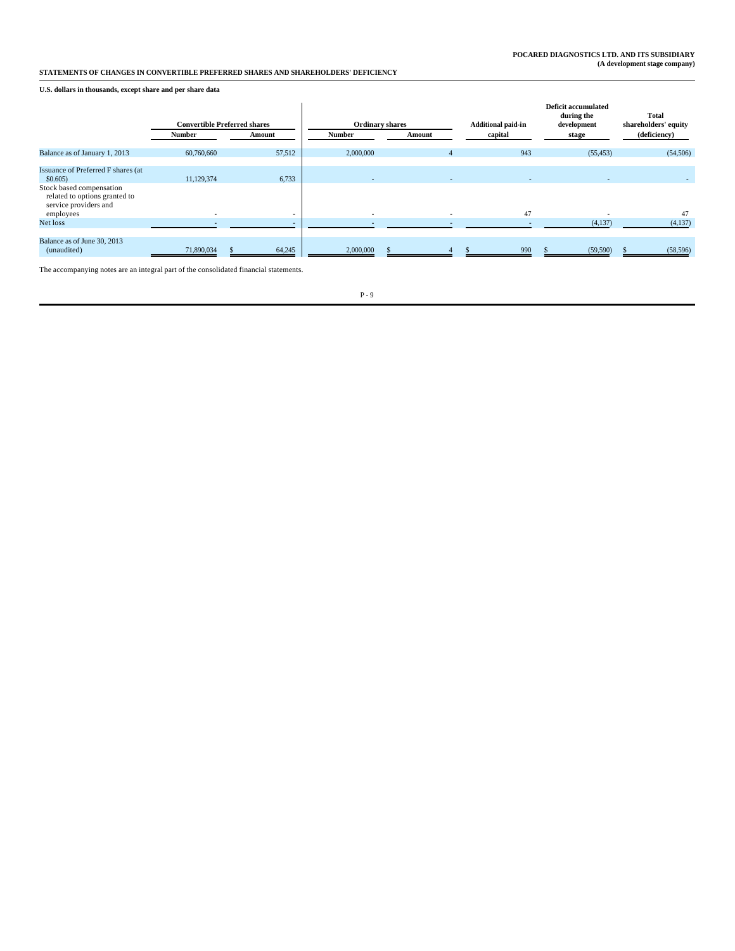### **U.S. dollars in thousands, except share and per share data**

|                                                                                    |            | <b>Convertible Preferred shares</b> |               | <b>Ordinary shares</b> | <b>Additional paid-in</b> | <b>Deficit accumulated</b><br>during the<br>development | <b>Total</b><br>shareholders' equity |
|------------------------------------------------------------------------------------|------------|-------------------------------------|---------------|------------------------|---------------------------|---------------------------------------------------------|--------------------------------------|
|                                                                                    | Number     | Amount                              | <b>Number</b> | Amount                 | capital                   | stage                                                   | (deficiency)                         |
| Balance as of January 1, 2013                                                      | 60,760,660 | 57,512                              | 2,000,000     |                        | 943                       | (55, 453)                                               | (54, 506)                            |
| Issuance of Preferred F shares (at<br>\$0.605)                                     | 11,129,374 | 6,733                               | ۰             | $\overline{a}$         |                           |                                                         |                                      |
| Stock based compensation<br>related to options granted to<br>service providers and |            |                                     |               |                        |                           |                                                         |                                      |
| employees<br>Net loss                                                              |            |                                     |               |                        | 47                        | (4,137)                                                 | 47<br>(4,137)                        |
| Balance as of June 30, 2013<br>(unaudited)                                         | 71,890,034 | 64,245                              | 2,000,000     |                        | 990                       | (59, 590)                                               | (58, 596)                            |

The accompanying notes are an integral part of the consolidated financial statements.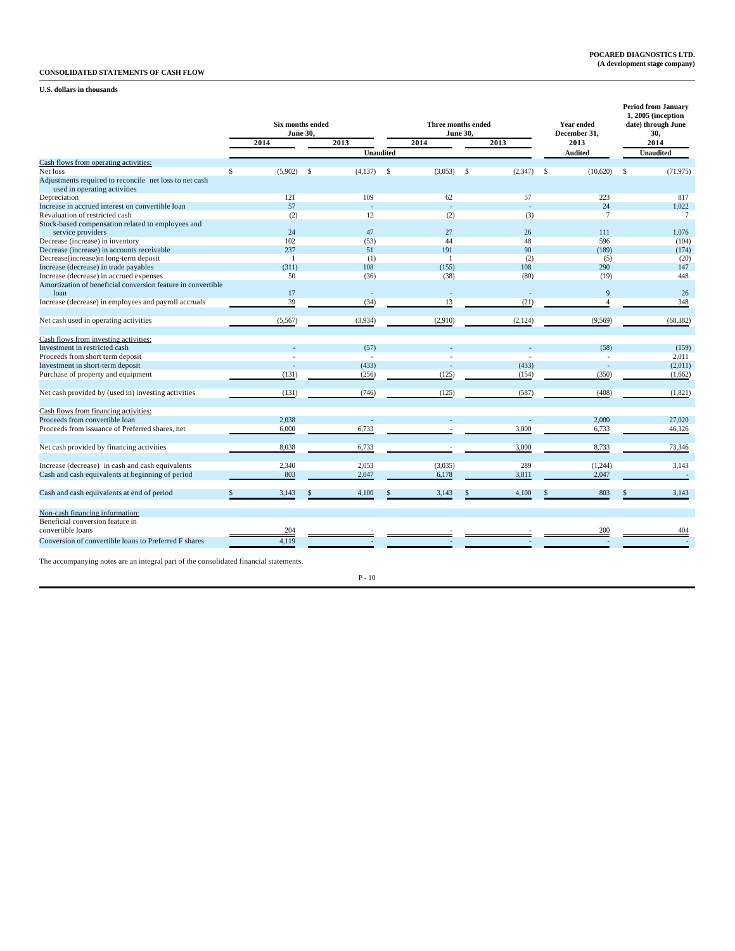### **CONSOLIDATED STATEMENTS OF CASH FLOW**

### **U.S. dollars in thousands**

|                                                                                        |                | <b>Six months ended</b><br>Three months ended<br>June 30,<br>June 30,<br>2013<br>2014<br>2013 |                  |      |         |    |         |      | <b>Year ended</b><br>December 31, | <b>Period from January</b><br>1, 2005 (inception<br>date) through June<br>30, |                  |
|----------------------------------------------------------------------------------------|----------------|-----------------------------------------------------------------------------------------------|------------------|------|---------|----|---------|------|-----------------------------------|-------------------------------------------------------------------------------|------------------|
|                                                                                        | 2014           |                                                                                               |                  |      |         |    |         |      | 2013                              |                                                                               | 2014             |
|                                                                                        |                |                                                                                               | <b>Unaudited</b> |      |         |    |         |      | <b>Audited</b>                    |                                                                               | <b>Unaudited</b> |
| Cash flows from operating activities:                                                  |                |                                                                                               |                  |      |         |    |         |      |                                   |                                                                               |                  |
| Net loss                                                                               | \$<br>(5,902)  | <sup>\$</sup>                                                                                 | (4, 137)         | - \$ | (3,053) | \$ | (2,347) | - \$ | (10,620)                          | <sup>\$</sup>                                                                 | (71, 975)        |
| Adjustments required to reconcile net loss to net cash<br>used in operating activities |                |                                                                                               |                  |      |         |    |         |      |                                   |                                                                               |                  |
| Depreciation                                                                           | 121            |                                                                                               | 109              |      | 62      |    | 57      |      | 223                               |                                                                               | 817              |
| Increase in accrued interest on convertible loan                                       | 57             |                                                                                               |                  |      | ÷,      |    |         |      | 24                                |                                                                               | 1,022            |
| Revaluation of restricted cash                                                         | (2)            |                                                                                               | 12               |      | (2)     |    | (3)     |      | $7\phantom{.0}$                   |                                                                               | $\tau$           |
| Stock-based compensation related to employees and                                      |                |                                                                                               |                  |      |         |    |         |      |                                   |                                                                               |                  |
| service providers                                                                      | 24             |                                                                                               | 47               |      | 27      |    | 26      |      | 111                               |                                                                               | 1,076            |
| Decrease (increase) in inventory                                                       | 102            |                                                                                               | (53)             |      | 44      |    | 48      |      | 596                               |                                                                               | (104)            |
| Decrease (increase) in accounts receivable                                             | 237            |                                                                                               | 51               |      | 191     |    | 90      |      | (189)                             |                                                                               | (174)            |
| Decrease(increase)in long-term deposit                                                 | $\overline{1}$ |                                                                                               | (1)              |      |         |    | (2)     |      | (5)                               |                                                                               | (20)             |
| Increase (decrease) in trade payables                                                  | (311)          |                                                                                               | 108              |      | (155)   |    | 108     |      | 290                               |                                                                               | 147              |
| Increase (decrease) in accrued expenses                                                | 50             |                                                                                               | (36)             |      | (38)    |    | (80)    |      | (19)                              |                                                                               | 448              |
| Amortization of beneficial conversion feature in convertible                           |                |                                                                                               |                  |      |         |    |         |      |                                   |                                                                               |                  |
| $1$ oan                                                                                | 17             |                                                                                               |                  |      |         |    |         |      | 9                                 |                                                                               | 26               |
| Increase (decrease) in employees and payroll accruals                                  | 39             |                                                                                               | (34)             |      | 13      |    | (21)    |      | $\overline{A}$                    |                                                                               | 348              |
| Net cash used in operating activities                                                  | (5,567)        |                                                                                               | (3,934)          |      | (2,910) |    | (2,124) |      | (9, 569)                          |                                                                               | (68, 382)        |
| Cash flows from investing activities:                                                  |                |                                                                                               |                  |      |         |    |         |      |                                   |                                                                               |                  |
| Investment in restricted cash                                                          |                |                                                                                               | (57)             |      |         |    |         |      | (58)                              |                                                                               | (159)            |
| Proceeds from short term deposit                                                       |                |                                                                                               |                  |      |         |    |         |      | ÷.                                |                                                                               | 2,011            |
| Investment in short-term deposit                                                       |                |                                                                                               | (433)            |      |         |    | (433)   |      |                                   |                                                                               | (2,011)          |
| Purchase of property and equipment                                                     | (131)          |                                                                                               | (256)            |      | (125)   |    | (154)   |      | (350)                             |                                                                               | (1,662)          |
| Net cash provided by (used in) investing activities                                    | (131)          |                                                                                               | (746)            |      | (125)   |    | (587)   |      | (408)                             |                                                                               | (1,821)          |
| Cash flows from financing activities:                                                  |                |                                                                                               |                  |      |         |    |         |      |                                   |                                                                               |                  |
| Proceeds from convertible loan                                                         | 2.038          |                                                                                               |                  |      |         |    |         |      | 2,000                             |                                                                               | 27,020           |
| Proceeds from issuance of Preferred shares, net                                        | 6,000          |                                                                                               | 6,733            |      |         |    | 3,000   |      | 6,733                             |                                                                               | 46,326           |
| Net cash provided by financing activities                                              | 8,038          |                                                                                               | 6,733            |      |         |    | 3,000   |      | 8,733                             |                                                                               | 73,346           |
|                                                                                        |                |                                                                                               |                  |      |         |    |         |      |                                   |                                                                               |                  |
| Increase (decrease) in cash and cash equivalents                                       | 2,340          |                                                                                               | 2,053            |      | (3,035) |    | 289     |      | (1,244)                           |                                                                               | 3,143            |
| Cash and cash equivalents at beginning of period                                       | 803            |                                                                                               | 2,047            |      | 6,178   |    | 3,811   |      | 2,047                             |                                                                               |                  |
| Cash and cash equivalents at end of period                                             | 3,143          |                                                                                               | 4,100            |      | 3,143   |    | 4,100   |      | 803                               |                                                                               | 3,143            |
| Non-cash financing information:                                                        |                |                                                                                               |                  |      |         |    |         |      |                                   |                                                                               |                  |
| Beneficial conversion feature in                                                       |                |                                                                                               |                  |      |         |    |         |      |                                   |                                                                               |                  |
| convertible loans                                                                      | 204            |                                                                                               |                  |      |         |    |         |      | 200                               |                                                                               | 404              |
| Conversion of convertible loans to Preferred F shares                                  | 4,119          |                                                                                               |                  |      |         |    |         |      |                                   |                                                                               |                  |
|                                                                                        |                |                                                                                               |                  |      |         |    |         |      |                                   |                                                                               |                  |

The accompanying notes are an integral part of the consolidated financial statements.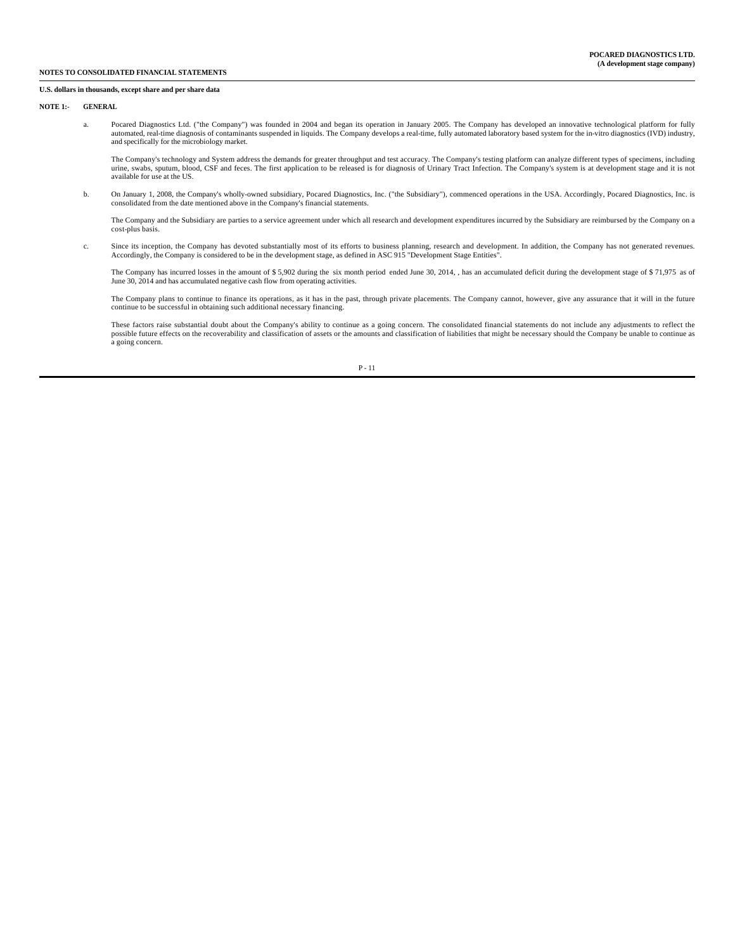#### **U.S. dollars in thousands, except share and per share data**

**NOTE 1:- GENERAL**

 a. Pocared Diagnostics Ltd. ("the Company") was founded in 2004 and began its operation in January 2005. The Company has developed an innovative technological platform for fully automated, real-time diagnosis of contaminants suspended in liquids. The Company develops a real-time, fully automated laboratory based system for the in-vitro diagnostics (IVD) industry, and specifically for the microbiology market.

The Company's technology and System address the demands for greater throughput and test accuracy. The Company's testing platform can analyze different types of specimens, including<br>urine, swabs, sputum, blood, CSF and fece available for use at the US.

 b. On January 1, 2008, the Company's wholly-owned subsidiary, Pocared Diagnostics, Inc. ("the Subsidiary"), commenced operations in the USA. Accordingly, Pocared Diagnostics, Inc. is consolidated from the date mentioned above in the Company's financial statements.

The Company and the Subsidiary are parties to a service agreement under which all research and development expenditures incurred by the Subsidiary are reimbursed by the Company on a cost-plus basis.

c. Since its inception, the Company has devoted substantially most of its efforts to business planning, research and development. In addition, the Company has not generated revenues.<br>Accordingly, the Company is considered

The Company has incurred losses in the amount of \$ 5,902 during the six month period ended June 30, 2014, , has an accumulated deficit during the development stage of \$ 71,975 as of June 30, 2014 and has accumulated negative cash flow from operating activities.

The Company plans to continue to finance its operations, as it has in the past, through private placements. The Company cannot, however, give any assurance that it will in the future<br>continue to be successful in obtaining

These factors raise substantial doubt about the Company's ability to continue as a going concern. The consolidated financial statements do not include any adjustments to reflect the<br>possible future effects on the recoverab a going concern.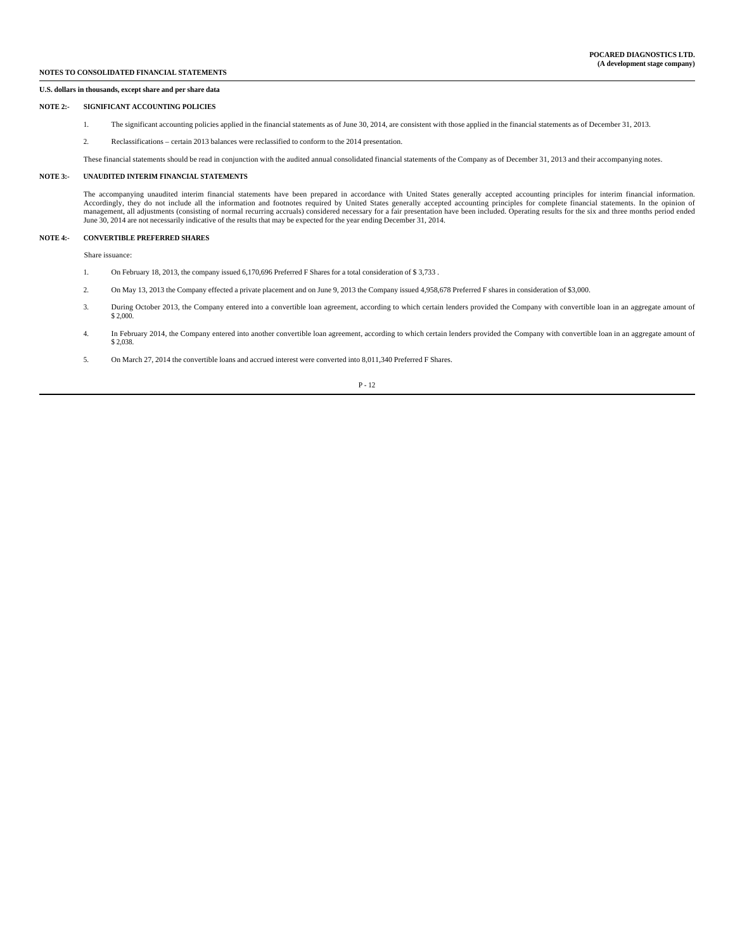#### **U.S. dollars in thousands, except share and per share data**

#### **NOTE 2:- SIGNIFICANT ACCOUNTING POLICIES**

- 1. The significant accounting policies applied in the financial statements as of June 30, 2014, are consistent with those applied in the financial statements as of December 31, 2013.
- 2. Reclassifications certain 2013 balances were reclassified to conform to the 2014 presentation.

These financial statements should be read in conjunction with the audited annual consolidated financial statements of the Company as of December 31, 2013 and their accompanying notes.

### **NOTE 3:- UNAUDITED INTERIM FINANCIAL STATEMENTS**

 The accompanying unaudited interim financial statements have been prepared in accordance with United States generally accepted accounting principles for interim financial information. Accordingly, they do not include all the information and footnotes required by United States generally accepted accounting principles for complete financial statements. In the opinion of management, all adjustments (consisting of normal recurring accruals) considered necessary for a fair presentation have been included. Operating results for the six and three months period ended<br>June 30, 2014 are not neces

### **NOTE 4:- CONVERTIBLE PREFERRED SHARES**

Share issuance:

- 1. On February 18, 2013, the company issued 6,170,696 Preferred F Shares for a total consideration of \$ 3,733 .
- 2. On May 13, 2013 the Company effected a private placement and on June 9, 2013 the Company issued 4,958,678 Preferred F shares in consideration of \$3,000.
- 3. During October 2013, the Company entered into a convertible loan agreement, according to which certain lenders provided the Company with convertible loan in an aggregate amount of \$ 2,000
- 4. In February 2014, the Company entered into another convertible loan agreement, according to which certain lenders provided the Company with convertible loan in an aggregate amount of \$ 2,038.
- 5. On March 27, 2014 the convertible loans and accrued interest were converted into 8,011,340 Preferred F Shares.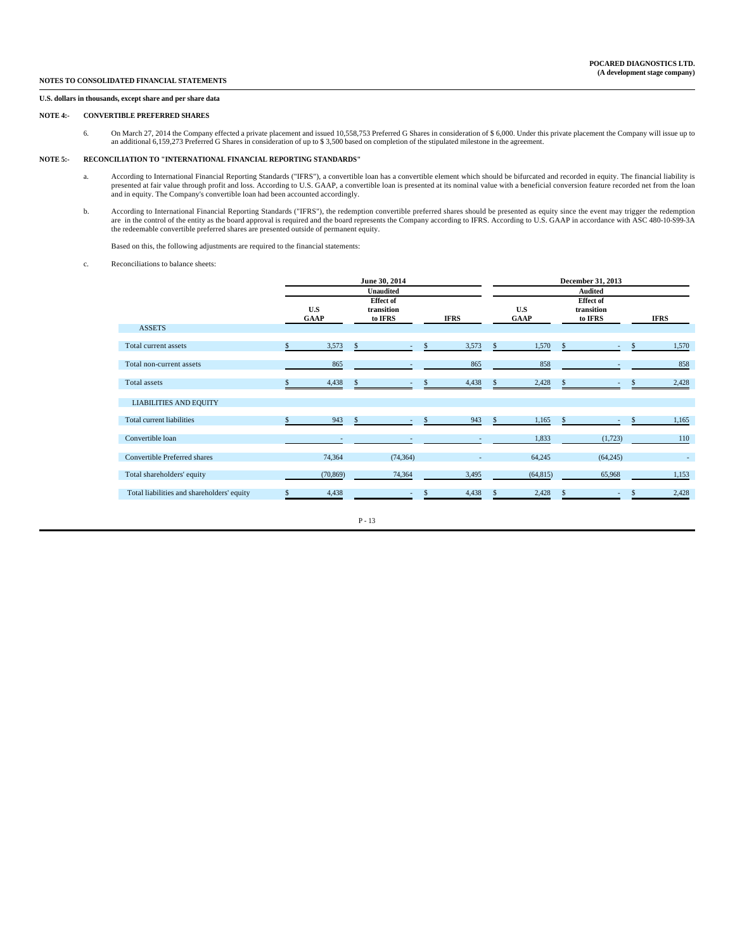### **U.S. dollars in thousands, except share and per share data**

### **NOTE 4:- CONVERTIBLE PREFERRED SHARES**

6. On March 27, 2014 the Company effected a private placement and issued 10,558,753 Preferred G Shares in consideration of \$ 6,000. Under this private placement the Company will issue up to an additional 6,159,273 Preferre

#### **NOTE 5:- RECONCILIATION TO "INTERNATIONAL FINANCIAL REPORTING STANDARDS"**

- a. According to International Financial Reporting Standards ("IFRS"), a convertible loan has a convertible element which should be bifurcated and recorded in equity. The financial liability is presented at fair value through profit and loss. According to U.S. GAAP, a convertible loan is presented at its nominal value with a beneficial conversion feature recorded net from the loan<br>and in equity. The Company's con
- b. According to International Financial Reporting Standards ("IFRS"), the redemption convertible preferred shares should be presented as equity since the event may trigger the redemption are in the control of the entity as

Based on this, the following adjustments are required to the financial statements:

c. Reconciliations to balance sheets:

|                                            |                    |                                           | June 30, 2014  |   |             |               |                    |               | December 31, 2013                         |   |             |
|--------------------------------------------|--------------------|-------------------------------------------|----------------|---|-------------|---------------|--------------------|---------------|-------------------------------------------|---|-------------|
|                                            |                    | Unaudited                                 |                |   |             |               | Audited            |               |                                           |   |             |
|                                            | U.S<br><b>GAAP</b> | <b>Effect of</b><br>transition<br>to IFRS |                |   | <b>IFRS</b> |               | U.S<br><b>GAAP</b> |               | <b>Effect of</b><br>transition<br>to IFRS |   | <b>IFRS</b> |
| <b>ASSETS</b>                              |                    |                                           |                |   |             |               |                    |               |                                           |   |             |
| Total current assets                       | 3,573              | \$                                        | $\sim$         | S | 3,573       | <sup>\$</sup> | 1,570              | <sup>\$</sup> | $\sim$                                    | S | 1,570       |
| Total non-current assets                   | 865                |                                           |                |   | 865         |               | 858                |               |                                           |   | 858         |
| Total assets                               | 4,438              |                                           |                |   | 4,438       |               | 2,428              |               |                                           |   | 2,428       |
| <b>LIABILITIES AND EQUITY</b>              |                    |                                           |                |   |             |               |                    |               |                                           |   |             |
| Total current liabilities                  | 943                | S                                         | $\blacksquare$ | S | 943         | <sup>\$</sup> | 1,165              | -S            | $\sim$                                    | S | 1,165       |
| Convertible loan                           |                    |                                           |                |   |             |               | 1,833              |               | (1,723)                                   |   | 110         |
| Convertible Preferred shares               | 74,364             |                                           | (74, 364)      |   | $\sim$      |               | 64,245             |               | (64,245)                                  |   | $\sim$      |
| Total shareholders' equity                 | (70, 869)          |                                           | 74,364         |   | 3,495       |               | (64, 815)          |               | 65,968                                    |   | 1,153       |
| Total liabilities and shareholders' equity | 4,438              |                                           |                |   | 4,438       |               | 2,428              |               |                                           |   | 2,428       |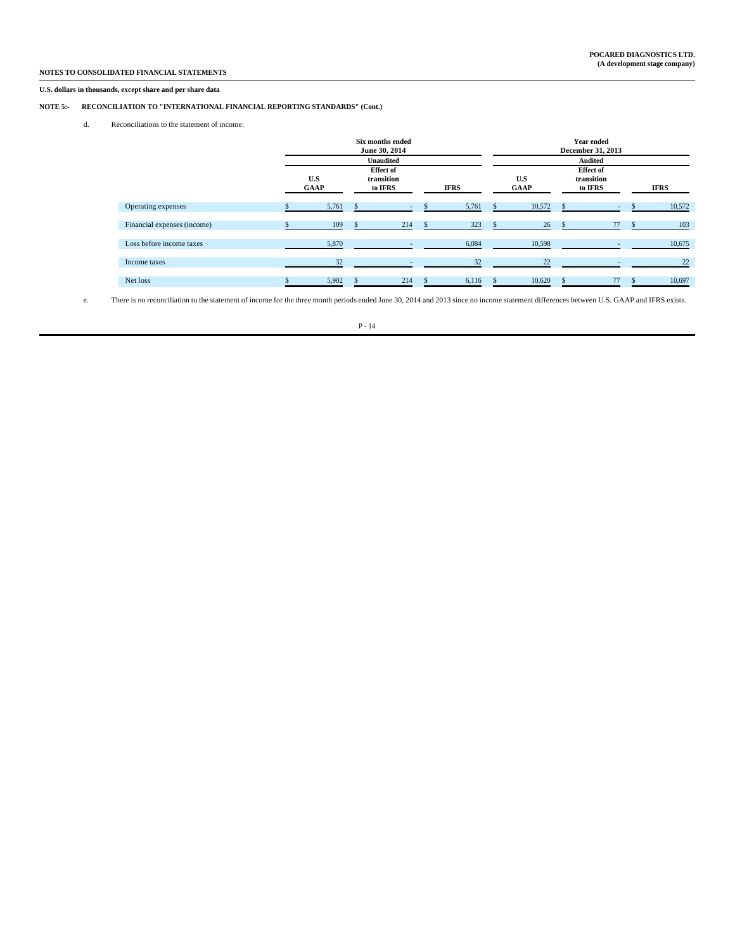### **U.S. dollars in thousands, except share and per share data**

### **NOTE 5:- RECONCILIATION TO "INTERNATIONAL FINANCIAL REPORTING STANDARDS" (Cont.)**

d. Reconciliations to the statement of income:

|                             | Six months ended<br>June 30, 2014<br><b>Unaudited</b> |  |                                           |  |             |                    |        | Year ended<br>December 31, 2013<br><b>Audited</b> |                                           |  |             |  |  |  |
|-----------------------------|-------------------------------------------------------|--|-------------------------------------------|--|-------------|--------------------|--------|---------------------------------------------------|-------------------------------------------|--|-------------|--|--|--|
|                             | U.S<br><b>GAAP</b>                                    |  | <b>Effect of</b><br>transition<br>to IFRS |  | <b>IFRS</b> | U.S<br><b>GAAP</b> |        |                                                   | <b>Effect of</b><br>transition<br>to IFRS |  | <b>IFRS</b> |  |  |  |
| Operating expenses          | 5,761                                                 |  | $\sim$                                    |  | 5,761       |                    | 10,572 |                                                   |                                           |  | 10,572      |  |  |  |
| Financial expenses (income) | 109                                                   |  | 214                                       |  | 323         |                    | 26     |                                                   | 77                                        |  | 103         |  |  |  |
| Loss before income taxes    | 5,870                                                 |  | $\overline{\phantom{a}}$                  |  | 6,084       |                    | 10,598 |                                                   |                                           |  | 10,675      |  |  |  |
| Income taxes                | 32                                                    |  |                                           |  | 32          |                    | 22     |                                                   |                                           |  | 22          |  |  |  |
| Net loss                    | 5,902                                                 |  | 214                                       |  | 6,116       |                    | 10,620 |                                                   | 77                                        |  | 10,697      |  |  |  |

e. There is no reconciliation to the statement of income for the three month periods ended June 30, 2014 and 2013 since no income statement differences between U.S. GAAP and IFRS exists.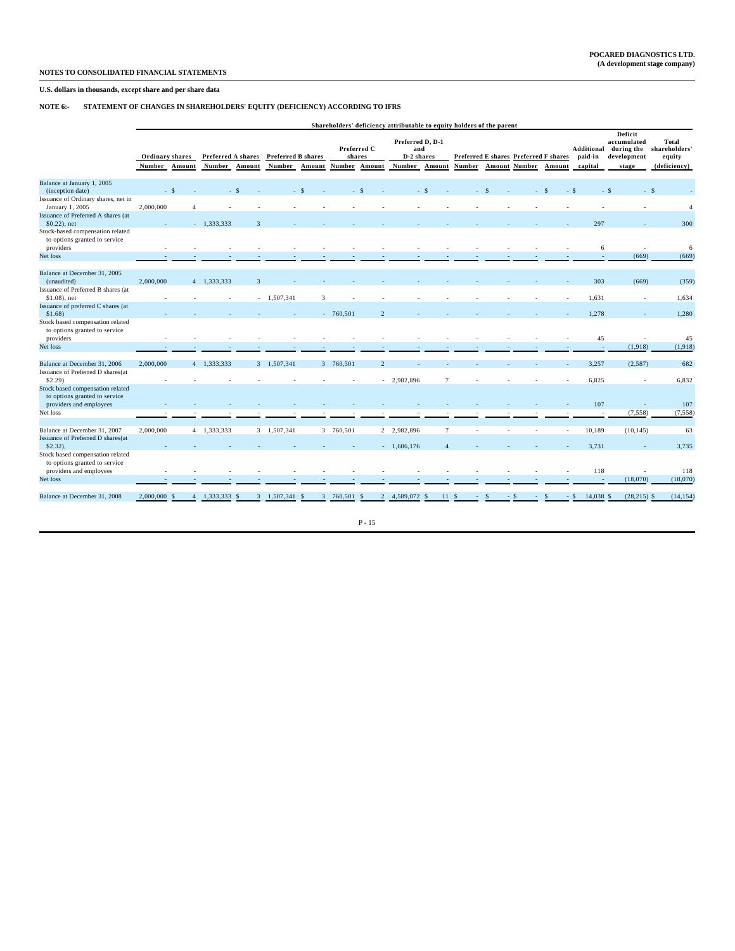### **U.S. dollars in thousands, except share and per share data**

### **NOTE 6:- STATEMENT OF CHANGES IN SHAREHOLDERS' EQUITY (DEFICIENCY) ACCORDING TO IFRS**

|                                                                                |                           | Shareholders' deficiency attributable to equity holders of the parent |              |                                     |                                     |           |            |                                               |                                                        |                 |        |                      |                                                 |                                  |                                                                     |                                                  |
|--------------------------------------------------------------------------------|---------------------------|-----------------------------------------------------------------------|--------------|-------------------------------------|-------------------------------------|-----------|------------|-----------------------------------------------|--------------------------------------------------------|-----------------|--------|----------------------|-------------------------------------------------|----------------------------------|---------------------------------------------------------------------|--------------------------------------------------|
|                                                                                | Ordinary shares<br>Number | Amount                                                                |              | Preferred A shares<br>Number Amount | <b>Preferred B shares</b><br>Number | Amount    |            | Preferred C<br>shares<br><b>Number Amount</b> | Preferred D, D-1<br>and<br>D-2 shares<br>Number Amount |                 | Number | <b>Amount Number</b> | Preferred E shares Preferred F shares<br>Amount | Additional<br>paid-in<br>capital | <b>Deficit</b><br>accumulated<br>during the<br>development<br>stage | Total<br>shareholders'<br>equity<br>(deficiency) |
| Balance at January 1, 2005                                                     |                           |                                                                       |              |                                     |                                     |           |            |                                               |                                                        |                 |        |                      |                                                 |                                  |                                                                     |                                                  |
| (inception date)                                                               |                           | $-$ \$                                                                |              | $-$ \$                              |                                     | -S        |            | $\sim$                                        |                                                        | -S              |        |                      |                                                 | - \$                             | $-$ \$                                                              | - \$                                             |
| Issuance of Ordinary shares, net in<br>January 1, 2005                         | 2,000,000                 | $\overline{4}$                                                        |              |                                     |                                     |           |            |                                               |                                                        |                 |        |                      |                                                 |                                  |                                                                     | $\overline{4}$                                   |
| Issuance of Preferred A shares (at<br>$$0.22$ ), net                           |                           |                                                                       | $-1,333,333$ | $\mathbf{R}$                        |                                     |           |            |                                               |                                                        |                 |        |                      |                                                 | 297                              |                                                                     | 300                                              |
| Stock-based compensation related<br>to options granted to service<br>providers |                           |                                                                       |              |                                     |                                     |           |            |                                               |                                                        |                 |        |                      |                                                 | 6                                |                                                                     | 6                                                |
| Net loss                                                                       |                           |                                                                       |              |                                     |                                     |           |            |                                               |                                                        |                 |        |                      |                                                 | $\sim$                           | (669)                                                               | (669)                                            |
|                                                                                |                           |                                                                       |              |                                     |                                     |           |            |                                               |                                                        |                 |        |                      |                                                 |                                  |                                                                     |                                                  |
| Balance at December 31, 2005<br>(unaudited)                                    | 2,000,000                 |                                                                       | 4 1,333,333  | $\overline{3}$                      |                                     |           |            |                                               |                                                        |                 |        |                      |                                                 | 303                              | (669)                                                               | (359)                                            |
| Issuance of Preferred B shares (at<br>\$1.08), net                             |                           |                                                                       |              |                                     | $-1,507,341$                        | 3         |            |                                               |                                                        |                 |        |                      |                                                 | 1,631                            | ٠                                                                   | 1,634                                            |
| Issuance of preferred C shares (at<br>$$1.68$ )                                |                           |                                                                       |              |                                     |                                     |           | $-760,501$ | $\overline{2}$                                |                                                        |                 |        |                      |                                                 | 1,278                            |                                                                     | 1,280                                            |
| Stock based compensation related<br>to options granted to service              |                           |                                                                       |              |                                     |                                     |           |            |                                               |                                                        |                 |        |                      |                                                 |                                  |                                                                     |                                                  |
| providers                                                                      |                           |                                                                       |              |                                     |                                     |           |            |                                               |                                                        |                 |        |                      |                                                 | 45                               |                                                                     | 45                                               |
| Net loss                                                                       |                           |                                                                       |              |                                     |                                     |           |            |                                               |                                                        |                 |        |                      |                                                 | $\sim$                           | (1,918)                                                             | (1,918)                                          |
| Balance at December 31, 2006                                                   | 2,000,000                 |                                                                       | 4 1,333,333  |                                     | 3 1,507,341                         |           | 3 760,501  | $\overline{2}$                                |                                                        |                 |        |                      |                                                 | 3,257                            | (2,587)                                                             | 682                                              |
| Issuance of Preferred D shares(at<br>$$2.29$ )                                 |                           |                                                                       |              |                                     |                                     |           |            | $\sim$                                        | 2,982,896                                              | $7\phantom{.0}$ |        |                      |                                                 | 6,825                            | ×.                                                                  | 6,832                                            |
| Stock based compensation related<br>to options granted to service              |                           |                                                                       |              |                                     |                                     |           |            |                                               |                                                        |                 |        |                      |                                                 |                                  |                                                                     |                                                  |
| providers and employees                                                        |                           |                                                                       |              |                                     |                                     |           |            |                                               |                                                        |                 |        |                      |                                                 | 107                              |                                                                     | 107                                              |
| Net loss                                                                       |                           |                                                                       |              |                                     |                                     |           |            |                                               |                                                        |                 |        |                      |                                                 | - 1                              | (7, 558)                                                            | (7, 558)                                         |
| Balance at December 31, 2007                                                   | 2,000,000                 |                                                                       | 4 1,333,333  |                                     | 3 1,507,341                         |           | 3 760,501  |                                               | 2 2,982,896                                            | $7\phantom{.0}$ |        |                      | $\sim$                                          | 10,189                           | (10, 145)                                                           | 63                                               |
| Issuance of Preferred D shares(at<br>$$2.32$ ).                                |                           |                                                                       |              |                                     |                                     |           |            | $\mathcal{L}^{\mathcal{L}}$                   | 1,606,176                                              | $\Delta$        |        |                      |                                                 | 3,731                            |                                                                     | 3,735                                            |
| Stock based compensation related<br>to options granted to service              |                           |                                                                       |              |                                     |                                     |           |            |                                               |                                                        |                 |        |                      |                                                 |                                  |                                                                     |                                                  |
| providers and employees                                                        |                           |                                                                       |              |                                     |                                     |           |            |                                               |                                                        |                 |        |                      |                                                 | 118                              |                                                                     | 118                                              |
| Net loss                                                                       |                           |                                                                       |              |                                     |                                     |           |            |                                               |                                                        |                 |        |                      |                                                 | $\sim$                           | (18,070)                                                            | (18,070)                                         |
| Balance at December 31, 2008                                                   | 2,000,000                 | -8<br>$\overline{4}$                                                  | 1,333,333    | $\mathbf{3}$<br>-S                  | 1,507,341                           | 3<br>- \$ | 760,501    | - S                                           | 2 4,589,072                                            | 11<br>S         | - S    | - S                  |                                                 | 14,038 \$<br>$-$ \$              | $(28,215)$ \$                                                       | (14, 154)                                        |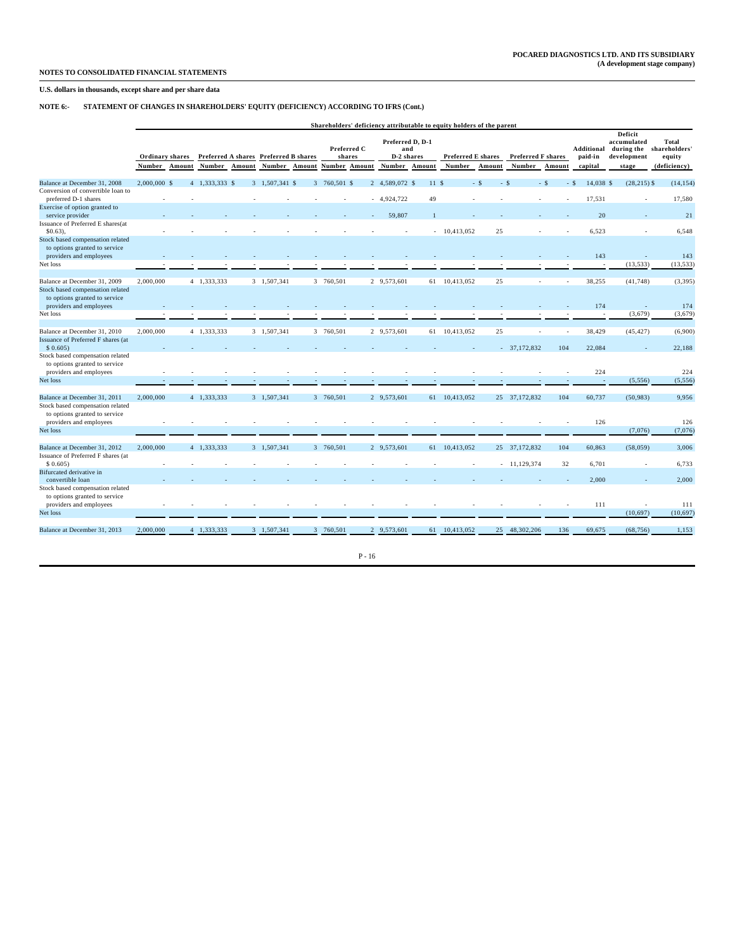### **U.S. dollars in thousands, except share and per share data**

### **NOTE 6:- STATEMENT OF CHANGES IN SHAREHOLDERS' EQUITY (DEFICIENCY) ACCORDING TO IFRS (Cont.)**

|                                                                                              |                                                                            | Shareholders' deficiency attributable to equity holders of the parent |                |                    |                |                |                       |                                       |                |                           |               |        |                                             |        |                                                     |                                  |                  |
|----------------------------------------------------------------------------------------------|----------------------------------------------------------------------------|-----------------------------------------------------------------------|----------------|--------------------|----------------|----------------|-----------------------|---------------------------------------|----------------|---------------------------|---------------|--------|---------------------------------------------|--------|-----------------------------------------------------|----------------------------------|------------------|
|                                                                                              | Ordinary shares<br>Preferred A shares<br>Number<br>Number Amount<br>Amount |                                                                       |                | Preferred B shares |                |                | Preferred C<br>shares | Preferred D. D-1<br>and<br>D-2 shares |                | <b>Preferred E shares</b> |               |        | Additional<br>Preferred F shares<br>paid-in |        | Deficit<br>accumulated<br>during the<br>development | Total<br>shareholders'<br>equity |                  |
|                                                                                              |                                                                            |                                                                       |                |                    | Number Amount  |                |                       | Number Amount                         | Number Amount  |                           | Number        | Amount | Number                                      | Amount | capital                                             | stage                            | (deficiency)     |
| Balance at December 31, 2008                                                                 | $2,000,000$ \$                                                             |                                                                       | 4 1.333.333 \$ |                    | 3 1.507.341 \$ |                | 3 760,501 \$          |                                       | 2 4.589,072 \$ | 11S                       |               | $-$ \$ | $-$ \$                                      | $-$ \$ | 14.038 \$<br>$-$ \$                                 | $(28, 215)$ \$                   | (14, 154)        |
| Conversion of convertible loan to<br>preferred D-1 shares                                    |                                                                            |                                                                       |                |                    |                |                |                       |                                       | $-4,924,722$   | 49                        |               |        |                                             |        | 17,531                                              |                                  | 17,580           |
| Exercise of option granted to<br>service provider                                            |                                                                            |                                                                       |                |                    |                |                |                       |                                       | 59,807         |                           |               |        |                                             |        | 20                                                  |                                  | 21               |
| Issuance of Preferred E shares(at<br>$$0.63$ ),                                              |                                                                            |                                                                       |                |                    |                |                |                       |                                       |                |                           | $-10,413,052$ | 25     |                                             |        | 6,523                                               |                                  | 6,548            |
| Stock based compensation related<br>to options granted to service                            |                                                                            |                                                                       |                |                    |                |                |                       |                                       |                |                           |               |        |                                             |        |                                                     |                                  |                  |
| providers and employees<br>Net loss                                                          |                                                                            |                                                                       |                |                    |                |                |                       |                                       |                |                           |               |        |                                             |        | 143                                                 | (13, 533)                        | 143<br>(13, 533) |
| Balance at December 31, 2009<br>Stock based compensation related                             | 2.000,000                                                                  |                                                                       | 4 1.333.333    |                    | 3 1.507.341    |                | 3 760,501             |                                       | 2 9.573.601    |                           | 61 10.413.052 | 25     |                                             |        | 38.255                                              | (41, 748)                        | (3, 395)         |
| to options granted to service<br>providers and employees                                     |                                                                            |                                                                       |                |                    |                |                |                       |                                       |                |                           |               |        |                                             |        | 174                                                 |                                  | 174              |
| Net loss                                                                                     |                                                                            |                                                                       |                |                    |                |                |                       |                                       |                |                           |               |        |                                             |        | $\sim$                                              | (3,679)                          | (3,679)          |
| Balance at December 31, 2010<br>Issuance of Preferred F shares (at                           | 2,000,000                                                                  |                                                                       | 4 1,333,333    |                    | 3 1,507,341    |                | 3 760,501             |                                       | 2 9,573,601    |                           | 61 10,413,052 | 25     |                                             |        | 38,429                                              | (45, 427)                        | (6,900)          |
| \$0.605                                                                                      |                                                                            |                                                                       |                |                    |                |                |                       |                                       |                |                           |               |        | $-37.172.832$                               | 104    | 22.084                                              |                                  | 22.188           |
| Stock based compensation related<br>to options granted to service<br>providers and employees |                                                                            |                                                                       |                |                    |                |                |                       |                                       |                |                           |               |        |                                             |        | 224                                                 |                                  | 224              |
| Net loss                                                                                     |                                                                            |                                                                       |                |                    |                |                |                       |                                       |                |                           |               |        |                                             |        |                                                     | (5,556)                          | (5, 556)         |
| Balance at December 31, 2011                                                                 | 2,000,000                                                                  |                                                                       | 4 1,333,333    |                    | 3 1,507,341    |                | 3 760,501             |                                       | 2 9,573,601    |                           | 61 10,413,052 |        | 25 37,172,832                               | 104    | 60,737                                              | (50, 983)                        | 9,956            |
| Stock based compensation related<br>to options granted to service<br>providers and employees |                                                                            |                                                                       |                |                    |                |                |                       |                                       |                |                           |               |        |                                             |        | 126                                                 |                                  | 126              |
| Net loss                                                                                     |                                                                            |                                                                       |                |                    |                |                |                       |                                       |                |                           |               |        |                                             |        |                                                     | (7,076)                          | (7,076)          |
| Balance at December 31, 2012                                                                 | 2,000,000                                                                  |                                                                       | 4 1.333.333    |                    | 3 1.507.341    |                | 3 760,501             |                                       | 2 9.573.601    |                           | 61 10.413.052 |        | 25 37,172,832                               | 104    | 60,863                                              | (58, 059)                        | 3,006            |
| Issuance of Preferred F shares (at<br>\$0.605                                                |                                                                            |                                                                       |                |                    |                |                |                       |                                       |                |                           |               |        | $-11,129,374$                               | 32     | 6,701                                               |                                  | 6,733            |
| Bifurcated derivative in<br>convertible loan                                                 |                                                                            |                                                                       |                |                    |                |                |                       |                                       |                |                           |               |        |                                             |        | 2.000                                               |                                  | 2,000            |
| Stock based compensation related<br>to options granted to service                            |                                                                            |                                                                       |                |                    |                |                |                       |                                       |                |                           |               |        |                                             |        |                                                     |                                  |                  |
| providers and employees<br>Net loss                                                          |                                                                            |                                                                       |                |                    |                |                |                       |                                       |                |                           |               |        |                                             |        | 111                                                 | (10,697)                         | 111<br>(10, 697) |
| Balance at December 31, 2013                                                                 | 2,000,000                                                                  |                                                                       | 4 1.333.333    |                    | 3 1.507.341    | $\overline{3}$ | 760,501               |                                       | 2 9.573,601    | 61                        | 10.413.052    | 25     | 48,302,206                                  | 136    | 69,675                                              | (68, 756)                        | 1,153            |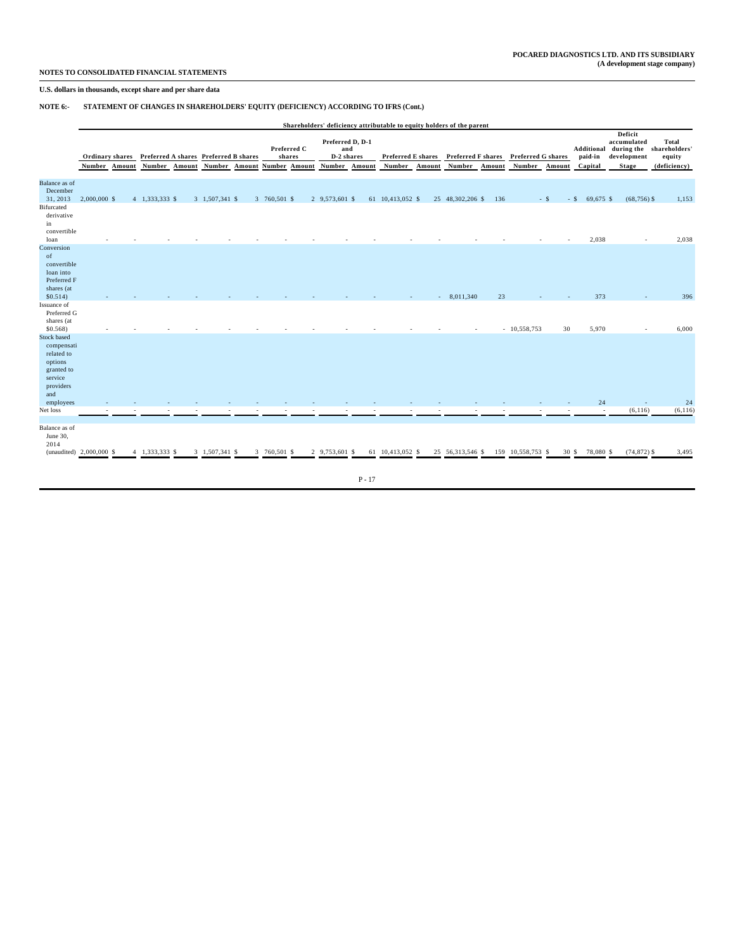### **U.S. dollars in thousands, except share and per share data**

### **NOTE 6:- STATEMENT OF CHANGES IN SHAREHOLDERS' EQUITY (DEFICIENCY) ACCORDING TO IFRS (Cont.)**

|                                                                                                        |                                  |                                                        |                |              |                                                      |                                                 |        |                                     |        | Shareholders' deficiency attributable to equity holders of the parent |        |                                     |                 |                     |                                                                                |                                                  |
|--------------------------------------------------------------------------------------------------------|----------------------------------|--------------------------------------------------------|----------------|--------------|------------------------------------------------------|-------------------------------------------------|--------|-------------------------------------|--------|-----------------------------------------------------------------------|--------|-------------------------------------|-----------------|---------------------|--------------------------------------------------------------------------------|--------------------------------------------------|
|                                                                                                        | Ordinary shares<br>Number Amount | Preferred A shares Preferred B shares<br>Number Amount |                |              | Preferred C<br>shares<br>Number Amount Number Amount | Preferred D, D-1<br>and<br>D-2 shares<br>Number | Amount | <b>Preferred E shares</b><br>Number | Amount | <b>Preferred F shares</b><br>Number                                   | Amount | <b>Preferred G shares</b><br>Number | Amount          | paid-in<br>Capital  | Deficit<br>accumulated<br>Additional during the<br>development<br><b>Stage</b> | Total<br>shareholders'<br>equity<br>(deficiency) |
|                                                                                                        |                                  |                                                        |                |              |                                                      |                                                 |        |                                     |        |                                                                       |        |                                     |                 |                     |                                                                                |                                                  |
| Balance as of<br>December<br>31, 2013                                                                  | $2,000,000$ \$                   | 4 1,333,333 \$                                         | 3 1,507,341 \$ | 3 760,501 \$ |                                                      | 2 9,573,601 \$                                  |        | 61 10,413,052 \$                    |        | 25 48,302,206 \$                                                      | 136    |                                     | $-$ \$          | $-$ \$<br>69,675 \$ | $(68, 756)$ \$                                                                 | 1,153                                            |
| Bifurcated<br>derivative<br>in                                                                         |                                  |                                                        |                |              |                                                      |                                                 |        |                                     |        |                                                                       |        |                                     |                 |                     |                                                                                |                                                  |
| convertible                                                                                            |                                  |                                                        |                |              |                                                      |                                                 |        |                                     |        |                                                                       |        |                                     |                 |                     |                                                                                |                                                  |
| loan<br>Conversion<br>of<br>convertible                                                                |                                  |                                                        |                |              |                                                      |                                                 |        |                                     |        |                                                                       |        |                                     |                 | 2,038               |                                                                                | 2,038                                            |
| loan into<br>Preferred F<br>shares (at                                                                 |                                  |                                                        |                |              |                                                      |                                                 |        |                                     |        |                                                                       |        |                                     |                 |                     |                                                                                |                                                  |
| \$0.514)                                                                                               |                                  |                                                        |                |              |                                                      |                                                 |        |                                     |        | 8,011,340                                                             | 23     |                                     |                 | 373                 |                                                                                | 396                                              |
| Issuance of<br>Preferred G<br>shares (at                                                               |                                  |                                                        |                |              |                                                      |                                                 |        |                                     |        |                                                                       |        |                                     |                 |                     |                                                                                |                                                  |
| $$0.568$ )                                                                                             |                                  |                                                        |                |              |                                                      |                                                 |        |                                     |        |                                                                       |        | $-10,558,753$                       | 30              | 5,970               |                                                                                | 6,000                                            |
| <b>Stock based</b><br>compensati<br>related to<br>options<br>granted to<br>service<br>providers<br>and |                                  |                                                        |                |              |                                                      |                                                 |        |                                     |        |                                                                       |        |                                     |                 |                     |                                                                                |                                                  |
| employees                                                                                              |                                  |                                                        |                |              |                                                      |                                                 |        |                                     |        |                                                                       |        |                                     |                 | 24                  |                                                                                | 24                                               |
| Net loss                                                                                               |                                  |                                                        |                |              |                                                      |                                                 |        |                                     |        |                                                                       |        |                                     |                 | $\sim$              | (6, 116)                                                                       | (6, 116)                                         |
| Balance as of<br>June 30,<br>2014                                                                      |                                  |                                                        |                |              |                                                      | 2 9.753,601 \$                                  |        | 61 10.413.052 \$                    |        |                                                                       |        | 159 10.558.753 \$                   |                 | 78,080 \$           |                                                                                |                                                  |
| (unaudited) 2,000,000 \$                                                                               |                                  | 4 1,333,333 \$                                         | 3 1,507,341 \$ | 3 760,501 \$ |                                                      |                                                 |        |                                     |        | 25 56,313,546 \$                                                      |        |                                     | 30 <sup>5</sup> |                     | $(74, 872)$ \$                                                                 | 3,495                                            |
|                                                                                                        |                                  |                                                        |                |              |                                                      |                                                 |        |                                     |        |                                                                       |        |                                     |                 |                     |                                                                                |                                                  |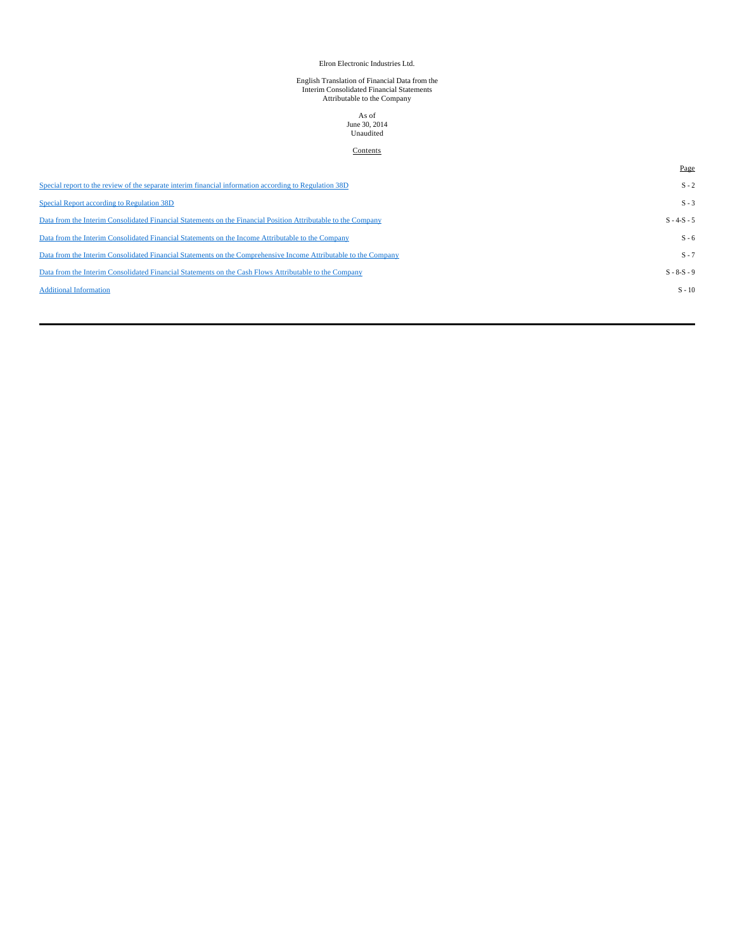### Elron Electronic Industries Ltd.

# English Translation of Financial Data from the Interim Consolidated Financial Statements Attributable to the Company

# As of June 30, 2014 Unaudited

### **Contents**

|                                                                                                                 | Page          |
|-----------------------------------------------------------------------------------------------------------------|---------------|
| Special report to the review of the separate interim financial information according to Regulation 38D          | $S - 2$       |
| Special Report according to Regulation 38D                                                                      | $S - 3$       |
| Data from the Interim Consolidated Financial Statements on the Financial Position Attributable to the Company   | $S - 4-S - 5$ |
| Data from the Interim Consolidated Financial Statements on the Income Attributable to the Company               | $S - 6$       |
| Data from the Interim Consolidated Financial Statements on the Comprehensive Income Attributable to the Company | $S - 7$       |
| Data from the Interim Consolidated Financial Statements on the Cash Flows Attributable to the Company           | $S - 8-S - 9$ |
| <b>Additional Information</b>                                                                                   | $S - 10$      |
|                                                                                                                 |               |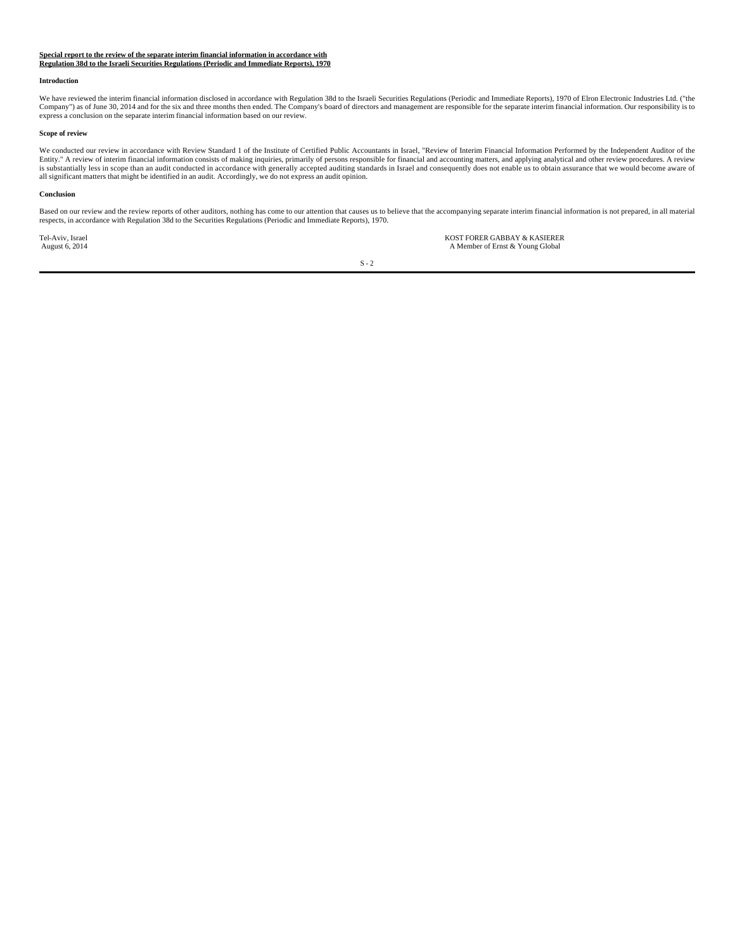# **Special report to the review of the separate interim financial information in accordance with Regulation 38d to the Israeli Securities Regulations (Periodic and Immediate Reports), 1970**

#### **Introduction**

We have reviewed the interim financial information disclosed in accordance with Regulation 38d to the Israeli Securities Regulations (Periodic and Immediate Reports), 1970 of Elron Electronic Industries Ltd. ("the Company") as of June 30, 2014 and for the six and three months then ended. The Company's board of directors and management are responsible for the separate interim financial information. Our responsibility is to express a conclusion on the separate interim financial information based on our review.

#### **Scope of review**

We conducted our review in accordance with Review Standard 1 of the Institute of Certified Public Accountants in Israel, "Review of Interim Financial Information Performed by the Independent Auditor of the<br>Entity." A revie all significant matters that might be identified in an audit. Accordingly, we do not express an audit opinion.

#### **Conclusion**

Based on our review and the review reports of other auditors, nothing has come to our attention that causes us to believe that the accompanying separate interim financial information is not prepared, in all material<br>respec

Tel-Aviv, Israel KOST FORER GABBAY & KASIERER<br>
A Member of Ernst & Young Global<br>
A Member of Ernst & Young Global A Member of Ernst & Young Global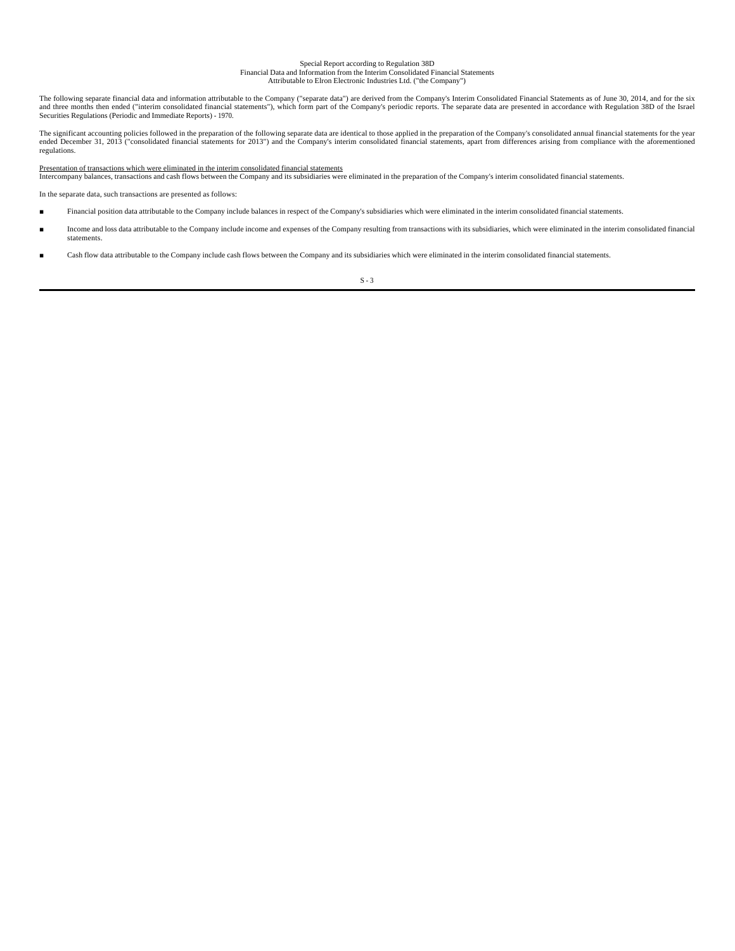## Special Report according to Regulation 38D

Financial Data and Information from the Interim Consolidated Financial Statements Attributable to Elron Electronic Industries Ltd. ("the Company")

The following separate financial data and information attributable to the Company ("separate data") are derived from the Company's Interim Consolidated Financial Statements as of June 30, 2014, and for the six and three months then ended ("interim consolidated financial statements"), which form part of the Company's periodic reports. The separate data are presented in accordance with Regulation 38D of the Israel<br>Securities Regul

The significant accounting policies followed in the preparation of the following separate data are identical to those applied in the preparation of the Company's consolidated annual financial statements for the year<br>ended regulations.

#### Presentation of transactions which were eliminated in the interim consolidated financial statements

Intercompany balances, transactions and cash flows between the Company and its subsidiaries were eliminated in the preparation of the Company's interim consolidated financial statements.

In the separate data, such transactions are presented as follows:

- Financial position data attributable to the Company include balances in respect of the Company's subsidiaries which were eliminated in the interim consolidated financial statements.
- Income and loss data attributable to the Company include income and expenses of the Company resulting from transactions with its subsidiaries, which were eliminated in the interim consolidated financial statements.
- Cash flow data attributable to the Company include cash flows between the Company and its subsidiaries which were eliminated in the interim consolidated financial statements.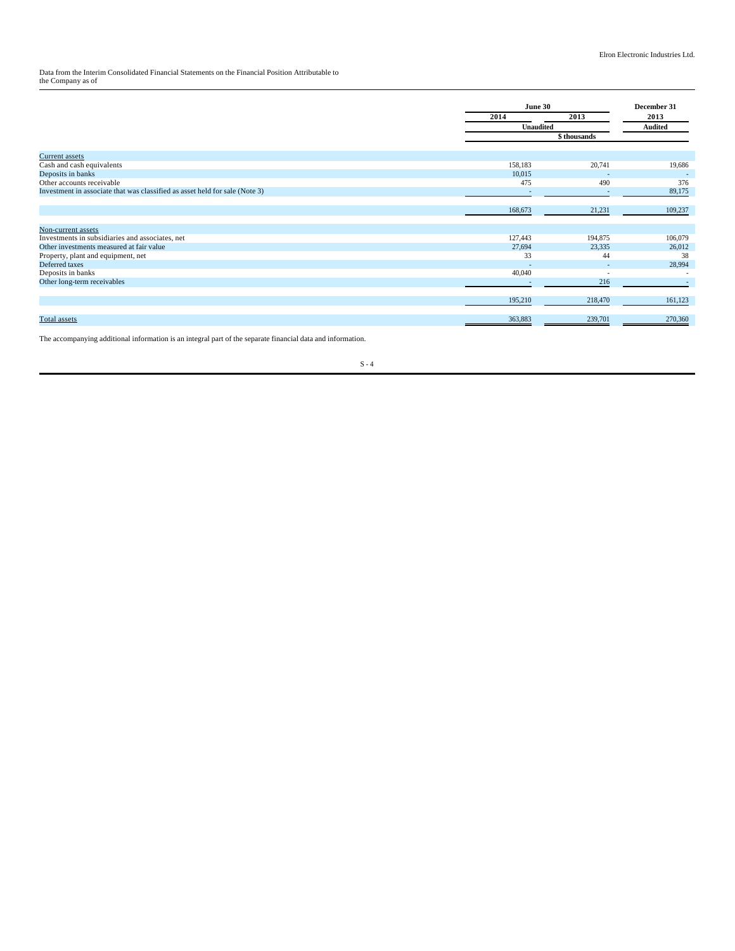Data from the Interim Consolidated Financial Statements on the Financial Position Attributable to the Company as of

|                                                                             |         | June 30<br>2013<br>2014 |                |
|-----------------------------------------------------------------------------|---------|-------------------------|----------------|
|                                                                             |         |                         | 2013           |
|                                                                             |         | <b>Unaudited</b>        | <b>Audited</b> |
|                                                                             |         | \$thousands             |                |
|                                                                             |         |                         |                |
| Current assets                                                              |         |                         |                |
| Cash and cash equivalents                                                   | 158,183 | 20,741                  | 19,686         |
| Deposits in banks                                                           | 10,015  |                         |                |
| Other accounts receivable                                                   | 475     | 490                     | 376            |
| Investment in associate that was classified as asset held for sale (Note 3) |         |                         | 89,175         |
|                                                                             |         |                         |                |
|                                                                             | 168,673 | 21,231                  | 109,237        |
|                                                                             |         |                         |                |
| Non-current assets                                                          |         |                         |                |
| Investments in subsidiaries and associates, net                             | 127,443 | 194,875                 | 106,079        |
| Other investments measured at fair value                                    | 27,694  | 23,335                  | 26,012         |
| Property, plant and equipment, net                                          | 33      | 44                      | 38             |
| Deferred taxes                                                              |         |                         | 28,994         |
| Deposits in banks                                                           | 40,040  |                         |                |
| Other long-term receivables                                                 |         | 216                     |                |
|                                                                             |         |                         |                |
|                                                                             | 195,210 | 218,470                 | 161,123        |
|                                                                             |         |                         |                |
| Total assets                                                                | 363,883 | 239,701                 | 270,360        |
|                                                                             |         |                         |                |

The accompanying additional information is an integral part of the separate financial data and information.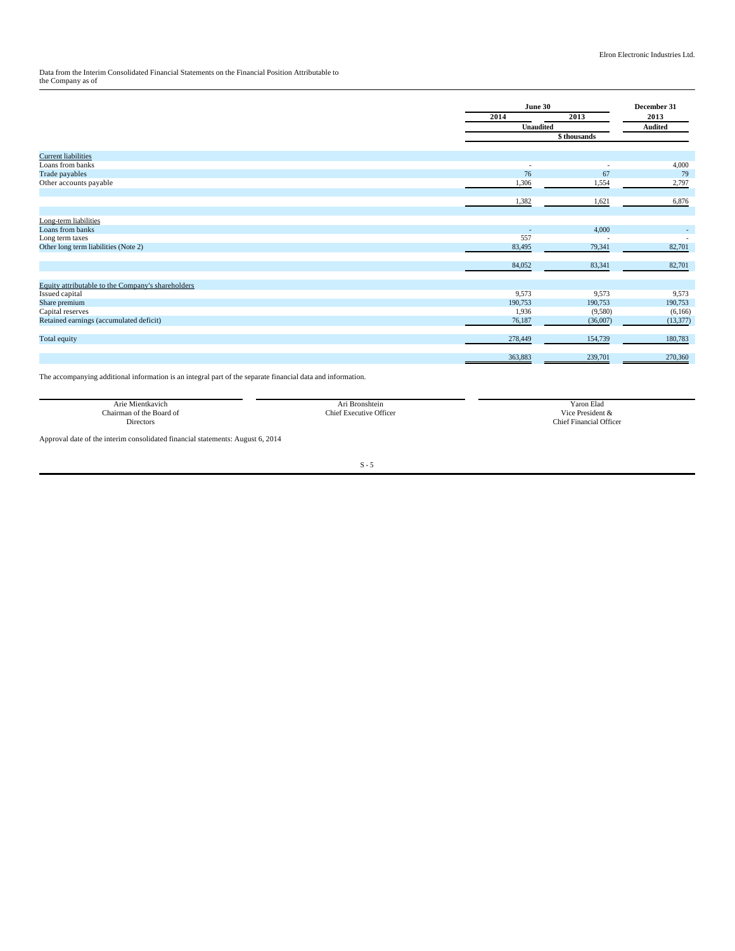Data from the Interim Consolidated Financial Statements on the Financial Position Attributable to the Company as of

| 2013<br>2013<br>2014<br><b>Unaudited</b><br><b>Audited</b><br>\$ thousands<br><b>Current liabilities</b><br>Loans from banks<br>$\sim$<br>٠<br>76<br>Trade payables<br>67<br>Other accounts payable<br>1,306<br>1,554<br>1,382<br>1,621<br>Long-term liabilities<br>Loans from banks<br>4,000<br>557<br>Long term taxes<br>٠<br>Other long term liabilities (Note 2)<br>83,495<br>79,341<br>84,052<br>83,341<br>Equity attributable to the Company's shareholders<br>9,573<br>9,573<br>Issued capital<br>190,753<br>Share premium<br>190,753 |  | June 30 | December 31 |
|----------------------------------------------------------------------------------------------------------------------------------------------------------------------------------------------------------------------------------------------------------------------------------------------------------------------------------------------------------------------------------------------------------------------------------------------------------------------------------------------------------------------------------------------|--|---------|-------------|
|                                                                                                                                                                                                                                                                                                                                                                                                                                                                                                                                              |  |         |             |
|                                                                                                                                                                                                                                                                                                                                                                                                                                                                                                                                              |  |         |             |
|                                                                                                                                                                                                                                                                                                                                                                                                                                                                                                                                              |  |         |             |
|                                                                                                                                                                                                                                                                                                                                                                                                                                                                                                                                              |  |         |             |
|                                                                                                                                                                                                                                                                                                                                                                                                                                                                                                                                              |  |         |             |
|                                                                                                                                                                                                                                                                                                                                                                                                                                                                                                                                              |  |         | 4,000       |
|                                                                                                                                                                                                                                                                                                                                                                                                                                                                                                                                              |  |         | 79          |
|                                                                                                                                                                                                                                                                                                                                                                                                                                                                                                                                              |  |         | 2,797       |
|                                                                                                                                                                                                                                                                                                                                                                                                                                                                                                                                              |  |         |             |
|                                                                                                                                                                                                                                                                                                                                                                                                                                                                                                                                              |  |         | 6,876       |
|                                                                                                                                                                                                                                                                                                                                                                                                                                                                                                                                              |  |         |             |
|                                                                                                                                                                                                                                                                                                                                                                                                                                                                                                                                              |  |         |             |
|                                                                                                                                                                                                                                                                                                                                                                                                                                                                                                                                              |  |         |             |
|                                                                                                                                                                                                                                                                                                                                                                                                                                                                                                                                              |  |         | 82,701      |
|                                                                                                                                                                                                                                                                                                                                                                                                                                                                                                                                              |  |         |             |
|                                                                                                                                                                                                                                                                                                                                                                                                                                                                                                                                              |  |         | 82,701      |
|                                                                                                                                                                                                                                                                                                                                                                                                                                                                                                                                              |  |         |             |
|                                                                                                                                                                                                                                                                                                                                                                                                                                                                                                                                              |  |         |             |
|                                                                                                                                                                                                                                                                                                                                                                                                                                                                                                                                              |  |         | 9,573       |
|                                                                                                                                                                                                                                                                                                                                                                                                                                                                                                                                              |  |         | 190,753     |
| 1,936<br>Capital reserves<br>(9,580)                                                                                                                                                                                                                                                                                                                                                                                                                                                                                                         |  |         | (6,166)     |
| Retained earnings (accumulated deficit)<br>76,187<br>(36,007)                                                                                                                                                                                                                                                                                                                                                                                                                                                                                |  |         | (13, 377)   |
| 154,739<br>Total equity<br>278,449                                                                                                                                                                                                                                                                                                                                                                                                                                                                                                           |  |         | 180,783     |
|                                                                                                                                                                                                                                                                                                                                                                                                                                                                                                                                              |  |         |             |
| 363,883<br>239,701                                                                                                                                                                                                                                                                                                                                                                                                                                                                                                                           |  |         | 270,360     |

The accompanying additional information is an integral part of the separate financial data and information.

| Arie Mientkavich         | . .<br>Ari Bronshtein            | Yaron Elad                          |
|--------------------------|----------------------------------|-------------------------------------|
| e Board of<br>hairman of | <b>Executive Officer</b><br>This | <b>Vice</b><br>President &          |
| <b>Directors</b><br>.    |                                  | <b>Chief Financial Officer</b><br>. |
|                          |                                  |                                     |

Approval date of the interim consolidated financial statements: August 6, 2014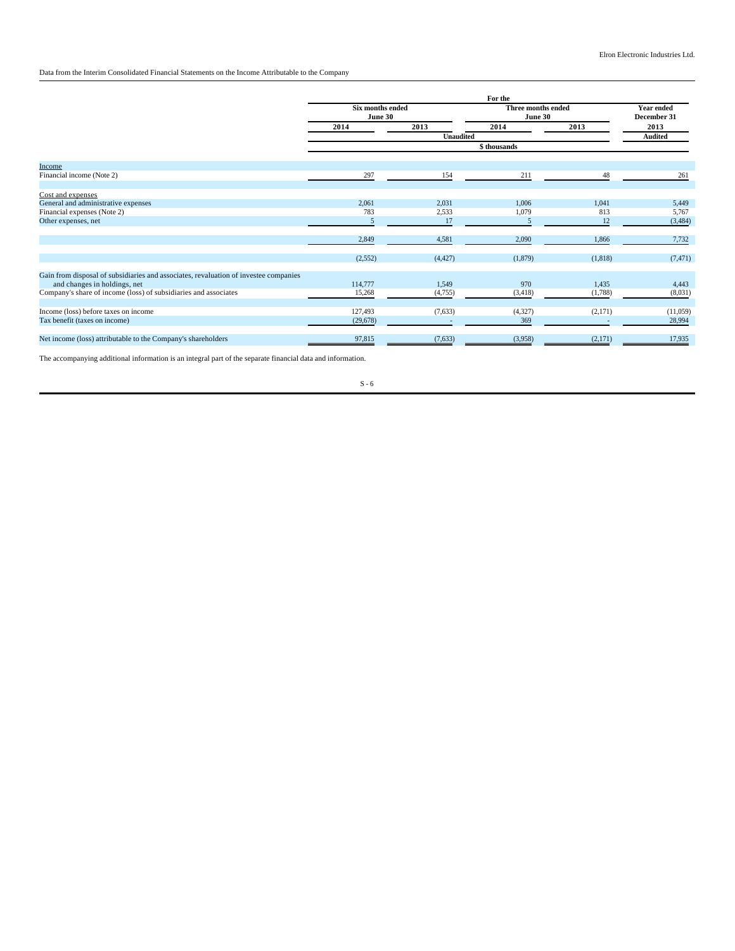### Data from the Interim Consolidated Financial Statements on the Income Attributable to the Company

|                                                                                      | For the                            |          |                               |         |                                  |
|--------------------------------------------------------------------------------------|------------------------------------|----------|-------------------------------|---------|----------------------------------|
|                                                                                      | <b>Six months ended</b><br>June 30 |          | Three months ended<br>June 30 |         | <b>Year ended</b><br>December 31 |
|                                                                                      | 2014                               | 2013     | 2014                          | 2013    | 2013                             |
|                                                                                      | <b>Unaudited</b>                   |          |                               |         | Audited                          |
|                                                                                      | \$thousands                        |          |                               |         |                                  |
| Income                                                                               |                                    |          |                               |         |                                  |
| Financial income (Note 2)                                                            | 297                                | 154      | 211                           | 48      | 261                              |
| Cost and expenses                                                                    |                                    |          |                               |         |                                  |
| General and administrative expenses                                                  | 2,061                              | 2,031    | 1.006                         | 1.041   | 5,449                            |
| Financial expenses (Note 2)                                                          | 783                                | 2,533    | 1,079                         | 813     | 5,767                            |
| Other expenses, net                                                                  | 5                                  | 17       | 5                             | 12      | (3, 484)                         |
|                                                                                      | 2,849                              | 4,581    | 2,090                         | 1,866   | 7,732                            |
|                                                                                      | (2,552)                            | (4, 427) | (1,879)                       | (1,818) | (7, 471)                         |
| Gain from disposal of subsidiaries and associates, revaluation of investee companies |                                    |          |                               |         |                                  |
| and changes in holdings, net                                                         | 114,777                            | 1,549    | 970                           | 1,435   | 4,443                            |
| Company's share of income (loss) of subsidiaries and associates                      | 15,268                             | (4,755)  | (3,418)                       | (1,788) | (8,031)                          |
| Income (loss) before taxes on income                                                 | 127,493                            | (7,633)  | (4,327)                       | (2,171) | (11,059)                         |
| Tax benefit (taxes on income)                                                        | (29,678)                           |          | 369                           |         | 28,994                           |
| Net income (loss) attributable to the Company's shareholders                         | 97,815                             | (7,633)  | (3,958)                       | (2,171) | 17,935                           |

The accompanying additional information is an integral part of the separate financial data and information.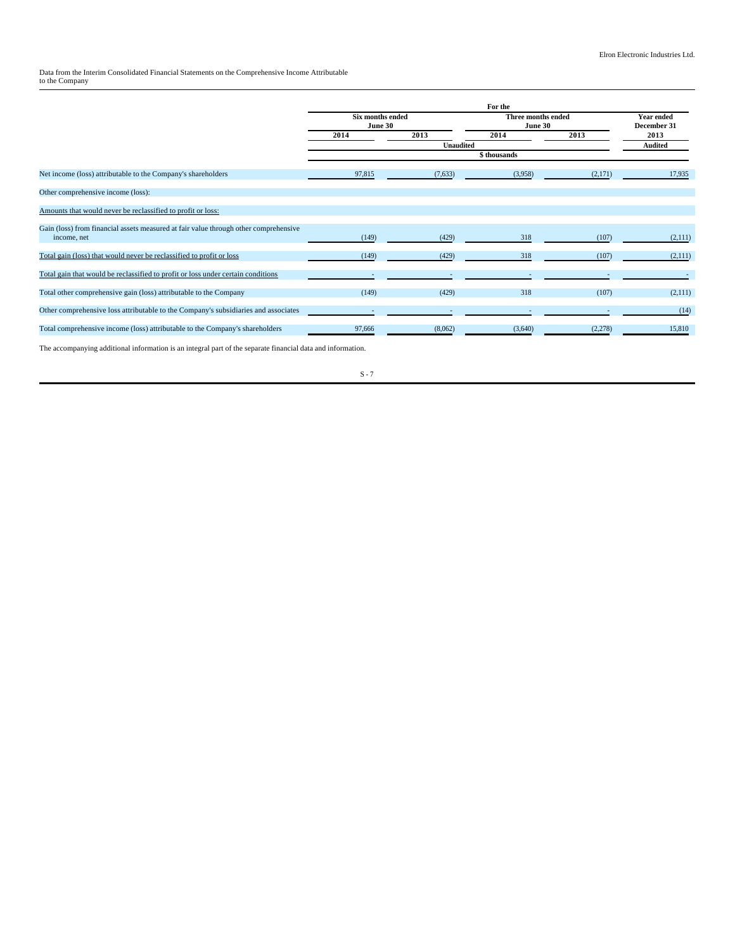Data from the Interim Consolidated Financial Statements on the Comprehensive Income Attributable to the Company

|                                                                                                     | For the                            |         |                                      |         |                                  |
|-----------------------------------------------------------------------------------------------------|------------------------------------|---------|--------------------------------------|---------|----------------------------------|
|                                                                                                     | <b>Six months ended</b><br>June 30 |         | <b>Three months ended</b><br>June 30 |         | <b>Year ended</b><br>December 31 |
|                                                                                                     | 2014                               | 2013    | 2014                                 | 2013    | 2013                             |
|                                                                                                     | <b>Unaudited</b>                   |         |                                      |         | <b>Audited</b>                   |
|                                                                                                     |                                    |         |                                      |         |                                  |
| Net income (loss) attributable to the Company's shareholders                                        | 97,815                             | (7,633) | (3,958)                              | (2,171) | 17,935                           |
| Other comprehensive income (loss):                                                                  |                                    |         |                                      |         |                                  |
| Amounts that would never be reclassified to profit or loss:                                         |                                    |         |                                      |         |                                  |
| Gain (loss) from financial assets measured at fair value through other comprehensive<br>income, net | (149)                              | (429)   | 318                                  | (107)   | (2,111)                          |
| Total gain (loss) that would never be reclassified to profit or loss                                | (149)                              | (429)   | 318                                  | (107)   | (2,111)                          |
| Total gain that would be reclassified to profit or loss under certain conditions                    |                                    |         |                                      |         |                                  |
| Total other comprehensive gain (loss) attributable to the Company                                   | (149)                              | (429)   | 318                                  | (107)   | (2,111)                          |
| Other comprehensive loss attributable to the Company's subsidiaries and associates                  |                                    |         |                                      |         | (14)                             |
| Total comprehensive income (loss) attributable to the Company's shareholders                        | 97,666                             | (8,062) | (3,640)                              | (2,278) | 15,810                           |
|                                                                                                     |                                    |         |                                      |         |                                  |

The accompanying additional information is an integral part of the separate financial data and information.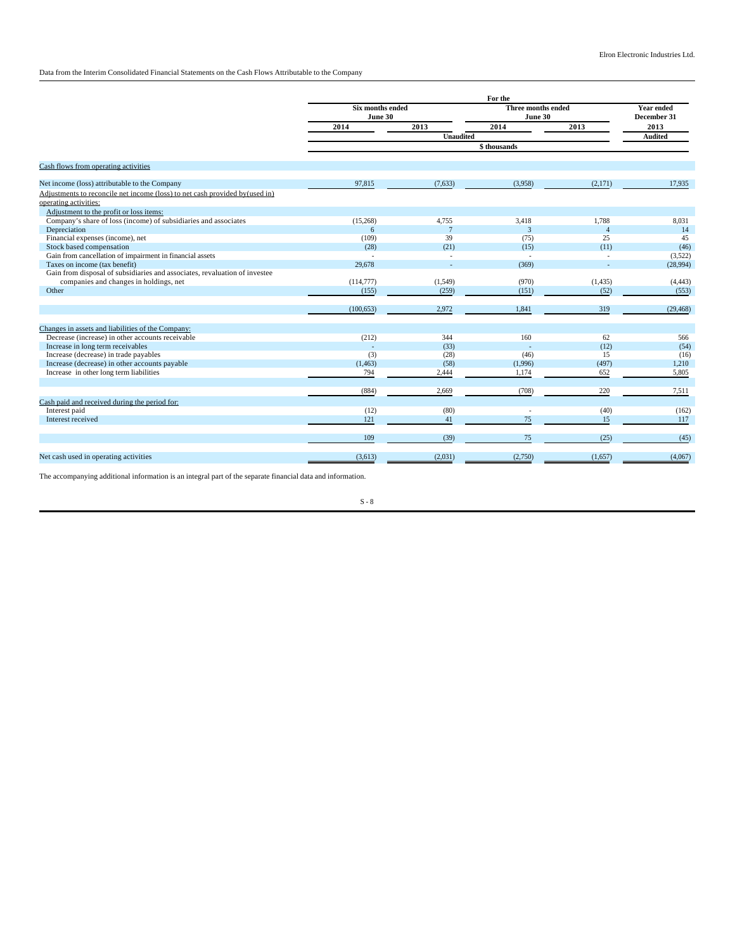Data from the Interim Consolidated Financial Statements on the Cash Flows Attributable to the Company

|                                                                             | For the                     |                  |                               |                |                                  |
|-----------------------------------------------------------------------------|-----------------------------|------------------|-------------------------------|----------------|----------------------------------|
|                                                                             | Six months ended<br>June 30 |                  | Three months ended<br>June 30 |                | <b>Year ended</b><br>December 31 |
|                                                                             | 2014                        | 2013             | 2014                          | 2013           | 2013                             |
|                                                                             |                             | <b>Unaudited</b> |                               |                | <b>Audited</b>                   |
|                                                                             |                             |                  | \$thousands                   |                |                                  |
| Cash flows from operating activities                                        |                             |                  |                               |                |                                  |
| Net income (loss) attributable to the Company                               | 97,815                      | (7,633)          | (3,958)                       | (2,171)        | 17,935                           |
| Adjustments to reconcile net income (loss) to net cash provided by(used in) |                             |                  |                               |                |                                  |
| operating activities:                                                       |                             |                  |                               |                |                                  |
| Adjustment to the profit or loss items:                                     |                             |                  |                               |                |                                  |
| Company's share of loss (income) of subsidiaries and associates             | (15,268)                    | 4,755            | 3.418                         | 1.788          | 8,031                            |
| Depreciation                                                                | 6                           | $\overline{7}$   | $\overline{3}$                | $\overline{4}$ | 14                               |
| Financial expenses (income), net                                            | (109)                       | 39               | (75)                          | 25             | 45                               |
| Stock based compensation                                                    | (28)                        | (21)             | (15)                          | (11)           | (46)                             |
| Gain from cancellation of impairment in financial assets                    |                             | $\sim$           |                               | ÷.             | (3,522)                          |
| Taxes on income (tax benefit)                                               | 29,678                      |                  | (369)                         |                | (28,994)                         |
| Gain from disposal of subsidiaries and associates, revaluation of investee  |                             |                  |                               |                |                                  |
| companies and changes in holdings, net                                      | (114, 777)                  | (1,549)          | (970)                         | (1, 435)       | (4, 443)                         |
| Other                                                                       | (155)                       | (259)            | (151)                         | (52)           | (553)                            |
|                                                                             | (100, 653)                  | 2,972            | 1,841                         | 319            | (29, 468)                        |
| Changes in assets and liabilities of the Company:                           |                             |                  |                               |                |                                  |
| Decrease (increase) in other accounts receivable                            | (212)                       | 344              | 160                           | 62             | 566                              |
| Increase in long term receivables                                           |                             | (33)             |                               | (12)           | (54)                             |
| Increase (decrease) in trade payables                                       | (3)                         | (28)             | (46)                          | 15             | (16)                             |
| Increase (decrease) in other accounts payable                               | (1, 463)                    | (58)             | (1,996)                       | (497)          | 1,210                            |
| Increase in other long term liabilities                                     | 794                         | 2,444            | 1,174                         | 652            | 5,805                            |
|                                                                             | (884)                       | 2,669            | (708)                         | 220            | 7,511                            |
| Cash paid and received during the period for:                               |                             |                  |                               |                |                                  |
| Interest paid                                                               | (12)                        | (80)             |                               | (40)           | (162)                            |
| Interest received                                                           | 121                         | 41               | 75                            | 15             | 117                              |
|                                                                             | 109                         | (39)             | 75                            | (25)           | (45)                             |
| Net cash used in operating activities                                       | (3,613)                     | (2,031)          | (2,750)                       | (1,657)        | (4,067)                          |

The accompanying additional information is an integral part of the separate financial data and information.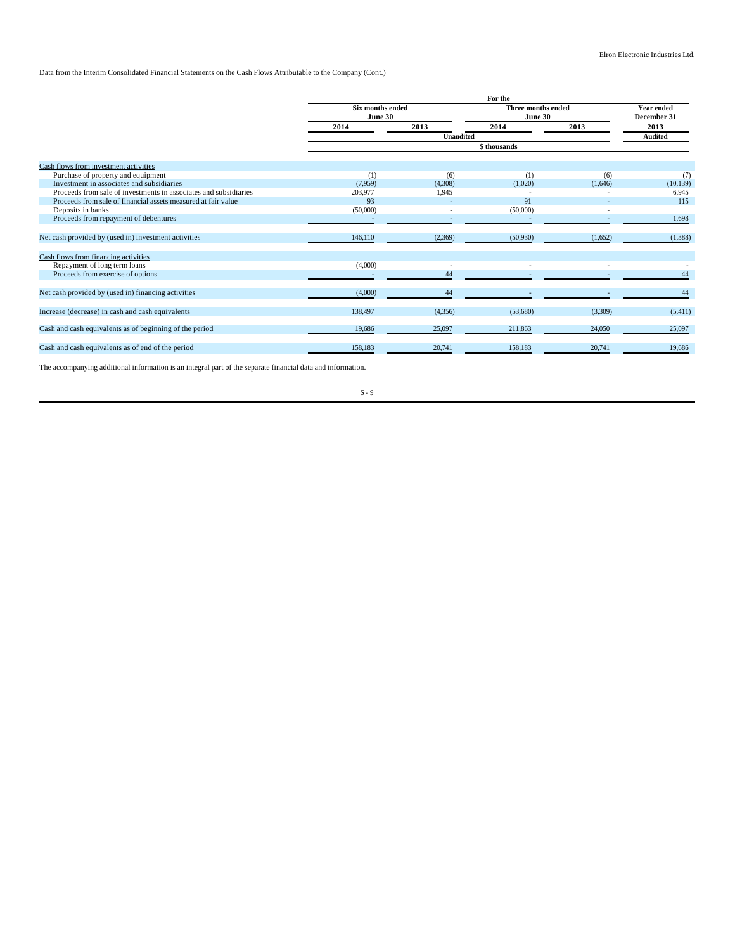Data from the Interim Consolidated Financial Statements on the Cash Flows Attributable to the Company (Cont.)

|                                                                  | For the                            |                  |                               |         |                                  |  |
|------------------------------------------------------------------|------------------------------------|------------------|-------------------------------|---------|----------------------------------|--|
|                                                                  | <b>Six months ended</b><br>June 30 |                  | Three months ended<br>June 30 |         | <b>Year ended</b><br>December 31 |  |
|                                                                  | 2014                               | 2013             | 2014                          | 2013    | 2013                             |  |
|                                                                  |                                    | <b>Unaudited</b> |                               |         | <b>Audited</b>                   |  |
|                                                                  |                                    |                  | \$ thousands                  |         |                                  |  |
| Cash flows from investment activities                            |                                    |                  |                               |         |                                  |  |
| Purchase of property and equipment                               | (1)                                | (6)              | (1)                           | (6)     | (7)                              |  |
| Investment in associates and subsidiaries                        | (7,959)                            | (4,308)          | (1,020)                       | (1,646) | (10, 139)                        |  |
| Proceeds from sale of investments in associates and subsidiaries | 203,977                            | 1.945            |                               |         | 6,945                            |  |
| Proceeds from sale of financial assets measured at fair value    | 93                                 |                  | 91                            |         | 115                              |  |
| Deposits in banks                                                | (50,000)                           |                  | (50,000)                      |         |                                  |  |
| Proceeds from repayment of debentures                            |                                    |                  |                               |         | 1,698                            |  |
| Net cash provided by (used in) investment activities             | 146,110                            | (2,369)          | (50, 930)                     | (1,652) | (1,388)                          |  |
| Cash flows from financing activities                             |                                    |                  |                               |         |                                  |  |
| Repayment of long term loans                                     | (4,000)                            |                  |                               |         |                                  |  |
| Proceeds from exercise of options                                |                                    | 44               |                               |         | 44                               |  |
| Net cash provided by (used in) financing activities              | (4,000)                            | 44               |                               |         | 44                               |  |
| Increase (decrease) in cash and cash equivalents                 | 138,497                            | (4,356)          | (53,680)                      | (3,309) | (5,411)                          |  |
| Cash and cash equivalents as of beginning of the period          | 19,686                             | 25,097           | 211.863                       | 24,050  | 25,097                           |  |
| Cash and cash equivalents as of end of the period                | 158,183                            | 20,741           | 158,183                       | 20,741  | 19,686                           |  |

The accompanying additional information is an integral part of the separate financial data and information.

S - 9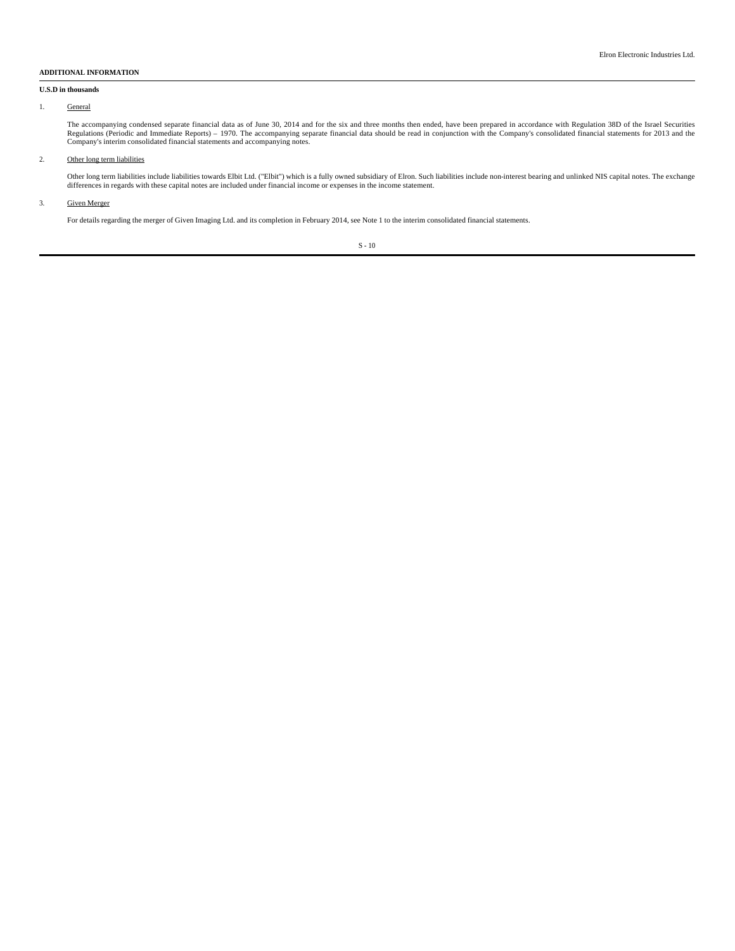# **ADDITIONAL INFORMATION**

## **U.S.D in thousands**

#### 1. General

The accompanying condensed separate financial data as of June 30, 2014 and for the six and three months then ended, have been prepared in accordance with Regulation 38D of the Israel Securities<br>Regulations (Periodic and Im

## 2. Other long term liabilities

Other long term liabilities include liabilities towards Elbit Ltd. ("Elbit") which is a fully owned subsidiary of Elron. Such liabilities include non-interest bearing and unlinked NIS capital notes. The exchange differences in regards with these capital notes are included under financial income or expenses in the income statement.

### 3. Given Merger

For details regarding the merger of Given Imaging Ltd. and its completion in February 2014, see Note 1 to the interim consolidated financial statements.

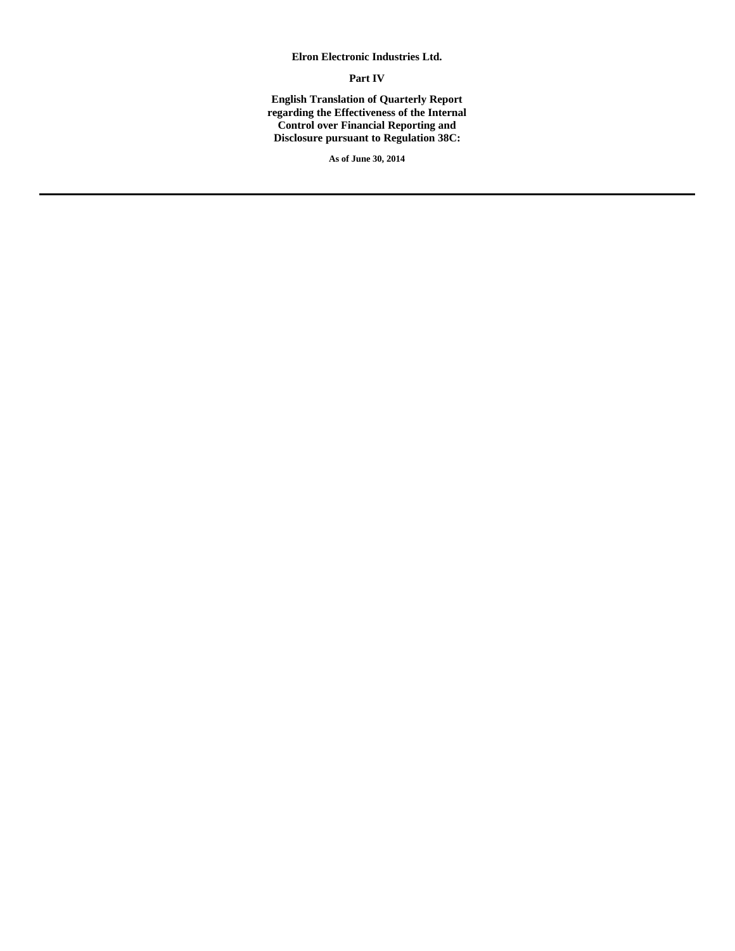# **Elron Electronic Industries Ltd.**

# **Part IV**

**English Translation of Quarterly Report regarding the Effectiveness of the Internal Control over Financial Reporting and Disclosure pursuant to Regulation 38C:**

**As of June 30, 2014**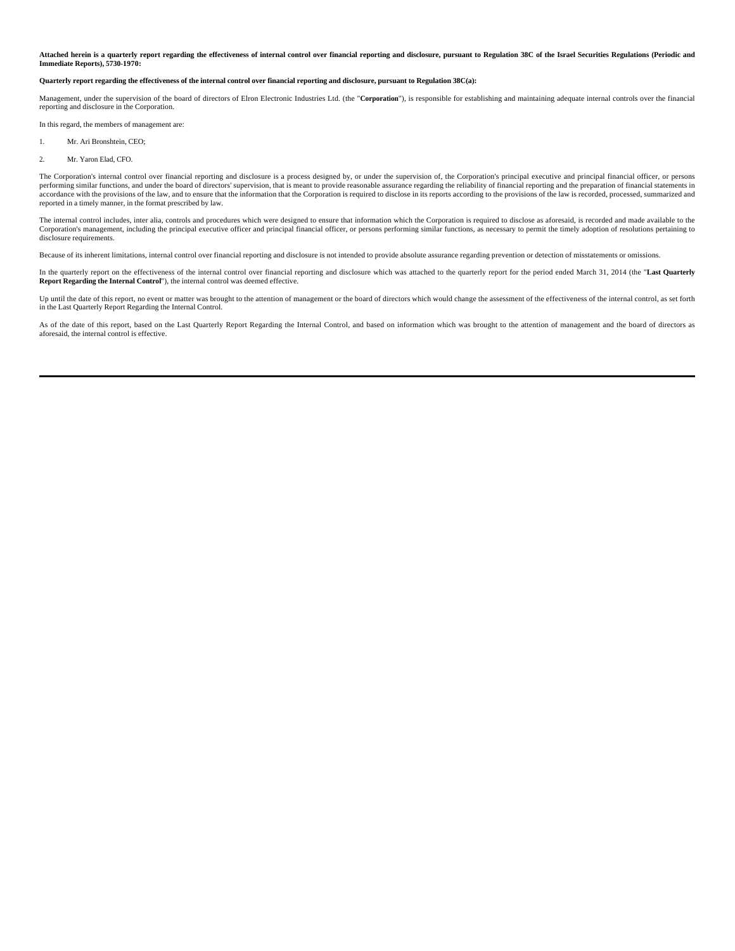**Attached herein is a quarterly report regarding the effectiveness of internal control over financial reporting and disclosure, pursuant to Regulation 38C of the Israel Securities Regulations (Periodic and Immediate Reports), 5730-1970:**

#### **Quarterly report regarding the effectiveness of the internal control over financial reporting and disclosure, pursuant to Regulation 38C(a):**

Management, under the supervision of the board of directors of Elron Electronic Industries Ltd. (the "**Corporation**"), is responsible for establishing and maintaining adequate internal controls over the financial reporting and disclosure in the Corporation.

In this regard, the members of management are:

- 1. Mr. Ari Bronshtein, CEO;
- 2. Mr. Yaron Elad, CFO.

The Corporation's internal control over financial reporting and disclosure is a process designed by, or under the supervision of, the Corporation's principal executive and principal financial officer, or persons performing similar functions, and under the board of directors' supervision, that is meant to provide reasonable assurance regarding the reliability of financial reporting and the preparation of financial statements in<br>acc reported in a timely manner, in the format prescribed by law.

The internal control includes, inter alia, controls and procedures which were designed to ensure that information which the Corporation is required to disclose as aforesaid, is recorded and made available to the Corporation's management, including the principal executive officer and principal financial officer, or persons performing similar functions, as necessary to permit the timely adoption of resolutions pertaining to disclosure requirements.

Because of its inherent limitations, internal control over financial reporting and disclosure is not intended to provide absolute assurance regarding prevention or detection of misstatements or omissions.

In the quarterly report on the effectiveness of the internal control over financial reporting and disclosure which was attached to the quarterly report for the period ended March 31, 2014 (the "**Last Quarterly Report Regarding the Internal Control**"), the internal control was deemed effective.

Up until the date of this report, no event or matter was brought to the attention of management or the board of directors which would change the assessment of the effectiveness of the internal control, as set forth in the Last Quarterly Report Regarding the Internal Control.

As of the date of this report, based on the Last Quarterly Report Regarding the Internal Control, and based on information which was brought to the attention of management and the board of directors as aforesaid, the inter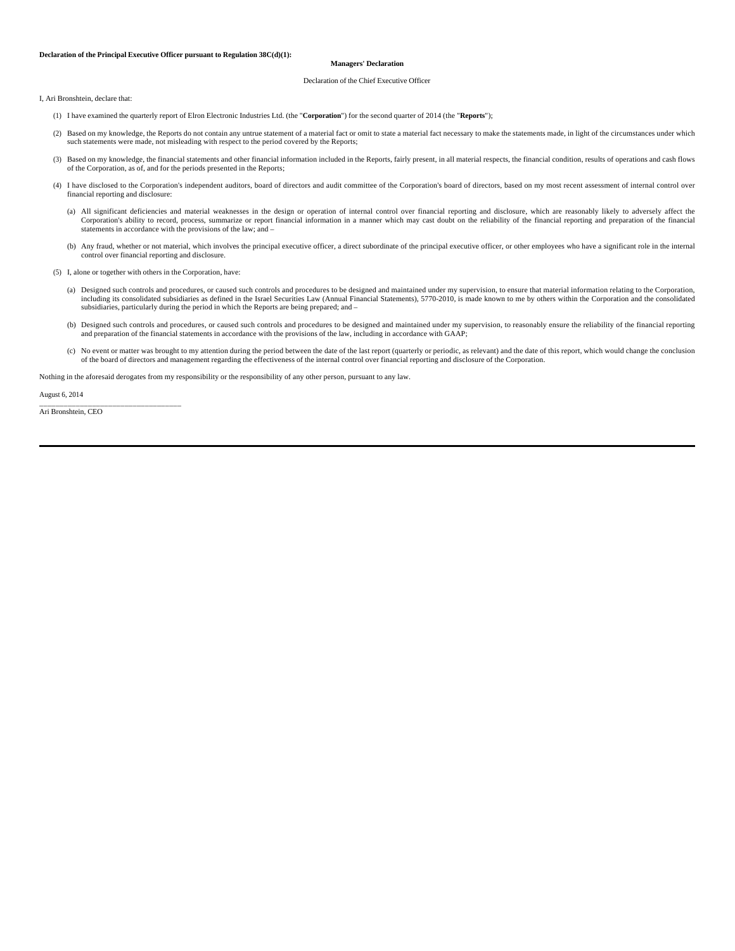#### **Declaration of the Principal Executive Officer pursuant to Regulation 38C(d)(1):**

#### **Managers' Declaration**

#### Declaration of the Chief Executive Officer

I, Ari Bronshtein, declare that:

- (1) I have examined the quarterly report of Elron Electronic Industries Ltd. (the "**Corporation**") for the second quarter of 2014 (the "**Reports**");
- (2) Based on my knowledge, the Reports do not contain any untrue statement of a material fact or omit to state a material fact necessary to make the statements made, in light of the circumstances under which such statements were made, not misleading with respect to the period covered by the Reports;
- (3) Based on my knowledge, the financial statements and other financial information included in the Reports, fairly present, in all material respects, the financial condition, results of operations and cash flows of the Corporation, as of, and for the periods presented in the Reports;
- (4) I have disclosed to the Corporation's independent auditors, board of directors and audit committee of the Corporation's board of directors, based on my most recent assessment of internal control over financial reportin
	- (a) All significant deficiencies and material weaknesses in the design or operation of internal control over financial reporting and disclosure, which are reasonably likely to adversely affect the Corporation's ability to record, process, summarize or report financial information in a manner which may cast doubt on the reliability of the financial reporting and preparation of the financial statements in accordance with the provisions of the law; and –
	- (b) Any fraud, whether or not material, which involves the principal executive officer, a direct subordinate of the principal executive officer, or other employees who have a significant role in the internal control over financial reporting and disclosure.
	- (5) I, alone or together with others in the Corporation, have:
		- (a) Designed such controls and procedures, or caused such controls and procedures to be designed and maintained under my supervision, to ensure that material information relating to the Corporation, including its consolidated subsidiaries as defined in the Israel Securities Law (Annual Financial Statements), 5770-2010, is made known to me by others within the Corporation and the consolidated subsidiaries, particularly during the period in which the Reports are being prepared; and –
- (b) Designed such controls and procedures, or caused such controls and procedures to be designed and maintained under my supervision, to reasonably ensure the reliability of the financial reporting and preparation of the f
	- (c) No event or matter was brought to my attention during the period between the date of the last report (quarterly or periodic, as relevant) and the date of this report, which would change the conclusion of the board of directors and management regarding the effectiveness of the internal control over financial reporting and disclosure of the Corporation.

Nothing in the aforesaid derogates from my responsibility or the responsibility of any other person, pursuant to any law.

August 6, 2014

\_\_\_\_\_\_\_\_\_\_\_\_\_\_\_\_\_\_\_\_\_\_\_\_\_\_\_\_\_\_\_\_\_\_\_ Ari Bronshtein, CEO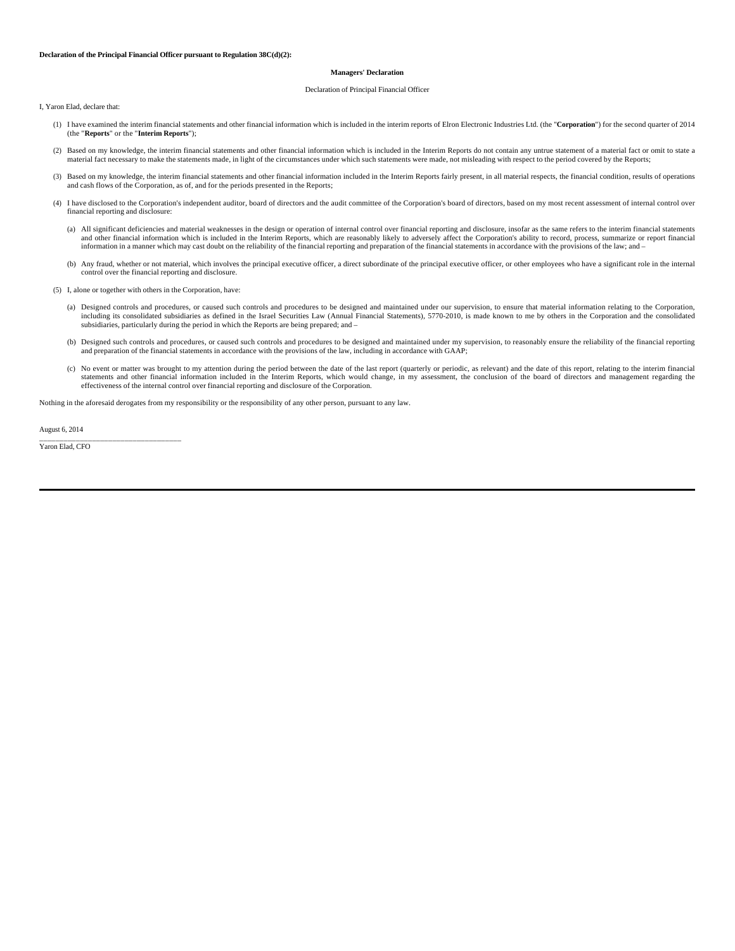#### **Declaration of the Principal Financial Officer pursuant to Regulation 38C(d)(2):**

#### **Managers' Declaration**

#### Declaration of Principal Financial Officer

I, Yaron Elad, declare that:

- (1) I have examined the interim financial statements and other financial information which is included in the interim reports of Elron Electronic Industries Ltd. (the "**Corporation**") for the second quarter of 2014 (the "**Reports**" or the "**Interim Reports**");
- (2) Based on my knowledge, the interim financial statements and other financial information which is included in the Interim Reports do not contain any untrue statement of a material fact or omit to state a material fact necessary to make the statements made, in light of the circumstances under which such statements were made, not misleading with respect to the period covered by the Reports;
- (3) Based on my knowledge, the interim financial statements and other financial information included in the Interim Reports fairly present, in all material respects, the financial condition, results of operations and cash flows of the Corporation, as of, and for the periods presented in the Reports;
- (4) I have disclosed to the Corporation's independent auditor, board of directors and the audit committee of the Corporation's board of directors, based on my most recent assessment of internal control over financial reporting and disclosure:
	- (a) All significant deficiencies and material weaknesses in the design or operation of internal control over financial reporting and disclosure, insofar as the same refers to the interim financial statements and other financial information which is included in the Interim Reports, which are reasonably likely to adversely affect the Corporation's ability to record, process, summarize or report financial information in a manner which may cast doubt on the reliability of the financial reporting and preparation of the financial statements in accordance with the provisions of the law; and –
	- (b) Any fraud, whether or not material, which involves the principal executive officer, a direct subordinate of the principal executive officer, or other employees who have a significant role in the internal control over the financial reporting and disclosure.

(5) I, alone or together with others in the Corporation, have:

- (a) Designed controls and procedures, or caused such controls and procedures to be designed and maintained under our supervision, to ensure that material information relating to the Corporation, including its consolidated subsidiaries as defined in the Israel Securities Law (Annual Financial Statements), 5770-2010, is made known to me by others in the Corporation and the consolidated subsidiaries, particularly during the period in which the Reports are being prepared; and –
- (b) Designed such controls and procedures, or caused such controls and procedures to be designed and maintained under my supervision, to reasonably ensure the reliability of the financial reporting and preparation of the financial statements in accordance with the provisions of the law, including in accordance with GAAP;
- (c) No event or matter was brought to my attention during the period between the date of the last report (quarterly or periodic, as relevant) and the date of this report, relating to the interim financial statements and other financial information included in the Interim Reports, which would change, in my assessment, the conclusion of the board of directors and management regarding the effectiveness of the internal control over financial reporting and disclosure of the Corporation.

Nothing in the aforesaid derogates from my responsibility or the responsibility of any other person, pursuant to any law.

August 6, 2014

\_\_\_\_\_\_\_\_\_\_\_\_\_\_\_\_\_\_\_\_\_\_\_\_\_\_\_\_\_\_\_\_\_\_\_ Yaron Elad, CFO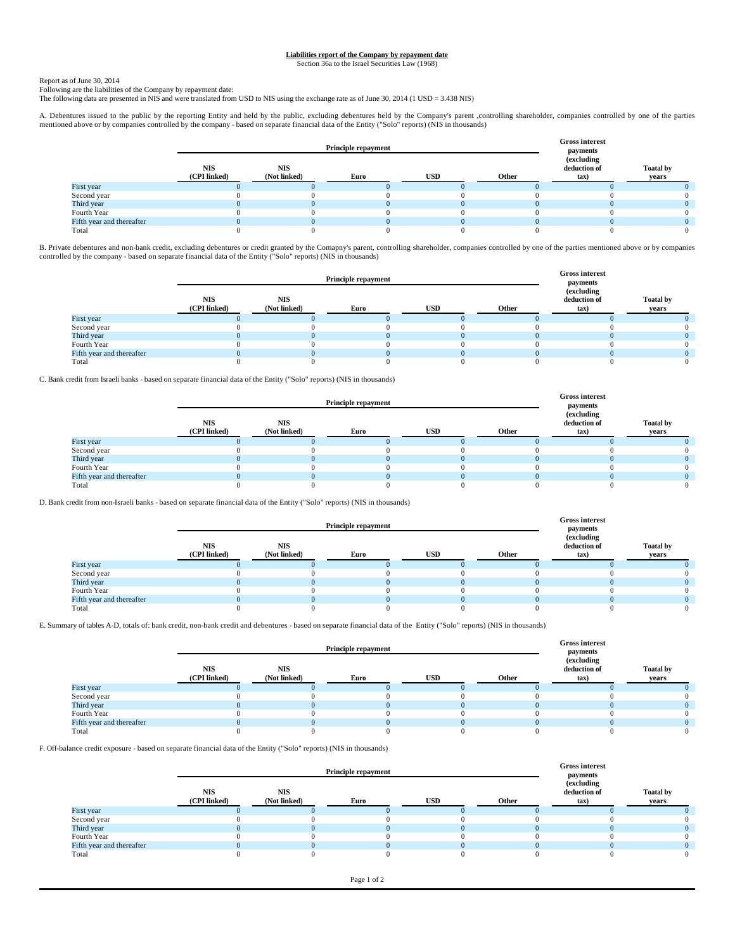# **Liabilities report of the Company by repayment date** Section 36a to the Israel Securities Law (1968)

Report as of June 30, 2014 Following are the liabilities of the Company by repayment date:

The following data are presented in NIS and were translated from USD to NIS using the exchange rate as of June 30, 2014 (1 USD = 3.438 NIS)

A. Debentures issued to the public by the reporting Entity and held by the public, excluding debentures held by the Company's parent ,controlling shareholder, companies controlled by one of the parties<br>mentioned above or b

|                           |                            | <b>Principle repayment</b> | <b>Gross interest</b><br>payments |            |       |                                               |                           |
|---------------------------|----------------------------|----------------------------|-----------------------------------|------------|-------|-----------------------------------------------|---------------------------|
|                           | <b>NIS</b><br>(CPI linked) | <b>NIS</b><br>(Not linked) | Euro                              | <b>USD</b> | Other | (excluding<br>deduction of<br>$\mathbf{tax})$ | <b>Toatal by</b><br>years |
| First year                |                            |                            |                                   |            |       |                                               |                           |
| Second year               |                            |                            |                                   |            |       |                                               |                           |
| Third year                |                            |                            |                                   |            |       |                                               |                           |
| Fourth Year               |                            |                            |                                   |            |       |                                               |                           |
| Fifth year and thereafter |                            |                            |                                   |            |       |                                               |                           |
| Total                     |                            |                            |                                   |            |       |                                               |                           |

B. Private debentures and non-bank credit, excluding debentures or credit granted by the Comapny's parent, controlling shareholder, companies controlled by one of the parties mentioned above or by companies controlled by t

|                           |                            | <b>Principle repayment</b> |          | <b>Gross interest</b><br>payments |       |                                    |                           |
|---------------------------|----------------------------|----------------------------|----------|-----------------------------------|-------|------------------------------------|---------------------------|
|                           | <b>NIS</b><br>(CPI linked) | <b>NIS</b><br>(Not linked) | Euro     | <b>USD</b>                        | Other | (excluding<br>deduction of<br>tax) | <b>Toatal by</b><br>years |
| First year                |                            |                            |          |                                   |       |                                    |                           |
| Second year               |                            |                            |          |                                   |       |                                    |                           |
| Third year                |                            |                            | $\Omega$ |                                   |       |                                    |                           |
| Fourth Year               |                            |                            |          |                                   |       |                                    |                           |
| Fifth year and thereafter |                            |                            |          |                                   |       |                                    |                           |
| Total                     |                            |                            |          |                                   |       |                                    |                           |

C. Bank credit from Israeli banks - based on separate financial data of the Entity ("Solo" reports) (NIS in thousands)

|                           |                            | <b>Principle repayment</b> |      | <b>Gross interest</b><br>payments |       |                                       |                           |
|---------------------------|----------------------------|----------------------------|------|-----------------------------------|-------|---------------------------------------|---------------------------|
|                           | <b>NIS</b><br>(CPI linked) | <b>NIS</b><br>(Not linked) | Euro | <b>USD</b>                        | Other | (excluding)<br>deduction of<br>$\tan$ | <b>Toatal by</b><br>years |
| First year                |                            |                            |      |                                   |       |                                       |                           |
| Second year               |                            |                            |      |                                   |       |                                       |                           |
| Third year                |                            |                            |      |                                   |       |                                       |                           |
| Fourth Year               |                            |                            |      |                                   |       |                                       |                           |
| Fifth year and thereafter |                            |                            |      |                                   |       |                                       |                           |
| Total                     |                            |                            |      |                                   |       |                                       |                           |

D. Bank credit from non-Israeli banks - based on separate financial data of the Entity ("Solo" reports) (NIS in thousands)

|                           |                            | <b>Principle repayment</b> |      | <b>Gross interest</b><br>payments |       |                                                |                           |
|---------------------------|----------------------------|----------------------------|------|-----------------------------------|-------|------------------------------------------------|---------------------------|
|                           | <b>NIS</b><br>(CPI linked) | <b>NIS</b><br>(Not linked) | Euro | <b>USD</b>                        | Other | (excluding)<br>deduction of<br>$\mathbf{tax})$ | <b>Toatal by</b><br>vears |
| First year                |                            |                            |      |                                   |       |                                                |                           |
| Second year               |                            |                            |      |                                   |       |                                                |                           |
| Third year                |                            |                            |      |                                   |       |                                                |                           |
| Fourth Year               |                            |                            |      |                                   |       |                                                |                           |
| Fifth year and thereafter |                            |                            |      |                                   |       |                                                |                           |
| Total                     |                            |                            |      |                                   |       |                                                |                           |

E. Summary of tables A-D, totals of: bank credit, non-bank credit and debentures - based on separate financial data of the Entity ("Solo" reports) (NIS in thousands)

|                           |                            | <b>Principle repayment</b> | <b>Gross interest</b><br>payments |            |       |                                    |                           |
|---------------------------|----------------------------|----------------------------|-----------------------------------|------------|-------|------------------------------------|---------------------------|
|                           | <b>NIS</b><br>(CPI linked) | <b>NIS</b><br>(Not linked) | Euro                              | <b>USD</b> | Other | (excluding<br>deduction of<br>tax) | <b>Toatal by</b><br>vears |
| First year                |                            |                            |                                   |            |       |                                    |                           |
| Second year               |                            |                            |                                   |            |       |                                    |                           |
| Third year                |                            |                            |                                   |            |       |                                    |                           |
| Fourth Year               |                            |                            |                                   |            |       |                                    |                           |
| Fifth year and thereafter |                            |                            |                                   |            |       |                                    |                           |
| Total                     |                            |                            |                                   |            |       |                                    |                           |

F. Off-balance credit exposure - based on separate financial data of the Entity ("Solo" reports) (NIS in thousands)

|                           |                            | <b>Principle repayment</b> | <b>Gross interest</b><br>payments |            |       |                                    |                           |
|---------------------------|----------------------------|----------------------------|-----------------------------------|------------|-------|------------------------------------|---------------------------|
|                           | <b>NIS</b><br>(CPI linked) | <b>NIS</b><br>(Not linked) | Euro                              | <b>USD</b> | Other | (excluding<br>deduction of<br>tax) | <b>Toatal by</b><br>vears |
| First year                |                            |                            |                                   |            |       |                                    |                           |
| Second year               |                            |                            |                                   |            |       |                                    |                           |
| Third year                |                            |                            |                                   |            |       |                                    |                           |
| Fourth Year               |                            |                            |                                   |            |       |                                    |                           |
| Fifth year and thereafter |                            |                            |                                   |            |       |                                    |                           |
| Total                     |                            |                            |                                   |            |       |                                    |                           |